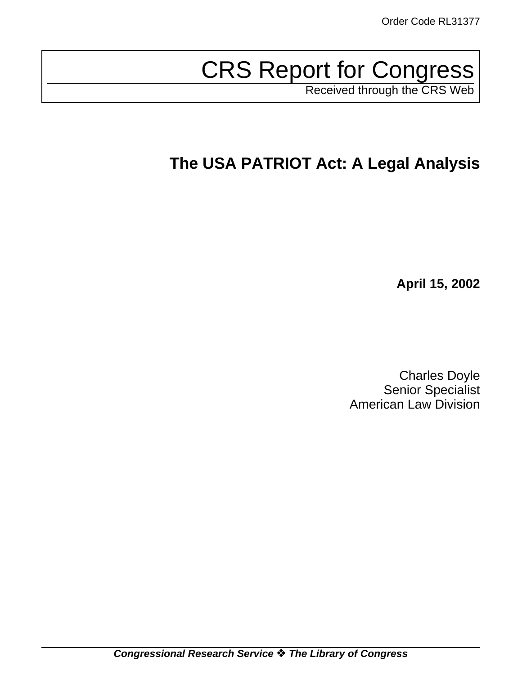# CRS Report for Congress

Received through the CRS Web

## **The USA PATRIOT Act: A Legal Analysis**

**April 15, 2002**

Charles Doyle Senior Specialist American Law Division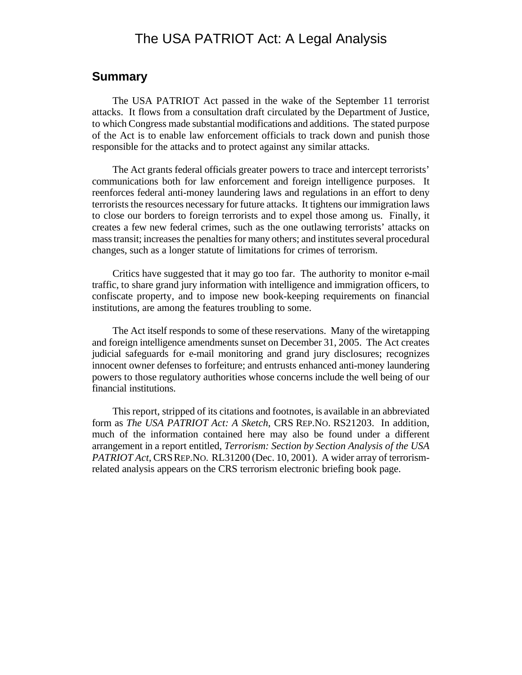## The USA PATRIOT Act: A Legal Analysis

#### **Summary**

The USA PATRIOT Act passed in the wake of the September 11 terrorist attacks. It flows from a consultation draft circulated by the Department of Justice, to which Congress made substantial modifications and additions. The stated purpose of the Act is to enable law enforcement officials to track down and punish those responsible for the attacks and to protect against any similar attacks.

The Act grants federal officials greater powers to trace and intercept terrorists' communications both for law enforcement and foreign intelligence purposes. It reenforces federal anti-money laundering laws and regulations in an effort to deny terrorists the resources necessary for future attacks. It tightens our immigration laws to close our borders to foreign terrorists and to expel those among us. Finally, it creates a few new federal crimes, such as the one outlawing terrorists' attacks on mass transit; increases the penalties for many others; and institutes several procedural changes, such as a longer statute of limitations for crimes of terrorism.

Critics have suggested that it may go too far. The authority to monitor e-mail traffic, to share grand jury information with intelligence and immigration officers, to confiscate property, and to impose new book-keeping requirements on financial institutions, are among the features troubling to some.

The Act itself responds to some of these reservations. Many of the wiretapping and foreign intelligence amendments sunset on December 31, 2005. The Act creates judicial safeguards for e-mail monitoring and grand jury disclosures; recognizes innocent owner defenses to forfeiture; and entrusts enhanced anti-money laundering powers to those regulatory authorities whose concerns include the well being of our financial institutions.

This report, stripped of its citations and footnotes, is available in an abbreviated form as *The USA PATRIOT Act: A Sketch*, CRS REP.NO. RS21203. In addition, much of the information contained here may also be found under a different arrangement in a report entitled, *Terrorism: Section by Section Analysis of the USA PATRIOT Act*, CRS REP. NO. RL31200 (Dec. 10, 2001). A wider array of terrorismrelated analysis appears on the CRS terrorism electronic briefing book page.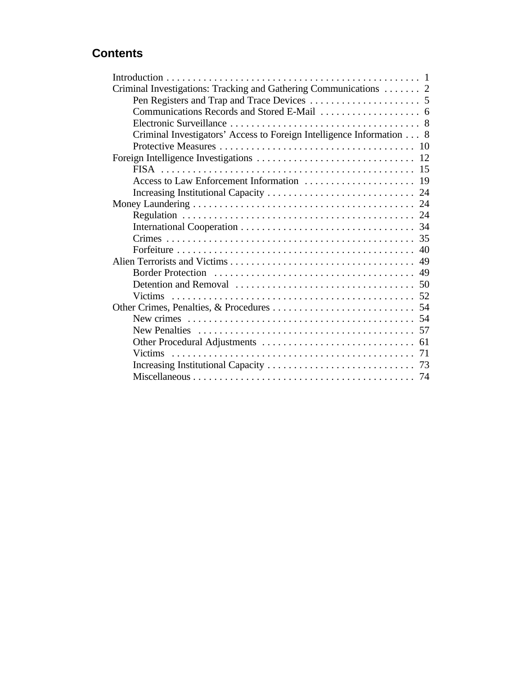## **Contents**

| Criminal Investigations: Tracking and Gathering Communications  2                                   |  |
|-----------------------------------------------------------------------------------------------------|--|
|                                                                                                     |  |
|                                                                                                     |  |
|                                                                                                     |  |
| Criminal Investigators' Access to Foreign Intelligence Information 8                                |  |
|                                                                                                     |  |
|                                                                                                     |  |
|                                                                                                     |  |
|                                                                                                     |  |
|                                                                                                     |  |
|                                                                                                     |  |
| 24                                                                                                  |  |
|                                                                                                     |  |
|                                                                                                     |  |
|                                                                                                     |  |
|                                                                                                     |  |
|                                                                                                     |  |
|                                                                                                     |  |
|                                                                                                     |  |
|                                                                                                     |  |
| New crimes $\dots \dots \dots \dots \dots \dots \dots \dots \dots \dots \dots \dots \dots \dots$ 54 |  |
|                                                                                                     |  |
|                                                                                                     |  |
|                                                                                                     |  |
|                                                                                                     |  |
|                                                                                                     |  |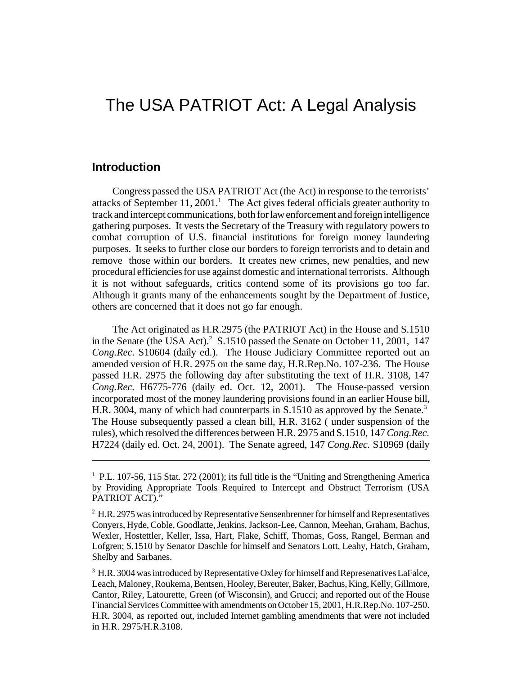## The USA PATRIOT Act: A Legal Analysis

#### **Introduction**

Congress passed the USA PATRIOT Act (the Act) in response to the terrorists' attacks of September 11, 2001.<sup>1</sup> The Act gives federal officials greater authority to track and intercept communications, both for law enforcement and foreign intelligence gathering purposes. It vests the Secretary of the Treasury with regulatory powers to combat corruption of U.S. financial institutions for foreign money laundering purposes. It seeks to further close our borders to foreign terrorists and to detain and remove those within our borders. It creates new crimes, new penalties, and new procedural efficienciesfor use against domestic and international terrorists. Although it is not without safeguards, critics contend some of its provisions go too far. Although it grants many of the enhancements sought by the Department of Justice, others are concerned that it does not go far enough.

The Act originated as H.R.2975 (the PATRIOT Act) in the House and S.1510 in the Senate (the USA Act).<sup>2</sup> S.1510 passed the Senate on October 11, 2001, 147 *Cong.Rec.* S10604 (daily ed.). The House Judiciary Committee reported out an amended version of H.R. 2975 on the same day, H.R.Rep.No. 107-236. The House passed H.R. 2975 the following day after substituting the text of H.R. 3108, 147 *Cong.Rec.* H6775-776 (daily ed. Oct. 12, 2001). The House-passed version incorporated most of the money laundering provisions found in an earlier House bill, H.R. 3004, many of which had counterparts in S.1510 as approved by the Senate.<sup>3</sup> The House subsequently passed a clean bill, H.R. 3162 ( under suspension of the rules), which resolved the differences between H.R. 2975 and S.1510, 147*Cong.Rec.* H7224 (daily ed. Oct. 24, 2001). The Senate agreed, 147 *Cong.Rec.* S10969 (daily

<sup>&</sup>lt;sup>1</sup> P.L. 107-56, 115 Stat. 272 (2001); its full title is the "Uniting and Strengthening America by Providing Appropriate Tools Required to Intercept and Obstruct Terrorism (USA PATRIOT ACT)."

 $2$  H.R. 2975 was introduced by Representative Sensenbrenner for himself and Representatives Conyers, Hyde, Coble, Goodlatte, Jenkins, Jackson-Lee, Cannon, Meehan, Graham, Bachus, Wexler, Hostettler, Keller, Issa, Hart, Flake, Schiff, Thomas, Goss, Rangel, Berman and Lofgren; S.1510 by Senator Daschle for himself and Senators Lott, Leahy, Hatch, Graham, Shelby and Sarbanes.

 $3$  H.R. 3004 was introduced by Representative Oxley for himself and Represenatives LaFalce, Leach, Maloney, Roukema, Bentsen, Hooley, Bereuter, Baker, Bachus, King, Kelly, Gillmore, Cantor, Riley, Latourette, Green (of Wisconsin), and Grucci; and reported out of the House Financial Services Committee with amendments on October 15, 2001, H.R.Rep.No. 107-250. H.R. 3004, as reported out, included Internet gambling amendments that were not included in H.R. 2975/H.R.3108.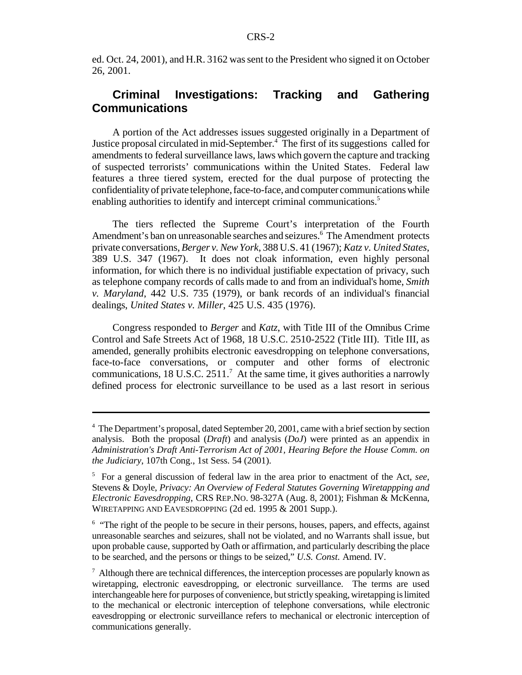ed. Oct. 24, 2001), and H.R. 3162 was sent to the President who signed it on October 26, 2001.

### **Criminal Investigations: Tracking and Gathering Communications**

A portion of the Act addresses issues suggested originally in a Department of Justice proposal circulated in mid-September.<sup>4</sup> The first of its suggestions called for amendments to federal surveillance laws, laws which govern the capture and tracking of suspected terrorists' communications within the United States. Federal law features a three tiered system, erected for the dual purpose of protecting the confidentiality of private telephone, face-to-face, and computer communications while enabling authorities to identify and intercept criminal communications.<sup>5</sup>

The tiers reflected the Supreme Court's interpretation of the Fourth Amendment's ban on unreasonable searches and seizures.<sup>6</sup> The Amendment protects private conversations, *Berger v.NewYork*, 388 U.S. 41 (1967); *Katz v. United States*, 389 U.S. 347 (1967). It does not cloak information, even highly personal information, for which there is no individual justifiable expectation of privacy, such as telephone company records of calls made to and from an individual's home, *Smith v. Maryland*, 442 U.S. 735 (1979), or bank records of an individual's financial dealings, *United States v. Miller*, 425 U.S. 435 (1976).

Congress responded to *Berger* and *Katz*, with Title III of the Omnibus Crime Control and Safe Streets Act of 1968, 18 U.S.C. 2510-2522 (Title III). Title III, as amended, generally prohibits electronic eavesdropping on telephone conversations, face-to-face conversations, or computer and other forms of electronic communications, 18 U.S.C.  $2511$ .<sup>7</sup> At the same time, it gives authorities a narrowly defined process for electronic surveillance to be used as a last resort in serious

<sup>&</sup>lt;sup>4</sup> The Department's proposal, dated September 20, 2001, came with a brief section by section analysis. Both the proposal (*Draft*) and analysis (*DoJ*) were printed as an appendix in *Administration's Draft Anti-Terrorism Act of 2001, Hearing Before the House Comm. on the Judiciary*, 107th Cong., 1st Sess. 54 (2001).

<sup>5</sup> For a general discussion of federal law in the area prior to enactment of the Act, *see*, Stevens & Doyle, *Privacy: An Overview of Federal Statutes Governing Wiretappping and Electronic Eavesdropping*, CRS REP.NO. 98-327A (Aug. 8, 2001); Fishman & McKenna, WIRETAPPING AND EAVESDROPPING (2d ed. 1995 & 2001 Supp.).

<sup>&</sup>lt;sup>6</sup> "The right of the people to be secure in their persons, houses, papers, and effects, against unreasonable searches and seizures, shall not be violated, and no Warrants shall issue, but upon probable cause, supported by Oath or affirmation, and particularly describing the place to be searched, and the persons or things to be seized," *U.S. Const.* Amend. IV.

 $<sup>7</sup>$  Although there are technical differences, the interception processes are popularly known as</sup> wiretapping, electronic eavesdropping, or electronic surveillance. The terms are used interchangeable here for purposes of convenience, but strictly speaking, wiretapping is limited to the mechanical or electronic interception of telephone conversations, while electronic eavesdropping or electronic surveillance refers to mechanical or electronic interception of communications generally.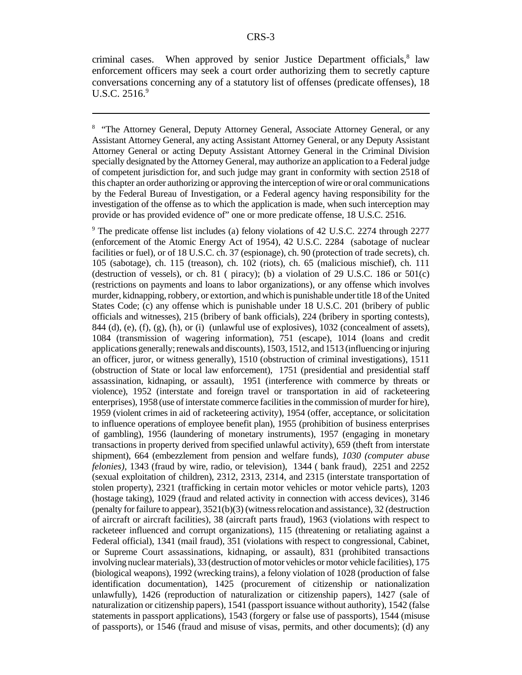criminal cases. When approved by senior Justice Department officials,<sup>8</sup> law enforcement officers may seek a court order authorizing them to secretly capture conversations concerning any of a statutory list of offenses (predicate offenses), 18 U.S.C. 2516.9

<sup>8</sup> "The Attorney General, Deputy Attorney General, Associate Attorney General, or any Assistant Attorney General, any acting Assistant Attorney General, or any Deputy Assistant Attorney General or acting Deputy Assistant Attorney General in the Criminal Division specially designated by the Attorney General, may authorize an application to a Federal judge of competent jurisdiction for, and such judge may grant in conformity with section 2518 of this chapter an order authorizing or approving the interception of wire or oral communications by the Federal Bureau of Investigation, or a Federal agency having responsibility for the investigation of the offense as to which the application is made, when such interception may provide or has provided evidence of" one or more predicate offense, 18 U.S.C. 2516.

<sup>9</sup> The predicate offense list includes (a) felony violations of 42 U.S.C. 2274 through 2277 (enforcement of the Atomic Energy Act of 1954), 42 U.S.C. 2284 (sabotage of nuclear facilities or fuel), or of 18 U.S.C. ch. 37 (espionage), ch. 90 (protection of trade secrets), ch. 105 (sabotage), ch. 115 (treason), ch. 102 (riots), ch. 65 (malicious mischief), ch. 111 (destruction of vessels), or ch.  $81$  ( piracy); (b) a violation of 29 U.S.C. 186 or  $501(c)$ (restrictions on payments and loans to labor organizations), or any offense which involves murder, kidnapping, robbery, or extortion, and which is punishable under title 18 of the United States Code; (c) any offense which is punishable under 18 U.S.C. 201 (bribery of public officials and witnesses), 215 (bribery of bank officials), 224 (bribery in sporting contests), 844 (d), (e),  $(f)$ ,  $(g)$ ,  $(h)$ , or  $(i)$  (unlawful use of explosives), 1032 (concealment of assets), 1084 (transmission of wagering information), 751 (escape), 1014 (loans and credit applications generally; renewals and discounts), 1503, 1512, and 1513 (influencing or injuring an officer, juror, or witness generally), 1510 (obstruction of criminal investigations), 1511 (obstruction of State or local law enforcement), 1751 (presidential and presidential staff assassination, kidnaping, or assault), 1951 (interference with commerce by threats or violence), 1952 (interstate and foreign travel or transportation in aid of racketeering enterprises), 1958 (use of interstate commerce facilities in the commission of murder for hire), 1959 (violent crimes in aid of racketeering activity), 1954 (offer, acceptance, or solicitation to influence operations of employee benefit plan), 1955 (prohibition of business enterprises of gambling), 1956 (laundering of monetary instruments), 1957 (engaging in monetary transactions in property derived from specified unlawful activity), 659 (theft from interstate shipment), 664 (embezzlement from pension and welfare funds), *1030 (computer abuse felonies)*, 1343 (fraud by wire, radio, or television), 1344 ( bank fraud), 2251 and 2252 (sexual exploitation of children), 2312, 2313, 2314, and 2315 (interstate transportation of stolen property), 2321 (trafficking in certain motor vehicles or motor vehicle parts), 1203 (hostage taking), 1029 (fraud and related activity in connection with access devices), 3146 (penalty for failure to appear),  $3521(b)(3)$  (witness relocation and assistance), 32 (destruction of aircraft or aircraft facilities), 38 (aircraft parts fraud), 1963 (violations with respect to racketeer influenced and corrupt organizations), 115 (threatening or retaliating against a Federal official), 1341 (mail fraud), 351 (violations with respect to congressional, Cabinet, or Supreme Court assassinations, kidnaping, or assault), 831 (prohibited transactions involving nuclear materials), 33 (destruction of motor vehicles or motor vehicle facilities), 175 (biological weapons), 1992 (wrecking trains), a felony violation of 1028 (production of false identification documentation), 1425 (procurement of citizenship or nationalization unlawfully), 1426 (reproduction of naturalization or citizenship papers), 1427 (sale of naturalization or citizenship papers), 1541 (passport issuance without authority), 1542 (false statements in passport applications), 1543 (forgery or false use of passports), 1544 (misuse of passports), or 1546 (fraud and misuse of visas, permits, and other documents); (d) any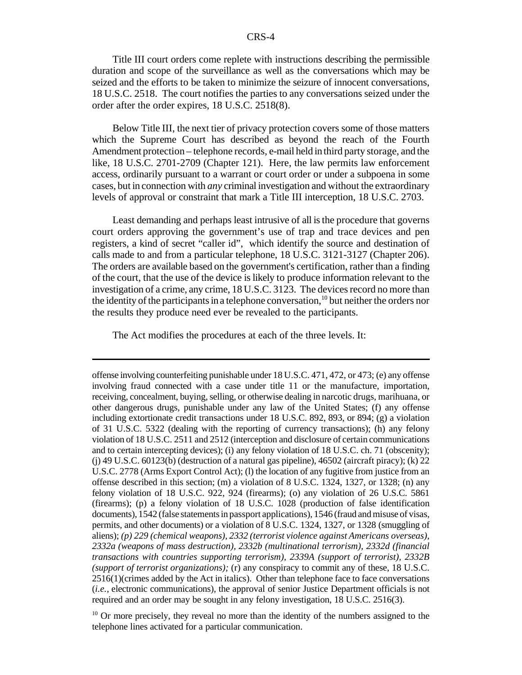Title III court orders come replete with instructions describing the permissible duration and scope of the surveillance as well as the conversations which may be seized and the efforts to be taken to minimize the seizure of innocent conversations, 18 U.S.C. 2518. The court notifies the parties to any conversations seized under the order after the order expires, 18 U.S.C. 2518(8).

Below Title III, the next tier of privacy protection covers some of those matters which the Supreme Court has described as beyond the reach of the Fourth Amendment protection – telephone records, e-mail held in third party storage, and the like, 18 U.S.C. 2701-2709 (Chapter 121). Here, the law permits law enforcement access, ordinarily pursuant to a warrant or court order or under a subpoena in some cases, but in connection with *any* criminal investigation and without the extraordinary levels of approval or constraint that mark a Title III interception, 18 U.S.C. 2703.

Least demanding and perhaps least intrusive of all isthe procedure that governs court orders approving the government's use of trap and trace devices and pen registers, a kind of secret "caller id", which identify the source and destination of calls made to and from a particular telephone, 18 U.S.C. 3121-3127 (Chapter 206). The orders are available based on the government's certification, rather than a finding of the court, that the use of the device is likely to produce information relevant to the investigation of a crime, any crime, 18 U.S.C. 3123. The devices record no more than the identity of the participants in a telephone conversation, $10$  but neither the orders nor the results they produce need ever be revealed to the participants.

The Act modifies the procedures at each of the three levels. It:

offense involving counterfeiting punishable under 18 U.S.C. 471, 472, or 473; (e) any offense involving fraud connected with a case under title 11 or the manufacture, importation, receiving, concealment, buying, selling, or otherwise dealing in narcotic drugs, marihuana, or other dangerous drugs, punishable under any law of the United States; (f) any offense including extortionate credit transactions under 18 U.S.C. 892, 893, or 894; (g) a violation of 31 U.S.C. 5322 (dealing with the reporting of currency transactions); (h) any felony violation of 18 U.S.C. 2511 and 2512 (interception and disclosure of certain communications and to certain intercepting devices); (i) any felony violation of 18 U.S.C. ch. 71 (obscenity); (i) 49 U.S.C.  $60123(b)$  (destruction of a natural gas pipeline), 46502 (aircraft piracy); (k) 22 U.S.C. 2778 (Arms Export Control Act); (l) the location of any fugitive from justice from an offense described in this section; (m) a violation of 8 U.S.C. 1324, 1327, or 1328; (n) any felony violation of 18 U.S.C. 922, 924 (firearms); (o) any violation of 26 U.S.C. 5861 (firearms); (p) a felony violation of 18 U.S.C. 1028 (production of false identification documents), 1542 (false statementsin passport applications), 1546 (fraud and misuse of visas, permits, and other documents) or a violation of 8 U.S.C. 1324, 1327, or 1328 (smuggling of aliens); *(p) 229 (chemical weapons), 2332 (terrorist violence against Americans overseas), 2332a (weapons of mass destruction), 2332b (multinational terrorism), 2332d (financial transactions with countries supporting terrorism), 2339A (support of terrorist), 2332B (support of terrorist organizations);* (r) any conspiracy to commit any of these, 18 U.S.C. 2516(1)(crimes added by the Act in italics). Other than telephone face to face conversations (*i.e.*, electronic communications), the approval of senior Justice Department officials is not required and an order may be sought in any felony investigation, 18 U.S.C. 2516(3).

 $10$  Or more precisely, they reveal no more than the identity of the numbers assigned to the telephone lines activated for a particular communication.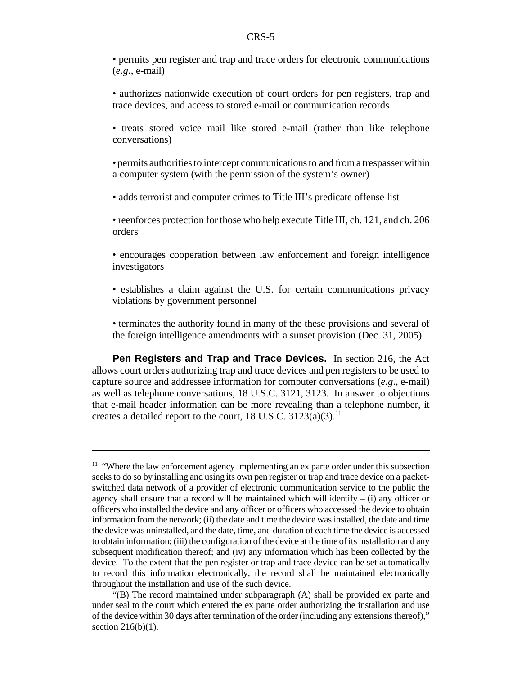• permits pen register and trap and trace orders for electronic communications (*e.g.*, e-mail)

• authorizes nationwide execution of court orders for pen registers, trap and trace devices, and access to stored e-mail or communication records

• treats stored voice mail like stored e-mail (rather than like telephone conversations)

• permits authorities to intercept communications to and from a trespasser within a computer system (with the permission of the system's owner)

• adds terrorist and computer crimes to Title III's predicate offense list

• reenforces protection for those who help execute Title III, ch. 121, and ch. 206 orders

• encourages cooperation between law enforcement and foreign intelligence investigators

• establishes a claim against the U.S. for certain communications privacy violations by government personnel

• terminates the authority found in many of the these provisions and several of the foreign intelligence amendments with a sunset provision (Dec. 31, 2005).

**Pen Registers and Trap and Trace Devices.** In section 216, the Act allows court orders authorizing trap and trace devices and pen registers to be used to capture source and addressee information for computer conversations (*e.g*., e-mail) as well as telephone conversations, 18 U.S.C. 3121, 3123. In answer to objections that e-mail header information can be more revealing than a telephone number, it creates a detailed report to the court,  $18 \text{ U.S.C. } 3123(a)(3).^{11}$ 

<sup>&</sup>lt;sup>11</sup> "Where the law enforcement agency implementing an ex parte order under this subsection seeksto do so by installing and using its own pen register or trap and trace device on a packetswitched data network of a provider of electronic communication service to the public the agency shall ensure that a record will be maintained which will identify  $-$  (i) any officer or officers who installed the device and any officer or officers who accessed the device to obtain information from the network; (ii) the date and time the device wasinstalled, the date and time the device was uninstalled, and the date, time, and duration of each time the device is accessed to obtain information; (iii) the configuration of the device at the time ofitsinstallation and any subsequent modification thereof; and (iv) any information which has been collected by the device. To the extent that the pen register or trap and trace device can be set automatically to record this information electronically, the record shall be maintained electronically throughout the installation and use of the such device.

<sup>&</sup>quot;(B) The record maintained under subparagraph (A) shall be provided ex parte and under seal to the court which entered the ex parte order authorizing the installation and use of the device within 30 days after termination of the order (including any extensions thereof)," section 216(b)(1).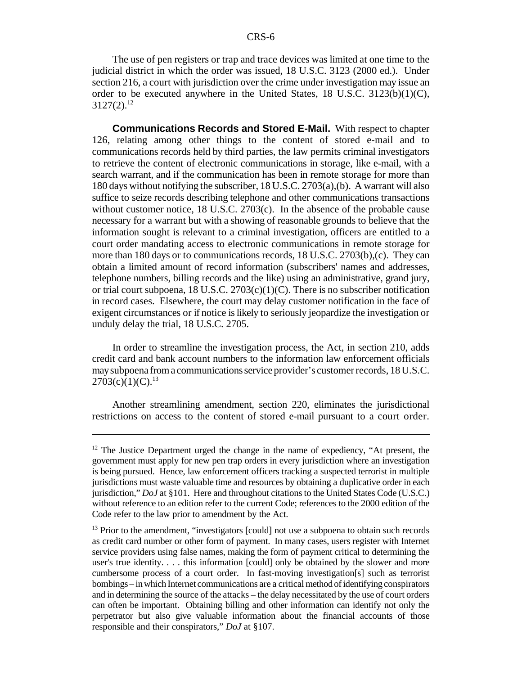The use of pen registers or trap and trace devices was limited at one time to the judicial district in which the order was issued, 18 U.S.C. 3123 (2000 ed.). Under section 216, a court with jurisdiction over the crime under investigation may issue an order to be executed anywhere in the United States, 18 U.S.C. 3123(b)(1)(C),  $3127(2).^{12}$ 

**Communications Records and Stored E-Mail.** With respect to chapter 126, relating among other things to the content of stored e-mail and to communications records held by third parties, the law permits criminal investigators to retrieve the content of electronic communications in storage, like e-mail, with a search warrant, and if the communication has been in remote storage for more than 180 days without notifying the subscriber, 18 U.S.C. 2703(a),(b). A warrant will also suffice to seize records describing telephone and other communications transactions without customer notice, 18 U.S.C. 2703(c). In the absence of the probable cause necessary for a warrant but with a showing of reasonable grounds to believe that the information sought is relevant to a criminal investigation, officers are entitled to a court order mandating access to electronic communications in remote storage for more than 180 days or to communications records, 18 U.S.C. 2703(b),(c). They can obtain a limited amount of record information (subscribers' names and addresses, telephone numbers, billing records and the like) using an administrative, grand jury, or trial court subpoena, 18 U.S.C.  $2703(c)(1)(C)$ . There is no subscriber notification in record cases. Elsewhere, the court may delay customer notification in the face of exigent circumstances or if notice islikely to seriously jeopardize the investigation or unduly delay the trial, 18 U.S.C. 2705.

In order to streamline the investigation process, the Act, in section 210, adds credit card and bank account numbers to the information law enforcement officials may subpoena from a communications service provider's customer records, 18 U.S.C.  $2703(c)(1)(C).<sup>13</sup>$ 

Another streamlining amendment, section 220, eliminates the jurisdictional restrictions on access to the content of stored e-mail pursuant to a court order.

 $12$  The Justice Department urged the change in the name of expediency, "At present, the government must apply for new pen trap orders in every jurisdiction where an investigation is being pursued. Hence, law enforcement officers tracking a suspected terrorist in multiple jurisdictions must waste valuable time and resources by obtaining a duplicative order in each jurisdiction," *DoJ* at §101. Here and throughout citations to the United States Code (U.S.C.) without reference to an edition refer to the current Code; references to the 2000 edition of the Code refer to the law prior to amendment by the Act.

<sup>&</sup>lt;sup>13</sup> Prior to the amendment, "investigators [could] not use a subpoena to obtain such records as credit card number or other form of payment. In many cases, users register with Internet service providers using false names, making the form of payment critical to determining the user's true identity. . . . this information [could] only be obtained by the slower and more cumbersome process of a court order. In fast-moving investigation[s] such as terrorist bombings – inwhich Internet communications are a criticalmethod ofidentifying conspirators and in determining the source of the attacks – the delay necessitated by the use of court orders can often be important. Obtaining billing and other information can identify not only the perpetrator but also give valuable information about the financial accounts of those responsible and their conspirators," *DoJ* at §107.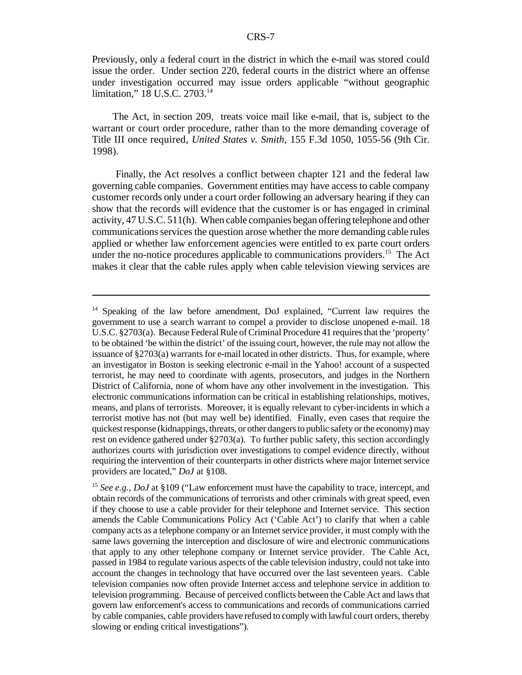Previously, only a federal court in the district in which the e-mail was stored could issue the order. Under section 220, federal courts in the district where an offense under investigation occurred may issue orders applicable "without geographic limitation," 18 U.S.C. 2703.<sup>14</sup>

The Act, in section 209, treats voice mail like e-mail, that is, subject to the warrant or court order procedure, rather than to the more demanding coverage of Title III once required, *United States v. Smith*, 155 F.3d 1050, 1055-56 (9th Cir. 1998).

Finally, the Act resolves a conflict between chapter 121 and the federal law governing cable companies. Government entities may have access to cable company customer records only under a court order following an adversary hearing if they can show that the records will evidence that the customer is or has engaged in criminal activity, 47 U.S.C. 511(h). When cable companies began offering telephone and other communicationsservicesthe question arose whether the more demanding cable rules applied or whether law enforcement agencies were entitled to ex parte court orders under the no-notice procedures applicable to communications providers.<sup>15</sup> The Act makes it clear that the cable rules apply when cable television viewing services are

<sup>&</sup>lt;sup>14</sup> Speaking of the law before amendment, DoJ explained, "Current law requires the government to use a search warrant to compel a provider to disclose unopened e-mail. 18 U.S.C. §2703(a). Because Federal Rule of Criminal Procedure 41 requires that the 'property' to be obtained 'be within the district' of the issuing court, however, the rule may not allow the issuance of §2703(a) warrants for e-mail located in other districts. Thus, for example, where an investigator in Boston is seeking electronic e-mail in the Yahoo! account of a suspected terrorist, he may need to coordinate with agents, prosecutors, and judges in the Northern District of California, none of whom have any other involvement in the investigation. This electronic communications information can be critical in establishing relationships, motives, means, and plans of terrorists. Moreover, it is equally relevant to cyber-incidents in which a terrorist motive has not (but may well be) identified. Finally, even cases that require the quickestresponse (kidnappings, threats, or other dangersto public safety orthe economy)may rest on evidence gathered under §2703(a). To further public safety, this section accordingly authorizes courts with jurisdiction over investigations to compel evidence directly, without requiring the intervention of their counterparts in other districts where major Internet service providers are located," *DoJ* at §108.

<sup>15</sup> *See e.g., DoJ* at §109 ("Law enforcement must have the capability to trace, intercept, and obtain records of the communications of terrorists and other criminals with great speed, even if they choose to use a cable provider for their telephone and Internet service. This section amends the Cable Communications Policy Act ('Cable Act') to clarify that when a cable company acts as a telephone company or an Internet service provider, it must comply with the same laws governing the interception and disclosure of wire and electronic communications that apply to any other telephone company or Internet service provider. The Cable Act, passed in 1984 to regulate various aspects of the cable television industry, could not take into account the changes in technology that have occurred over the last seventeen years. Cable television companies now often provide Internet access and telephone service in addition to television programming. Because of perceived conflicts between the Cable Act and laws that govern law enforcement's access to communications and records of communications carried by cable companies, cable providers have refused to comply with lawful court orders, thereby slowing or ending critical investigations").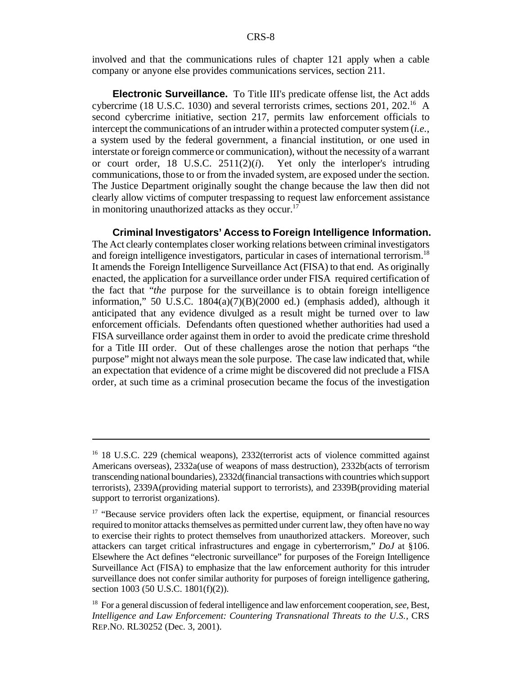involved and that the communications rules of chapter 121 apply when a cable company or anyone else provides communications services, section 211.

**Electronic Surveillance.** To Title III's predicate offense list, the Act adds cybercrime (18 U.S.C. 1030) and several terrorists crimes, sections  $201, 202$ <sup>16</sup> A second cybercrime initiative, section 217, permits law enforcement officials to intercept the communications of an intruder within a protected computer system  $(i.e.,$ a system used by the federal government, a financial institution, or one used in interstate or foreign commerce or communication), without the necessity of a warrant or court order, 18 U.S.C. 2511(2)(*i*). Yet only the interloper's intruding communications, those to or from the invaded system, are exposed under the section. The Justice Department originally sought the change because the law then did not clearly allow victims of computer trespassing to request law enforcement assistance in monitoring unauthorized attacks as they occur. $17$ 

 **Criminal Investigators' Access to Foreign Intelligence Information.** The Act clearly contemplates closer working relations between criminal investigators and foreign intelligence investigators, particular in cases of international terrorism.<sup>18</sup> It amends the Foreign Intelligence Surveillance Act (FISA) to that end. As originally enacted, the application for a surveillance order under FISA required certification of the fact that "*the* purpose for the surveillance is to obtain foreign intelligence information," 50 U.S.C.  $1804(a)(7)(B)(2000 \text{ ed.})$  (emphasis added), although it anticipated that any evidence divulged as a result might be turned over to law enforcement officials. Defendants often questioned whether authorities had used a FISA surveillance order against them in order to avoid the predicate crime threshold for a Title III order. Out of these challenges arose the notion that perhaps "the purpose" might not always mean the sole purpose. The case law indicated that, while an expectation that evidence of a crime might be discovered did not preclude a FISA order, at such time as a criminal prosecution became the focus of the investigation

<sup>&</sup>lt;sup>16</sup> 18 U.S.C. 229 (chemical weapons), 2332(terrorist acts of violence committed against Americans overseas), 2332a(use of weapons of mass destruction), 2332b(acts of terrorism transcending national boundaries), 2332d(financial transactions with countrieswhich support terrorists), 2339A(providing material support to terrorists), and 2339B(providing material support to terrorist organizations).

<sup>&</sup>lt;sup>17</sup> "Because service providers often lack the expertise, equipment, or financial resources required to monitor attacks themselves as permitted under current law, they often have no way to exercise their rights to protect themselves from unauthorized attackers. Moreover, such attackers can target critical infrastructures and engage in cyberterrorism," *DoJ* at §106. Elsewhere the Act defines "electronic surveillance" for purposes of the Foreign Intelligence Surveillance Act (FISA) to emphasize that the law enforcement authority for this intruder surveillance does not confer similar authority for purposes of foreign intelligence gathering, section 1003 (50 U.S.C. 1801(f)(2)).

<sup>18</sup> For a general discussion of federal intelligence and law enforcement cooperation, *see*, Best, *Intelligence and Law Enforcement: Countering Transnational Threats to the U.S.*, CRS REP.NO. RL30252 (Dec. 3, 2001).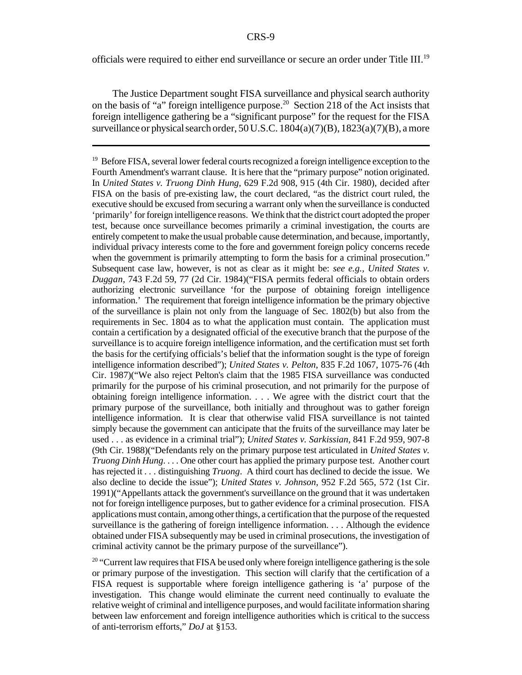officials were required to either end surveillance or secure an order under Title III.<sup>19</sup>

The Justice Department sought FISA surveillance and physical search authority on the basis of "a" foreign intelligence purpose.<sup>20</sup> Section 218 of the Act insists that foreign intelligence gathering be a "significant purpose" for the request for the FISA surveillance or physical search order,  $50$  U.S.C.  $1804(a)(7)(B)$ ,  $1823(a)(7)(B)$ , a more

 $20$  "Current law requires that FISA be used only where foreign intelligence gathering is the sole or primary purpose of the investigation. This section will clarify that the certification of a FISA request is supportable where foreign intelligence gathering is 'a' purpose of the investigation. This change would eliminate the current need continually to evaluate the relative weight of criminal and intelligence purposes, and would facilitate information sharing between law enforcement and foreign intelligence authorities which is critical to the success of anti-terrorism efforts," *DoJ* at §153.

 $19$  Before FISA, several lower federal courts recognized a foreign intelligence exception to the Fourth Amendment's warrant clause. It is here that the "primary purpose" notion originated. In *United States v. Truong Dinh Hung*, 629 F.2d 908, 915 (4th Cir. 1980), decided after FISA on the basis of pre-existing law, the court declared, "as the district court ruled, the executive should be excused from securing a warrant only when the surveillance is conducted 'primarily' for foreign intelligence reasons. We think that the district court adopted the proper test, because once surveillance becomes primarily a criminal investigation, the courts are entirely competent to make the usual probable cause determination, and because, importantly, individual privacy interests come to the fore and government foreign policy concerns recede when the government is primarily attempting to form the basis for a criminal prosecution." Subsequent case law, however, is not as clear as it might be: *see e.g., United States v. Duggan*, 743 F.2d 59, 77 (2d Cir. 1984)("FISA permits federal officials to obtain orders authorizing electronic surveillance 'for the purpose of obtaining foreign intelligence information.' The requirement that foreign intelligence information be the primary objective of the surveillance is plain not only from the language of Sec. 1802(b) but also from the requirements in Sec. 1804 as to what the application must contain. The application must contain a certification by a designated official of the executive branch that the purpose of the surveillance is to acquire foreign intelligence information, and the certification must set forth the basis for the certifying officials's belief that the information sought is the type of foreign intelligence information described"); *United States v. Pelton*, 835 F.2d 1067, 1075-76 (4th Cir. 1987)("We also reject Pelton's claim that the 1985 FISA surveillance was conducted primarily for the purpose of his criminal prosecution, and not primarily for the purpose of obtaining foreign intelligence information. . . . We agree with the district court that the primary purpose of the surveillance, both initially and throughout was to gather foreign intelligence information. It is clear that otherwise valid FISA surveillance is not tainted simply because the government can anticipate that the fruits of the surveillance may later be used . . . as evidence in a criminal trial"); *United States v. Sarkissian*, 841 F.2d 959, 907-8 (9th Cir. 1988)("Defendants rely on the primary purpose test articulated in *United States v. Truong Dinh Hung*. . . . One other court has applied the primary purpose test. Another court has rejected it . . . distinguishing *Truong*. A third court has declined to decide the issue. We also decline to decide the issue"); *United States v. Johnson*, 952 F.2d 565, 572 (1st Cir. 1991)("Appellants attack the government's surveillance on the ground that it was undertaken not for foreign intelligence purposes, but to gather evidence for a criminal prosecution. FISA applications must contain, among otherthings, a certification that the purpose ofthe requested surveillance is the gathering of foreign intelligence information. . . . Although the evidence obtained under FISA subsequently may be used in criminal prosecutions, the investigation of criminal activity cannot be the primary purpose of the surveillance").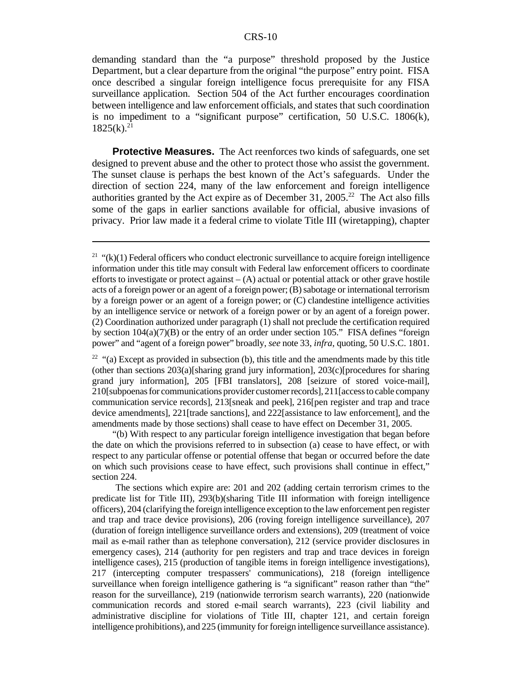demanding standard than the "a purpose" threshold proposed by the Justice Department, but a clear departure from the original "the purpose" entry point. FISA once described a singular foreign intelligence focus prerequisite for any FISA surveillance application. Section 504 of the Act further encourages coordination between intelligence and law enforcement officials, and states that such coordination is no impediment to a "significant purpose" certification, 50 U.S.C. 1806(k),  $1825(k).^{21}$ 

**Protective Measures.** The Act reenforces two kinds of safeguards, one set designed to prevent abuse and the other to protect those who assist the government. The sunset clause is perhaps the best known of the Act's safeguards. Under the direction of section 224, many of the law enforcement and foreign intelligence authorities granted by the Act expire as of December 31, 2005.<sup>22</sup> The Act also fills some of the gaps in earlier sanctions available for official, abusive invasions of privacy. Prior law made it a federal crime to violate Title III (wiretapping), chapter

"(b) With respect to any particular foreign intelligence investigation that began before the date on which the provisions referred to in subsection (a) cease to have effect, or with respect to any particular offense or potential offense that began or occurred before the date on which such provisions cease to have effect, such provisions shall continue in effect," section 224.

The sections which expire are: 201 and 202 (adding certain terrorism crimes to the predicate list for Title III), 293(b)(sharing Title III information with foreign intelligence officers), 204 (clarifying the foreign intelligence exception to the law enforcement pen register and trap and trace device provisions), 206 (roving foreign intelligence surveillance), 207 (duration of foreign intelligence surveillance orders and extensions), 209 (treatment of voice mail as e-mail rather than as telephone conversation), 212 (service provider disclosures in emergency cases), 214 (authority for pen registers and trap and trace devices in foreign intelligence cases), 215 (production of tangible items in foreign intelligence investigations), 217 (intercepting computer trespassers' communications), 218 (foreign intelligence surveillance when foreign intelligence gathering is "a significant" reason rather than "the" reason for the surveillance), 219 (nationwide terrorism search warrants), 220 (nationwide communication records and stored e-mail search warrants), 223 (civil liability and administrative discipline for violations of Title III, chapter 121, and certain foreign intelligence prohibitions), and 225 (immunity for foreign intelligence surveillance assistance).

<sup>&</sup>lt;sup>21</sup> " $(k)(1)$  Federal officers who conduct electronic surveillance to acquire foreign intelligence information under this title may consult with Federal law enforcement officers to coordinate efforts to investigate or protect against  $- (A)$  actual or potential attack or other grave hostile acts of a foreign power or an agent of a foreign power;(B)sabotage or international terrorism by a foreign power or an agent of a foreign power; or (C) clandestine intelligence activities by an intelligence service or network of a foreign power or by an agent of a foreign power. (2) Coordination authorized under paragraph (1) shall not preclude the certification required by section  $104(a)(7)(B)$  or the entry of an order under section 105." FISA defines "foreign power" and "agent of a foreign power" broadly, *see* note 33, *infra*, quoting, 50 U.S.C. 1801.

 $22$  "(a) Except as provided in subsection (b), this title and the amendments made by this title (other than sections 203(a)[sharing grand jury information], 203(c)[procedures for sharing grand jury information], 205 [FBI translators], 208 [seizure of stored voice-mail], 210[subpoenas for communications provider customer records], 211[access to cable company communication service records], 213[sneak and peek], 216[pen register and trap and trace device amendments], 221[trade sanctions], and 222[assistance to law enforcement], and the amendments made by those sections) shall cease to have effect on December 31, 2005.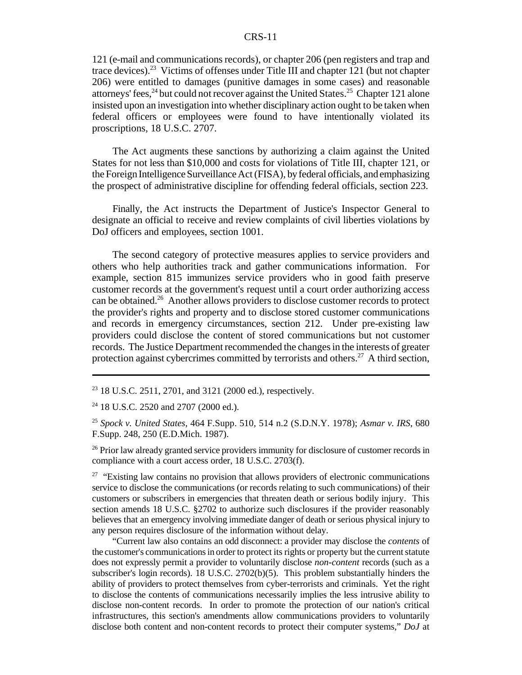121 (e-mail and communicationsrecords), or chapter 206 (pen registers and trap and trace devices).<sup>23</sup> Victims of offenses under Title III and chapter 121 (but not chapter 206) were entitled to damages (punitive damages in some cases) and reasonable attorneys' fees,  $^{24}$  but could not recover against the United States. <sup>25</sup> Chapter 121 alone insisted upon an investigation into whether disciplinary action ought to be taken when federal officers or employees were found to have intentionally violated its proscriptions, 18 U.S.C. 2707.

The Act augments these sanctions by authorizing a claim against the United States for not less than \$10,000 and costs for violations of Title III, chapter 121, or the Foreign Intelligence Surveillance Act (FISA), by federal officials, and emphasizing the prospect of administrative discipline for offending federal officials, section 223.

Finally, the Act instructs the Department of Justice's Inspector General to designate an official to receive and review complaints of civil liberties violations by DoJ officers and employees, section 1001.

The second category of protective measures applies to service providers and others who help authorities track and gather communications information. For example, section 815 immunizes service providers who in good faith preserve customer records at the government's request until a court order authorizing access can be obtained.<sup>26</sup> Another allows providers to disclose customer records to protect the provider's rights and property and to disclose stored customer communications and records in emergency circumstances, section 212. Under pre-existing law providers could disclose the content of stored communications but not customer records. The Justice Department recommended the changes in the interests of greater protection against cybercrimes committed by terrorists and others.<sup>27</sup> A third section,

<sup>26</sup> Prior law already granted service providers immunity for disclosure of customer records in compliance with a court access order, 18 U.S.C. 2703(f).

 $27$  "Existing law contains no provision that allows providers of electronic communications service to disclose the communications (or records relating to such communications) of their customers or subscribers in emergencies that threaten death or serious bodily injury. This section amends 18 U.S.C. §2702 to authorize such disclosures if the provider reasonably believes that an emergency involving immediate danger of death or serious physical injury to any person requires disclosure of the information without delay.

"Current law also contains an odd disconnect: a provider may disclose the *contents* of the customer's communications in order to protect its rights or property but the current statute does not expressly permit a provider to voluntarily disclose *non-content* records (such as a subscriber's login records). 18 U.S.C. 2702(b)(5). This problem substantially hinders the ability of providers to protect themselves from cyber-terrorists and criminals. Yet the right to disclose the contents of communications necessarily implies the less intrusive ability to disclose non-content records. In order to promote the protection of our nation's critical infrastructures, this section's amendments allow communications providers to voluntarily disclose both content and non-content records to protect their computer systems," *DoJ* at

<sup>23</sup> 18 U.S.C. 2511, 2701, and 3121 (2000 ed.), respectively.

<sup>&</sup>lt;sup>24</sup> 18 U.S.C. 2520 and 2707 (2000 ed.).

<sup>25</sup> *Spock v. United States*, 464 F.Supp. 510, 514 n.2 (S.D.N.Y. 1978); *Asmar v. IRS*, 680 F.Supp. 248, 250 (E.D.Mich. 1987).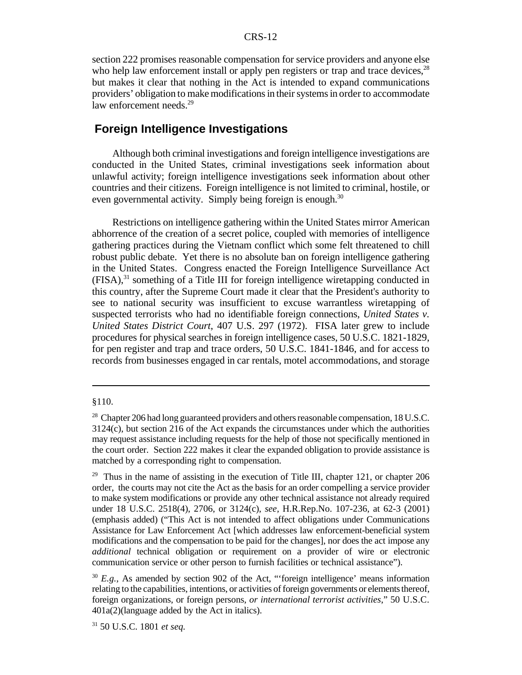section 222 promises reasonable compensation for service providers and anyone else who help law enforcement install or apply pen registers or trap and trace devices,  $2<sup>8</sup>$ but makes it clear that nothing in the Act is intended to expand communications providers' obligation to make modifications in their systems in order to accommodate law enforcement needs.<sup>29</sup>

#### **Foreign Intelligence Investigations**

Although both criminal investigations and foreign intelligence investigations are conducted in the United States, criminal investigations seek information about unlawful activity; foreign intelligence investigations seek information about other countries and their citizens. Foreign intelligence is not limited to criminal, hostile, or even governmental activity. Simply being foreign is enough.<sup>30</sup>

Restrictions on intelligence gathering within the United States mirror American abhorrence of the creation of a secret police, coupled with memories of intelligence gathering practices during the Vietnam conflict which some felt threatened to chill robust public debate. Yet there is no absolute ban on foreign intelligence gathering in the United States. Congress enacted the Foreign Intelligence Surveillance Act  $(FISA)$ ,<sup>31</sup> something of a Title III for foreign intelligence wiretapping conducted in this country, after the Supreme Court made it clear that the President's authority to see to national security was insufficient to excuse warrantless wiretapping of suspected terrorists who had no identifiable foreign connections, *United States v. United States District Court*, 407 U.S. 297 (1972). FISA later grew to include procedures for physical searches in foreign intelligence cases, 50 U.S.C. 1821-1829, for pen register and trap and trace orders, 50 U.S.C. 1841-1846, and for access to records from businesses engaged in car rentals, motel accommodations, and storage

<sup>31</sup> 50 U.S.C. 1801 *et seq.*

<sup>§110.</sup>

<sup>&</sup>lt;sup>28</sup> Chapter 206 had long guaranteed providers and others reasonable compensation, 18 U.S.C. 3124(c), but section 216 of the Act expands the circumstances under which the authorities may request assistance including requests for the help of those not specifically mentioned in the court order. Section 222 makes it clear the expanded obligation to provide assistance is matched by a corresponding right to compensation.

<sup>&</sup>lt;sup>29</sup> Thus in the name of assisting in the execution of Title III, chapter 121, or chapter 206 order, the courts may not cite the Act as the basis for an order compelling a service provider to make system modifications or provide any other technical assistance not already required under 18 U.S.C. 2518(4), 2706, or 3124(c), *see,* H.R.Rep.No. 107-236, at 62-3 (2001) (emphasis added) ("This Act is not intended to affect obligations under Communications Assistance for Law Enforcement Act [which addresses law enforcement-beneficial system modifications and the compensation to be paid for the changes], nor does the act impose any *additional* technical obligation or requirement on a provider of wire or electronic communication service or other person to furnish facilities or technical assistance").

 $30$   $E.g.,$  As amended by section 902 of the Act, "foreign intelligence' means information relating to the capabilities, intentions, or activities of foreign governments or elements thereof, foreign organizations, or foreign persons, *or international terrorist activities*," 50 U.S.C. 401a(2)(language added by the Act in italics).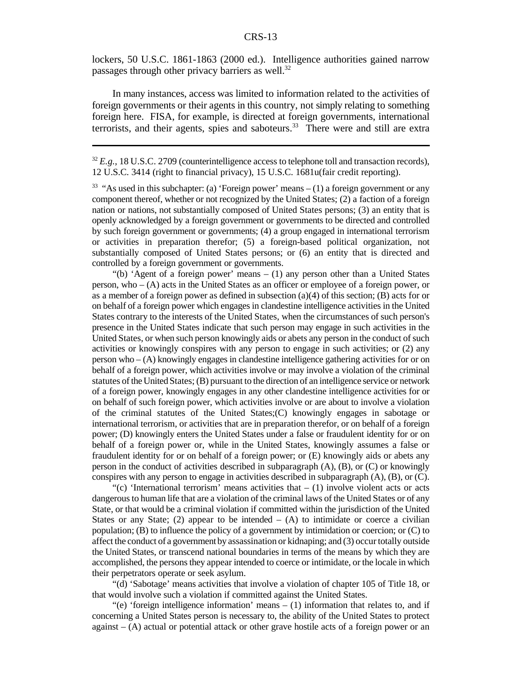lockers, 50 U.S.C. 1861-1863 (2000 ed.). Intelligence authorities gained narrow passages through other privacy barriers as well.<sup>32</sup>

In many instances, access was limited to information related to the activities of foreign governments or their agents in this country, not simply relating to something foreign here. FISA, for example, is directed at foreign governments, international terrorists, and their agents, spies and saboteurs.<sup>33</sup> There were and still are extra

<sup>33</sup> "As used in this subchapter: (a) 'Foreign power' means  $-(1)$  a foreign government or any component thereof, whether or not recognized by the United States; (2) a faction of a foreign nation or nations, not substantially composed of United States persons; (3) an entity that is openly acknowledged by a foreign government or governments to be directed and controlled by such foreign government or governments; (4) a group engaged in international terrorism or activities in preparation therefor; (5) a foreign-based political organization, not substantially composed of United States persons; or (6) an entity that is directed and controlled by a foreign government or governments.

"(b) 'Agent of a foreign power' means  $- (1)$  any person other than a United States person, who – (A) acts in the United States as an officer or employee of a foreign power, or as a member of a foreign power as defined in subsection (a)(4) of this section; (B) acts for or on behalf of a foreign power which engages in clandestine intelligence activities in the United States contrary to the interests of the United States, when the circumstances of such person's presence in the United States indicate that such person may engage in such activities in the United States, or when such person knowingly aids or abets any person in the conduct of such activities or knowingly conspires with any person to engage in such activities; or (2) any person who – (A) knowingly engages in clandestine intelligence gathering activities for or on behalf of a foreign power, which activities involve or may involve a violation of the criminal statutes of the United States; (B) pursuant to the direction of an intelligence service or network of a foreign power, knowingly engages in any other clandestine intelligence activities for or on behalf of such foreign power, which activities involve or are about to involve a violation of the criminal statutes of the United States;(C) knowingly engages in sabotage or international terrorism, or activities that are in preparation therefor, or on behalf of a foreign power; (D) knowingly enters the United States under a false or fraudulent identity for or on behalf of a foreign power or, while in the United States, knowingly assumes a false or fraudulent identity for or on behalf of a foreign power; or (E) knowingly aids or abets any person in the conduct of activities described in subparagraph (A), (B), or (C) or knowingly conspires with any person to engage in activities described in subparagraph (A), (B), or (C).

"(c) 'International terrorism' means activities that  $- (1)$  involve violent acts or acts dangerousto human life that are a violation of the criminal laws of the United States or of any State, or that would be a criminal violation if committed within the jurisdiction of the United States or any State; (2) appear to be intended  $-$  (A) to intimidate or coerce a civilian population; (B) to influence the policy of a government by intimidation or coercion; or (C) to affect the conduct of a government by assassination or kidnaping; and (3) occur totally outside the United States, or transcend national boundaries in terms of the means by which they are accomplished, the persons they appear intended to coerce or intimidate, or the locale in which their perpetrators operate or seek asylum.

"(d) 'Sabotage' means activities that involve a violation of chapter 105 of Title 18, or that would involve such a violation if committed against the United States.

"(e) 'foreign intelligence information' means  $- (1)$  information that relates to, and if concerning a United States person is necessary to, the ability of the United States to protect against – (A) actual or potential attack or other grave hostile acts of a foreign power or an

 $32 E.g., 18 U.S.C. 2709$  (counterintelligence access to telephone toll and transaction records), 12 U.S.C. 3414 (right to financial privacy), 15 U.S.C. 1681u(fair credit reporting).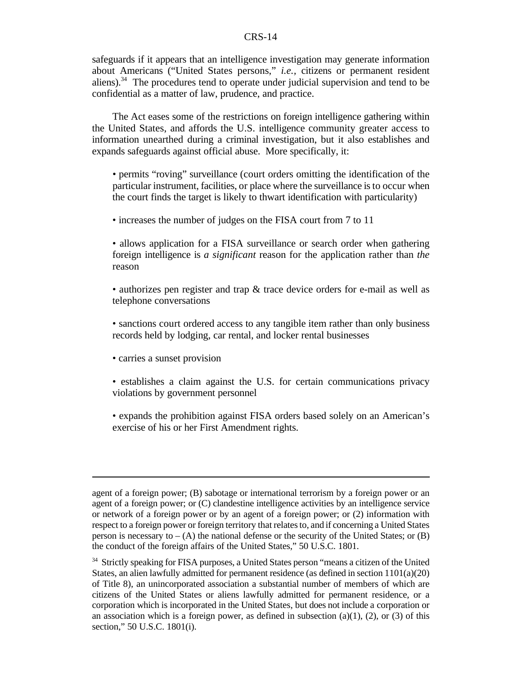safeguards if it appears that an intelligence investigation may generate information about Americans ("United States persons," *i.e.,* citizens or permanent resident aliens).<sup>34</sup> The procedures tend to operate under judicial supervision and tend to be confidential as a matter of law, prudence, and practice.

The Act eases some of the restrictions on foreign intelligence gathering within the United States, and affords the U.S. intelligence community greater access to information unearthed during a criminal investigation, but it also establishes and expands safeguards against official abuse. More specifically, it:

• permits "roving" surveillance (court orders omitting the identification of the particular instrument, facilities, or place where the surveillance is to occur when the court finds the target is likely to thwart identification with particularity)

• increases the number of judges on the FISA court from 7 to 11

• allows application for a FISA surveillance or search order when gathering foreign intelligence is *a significant* reason for the application rather than *the* reason

• authorizes pen register and trap & trace device orders for e-mail as well as telephone conversations

- sanctions court ordered access to any tangible item rather than only business records held by lodging, car rental, and locker rental businesses
- carries a sunset provision
- establishes a claim against the U.S. for certain communications privacy violations by government personnel
- expands the prohibition against FISA orders based solely on an American's exercise of his or her First Amendment rights.

agent of a foreign power; (B) sabotage or international terrorism by a foreign power or an agent of a foreign power; or (C) clandestine intelligence activities by an intelligence service or network of a foreign power or by an agent of a foreign power; or (2) information with respect to a foreign power or foreign territory that relates to, and if concerning a United States person is necessary to  $-(A)$  the national defense or the security of the United States; or  $(B)$ the conduct of the foreign affairs of the United States," 50 U.S.C. 1801.

<sup>&</sup>lt;sup>34</sup> Strictly speaking for FISA purposes, a United States person "means a citizen of the United States, an alien lawfully admitted for permanent residence (as defined in section  $1101(a)(20)$ ) of Title 8), an unincorporated association a substantial number of members of which are citizens of the United States or aliens lawfully admitted for permanent residence, or a corporation which is incorporated in the United States, but does not include a corporation or an association which is a foreign power, as defined in subsection (a)(1), (2), or (3) of this section," 50 U.S.C. 1801(i).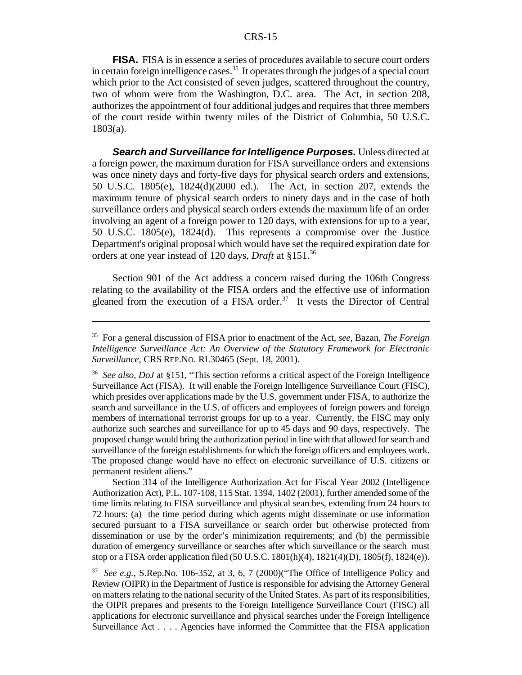**FISA.** FISA is in essence a series of procedures available to secure court orders in certain foreign intelligence cases.<sup>35</sup> It operates through the judges of a special court which prior to the Act consisted of seven judges, scattered throughout the country, two of whom were from the Washington, D.C. area. The Act, in section 208, authorizes the appointment of four additional judges and requires that three members of the court reside within twenty miles of the District of Columbia, 50 U.S.C. 1803(a).

*Search and Surveillance for Intelligence Purposes.* Unless directed at a foreign power, the maximum duration for FISA surveillance orders and extensions was once ninety days and forty-five days for physical search orders and extensions, 50 U.S.C. 1805(e), 1824(d)(2000 ed.). The Act, in section 207, extends the maximum tenure of physical search orders to ninety days and in the case of both surveillance orders and physical search orders extends the maximum life of an order involving an agent of a foreign power to 120 days, with extensions for up to a year, 50 U.S.C. 1805(e), 1824(d). This represents a compromise over the Justice Department's original proposal which would have set the required expiration date for orders at one year instead of 120 days, *Draft* at §151.<sup>36</sup>

Section 901 of the Act address a concern raised during the 106th Congress relating to the availability of the FISA orders and the effective use of information gleaned from the execution of a FISA order. $37$  It vests the Director of Central

Section 314 of the Intelligence Authorization Act for Fiscal Year 2002 (Intelligence Authorization Act), P.L. 107-108, 115 Stat. 1394, 1402 (2001), further amended some of the time limits relating to FISA surveillance and physical searches, extending from 24 hours to 72 hours: (a) the time period during which agents might disseminate or use information secured pursuant to a FISA surveillance or search order but otherwise protected from dissemination or use by the order's minimization requirements; and (b) the permissible duration of emergency surveillance or searches after which surveillance or the search must stop or a FISA order application filed (50 U.S.C. 1801(h)(4), 1821(4)(D), 1805(f), 1824(e)).

<sup>35</sup> For a general discussion of FISA prior to enactment of the Act, *see*, Bazan, *The Foreign Intelligence Surveillance Act: An Overview of the Statutory Framework for Electronic Surveillance*, CRS REP.NO. RL30465 (Sept. 18, 2001).

<sup>&</sup>lt;sup>36</sup> See also, DoJ at §151, "This section reforms a critical aspect of the Foreign Intelligence Surveillance Act (FISA). It will enable the Foreign Intelligence Surveillance Court (FISC), which presides over applications made by the U.S. government under FISA, to authorize the search and surveillance in the U.S. of officers and employees of foreign powers and foreign members of international terrorist groups for up to a year. Currently, the FISC may only authorize such searches and surveillance for up to 45 days and 90 days, respectively. The proposed change would bring the authorization period in line with that allowed forsearch and surveillance of the foreign establishments for which the foreign officers and employees work. The proposed change would have no effect on electronic surveillance of U.S. citizens or permanent resident aliens."

<sup>37</sup> *See e.g.*, S.Rep.No. 106-352, at 3, 6, 7 (2000)("The Office of Intelligence Policy and Review (OIPR) in the Department of Justice is responsible for advising the Attorney General on matters relating to the national security of the United States. As part of its responsibilities, the OIPR prepares and presents to the Foreign Intelligence Surveillance Court (FISC) all applications for electronic surveillance and physical searches under the Foreign Intelligence Surveillance Act . . . . Agencies have informed the Committee that the FISA application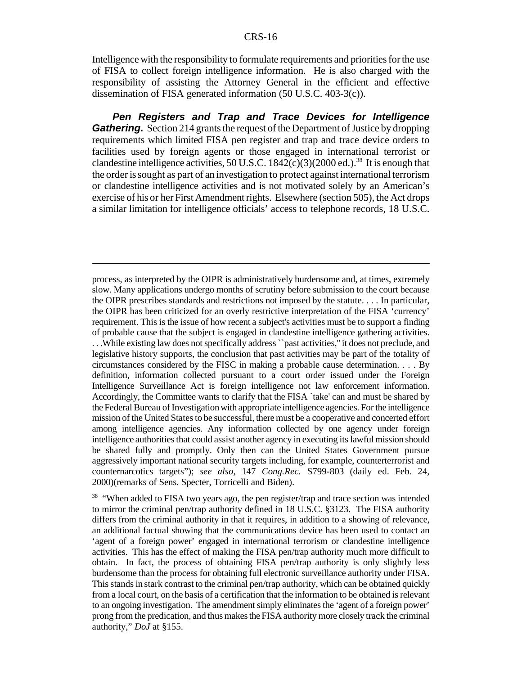Intelligence with the responsibility to formulate requirements and prioritiesforthe use of FISA to collect foreign intelligence information. He is also charged with the responsibility of assisting the Attorney General in the efficient and effective dissemination of FISA generated information (50 U.S.C. 403-3(c)).

*Pen Registers and Trap and Trace Devices for Intelligence Gathering.* Section 214 grants the request of the Department of Justice by dropping requirements which limited FISA pen register and trap and trace device orders to facilities used by foreign agents or those engaged in international terrorist or clandestine intelligence activities, 50 U.S.C.  $1842(c)(3)(2000 ed.)$ <sup>38</sup> It is enough that the order is sought as part of an investigation to protect against international terrorism or clandestine intelligence activities and is not motivated solely by an American's exercise of his or her First Amendment rights. Elsewhere (section 505), the Act drops a similar limitation for intelligence officials' access to telephone records, 18 U.S.C.

process, as interpreted by the OIPR is administratively burdensome and, at times, extremely slow. Many applications undergo months of scrutiny before submission to the court because the OIPR prescribes standards and restrictions not imposed by the statute. . . . In particular, the OIPR has been criticized for an overly restrictive interpretation of the FISA 'currency' requirement. This is the issue of how recent a subject's activities must be to support a finding of probable cause that the subject is engaged in clandestine intelligence gathering activities.

.. . While existing law does not specifically address ``past activities," it does not preclude, and legislative history supports, the conclusion that past activities may be part of the totality of circumstances considered by the FISC in making a probable cause determination. . . . By definition, information collected pursuant to a court order issued under the Foreign Intelligence Surveillance Act is foreign intelligence not law enforcement information. Accordingly, the Committee wants to clarify that the FISA `take' can and must be shared by the Federal Bureau of Investigation with appropriate intelligence agencies. For the intelligence mission of the United States to be successful, there must be a cooperative and concerted effort among intelligence agencies. Any information collected by one agency under foreign intelligence authorities that could assist another agency in executing its lawful mission should be shared fully and promptly. Only then can the United States Government pursue aggressively important national security targets including, for example, counterterrorist and counternarcotics targets"); *see also*, 147 *Cong.Rec.* S799-803 (daily ed. Feb. 24, 2000)(remarks of Sens. Specter, Torricelli and Biden).

<sup>38</sup> "When added to FISA two years ago, the pen register/trap and trace section was intended to mirror the criminal pen/trap authority defined in 18 U.S.C. §3123. The FISA authority differs from the criminal authority in that it requires, in addition to a showing of relevance, an additional factual showing that the communications device has been used to contact an 'agent of a foreign power' engaged in international terrorism or clandestine intelligence activities. This has the effect of making the FISA pen/trap authority much more difficult to obtain. In fact, the process of obtaining FISA pen/trap authority is only slightly less burdensome than the process for obtaining full electronic surveillance authority under FISA. This stands in stark contrast to the criminal pen/trap authority, which can be obtained quickly from a local court, on the basis of a certification that the information to be obtained isrelevant to an ongoing investigation. The amendment simply eliminates the 'agent of a foreign power' prong from the predication, and thusmakestheFISA authority more closely track the criminal authority," *DoJ* at §155.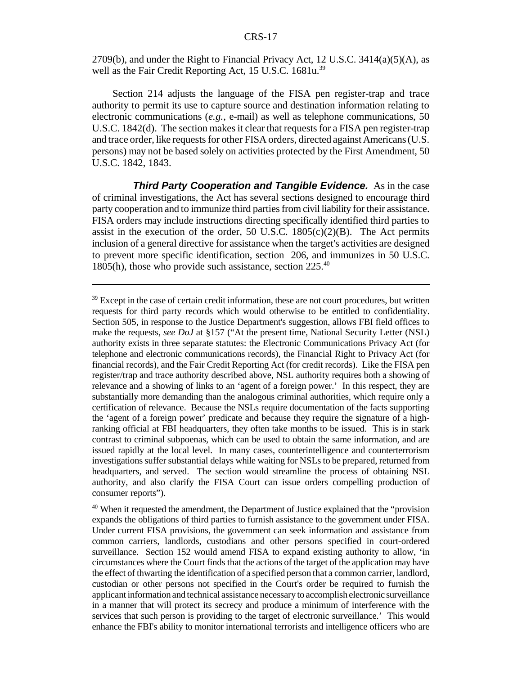2709(b), and under the Right to Financial Privacy Act, 12 U.S.C.  $3414(a)(5)(A)$ , as well as the Fair Credit Reporting Act, 15 U.S.C. 1681u.<sup>39</sup>

Section 214 adjusts the language of the FISA pen register-trap and trace authority to permit its use to capture source and destination information relating to electronic communications (*e.g.*, e-mail) as well as telephone communications, 50 U.S.C. 1842(d). The section makes it clear that requests for a FISA pen register-trap and trace order, like requests for other FISA orders, directed against Americans (U.S. persons) may not be based solely on activities protected by the First Amendment, 50 U.S.C. 1842, 1843.

*Third Party Cooperation and Tangible Evidence.* As in the case of criminal investigations, the Act has several sections designed to encourage third party cooperation and to immunize third parties from civil liability for their assistance. FISA orders may include instructions directing specifically identified third parties to assist in the execution of the order, 50 U.S.C.  $1805(c)(2)(B)$ . The Act permits inclusion of a general directive for assistance when the target's activities are designed to prevent more specific identification, section 206, and immunizes in 50 U.S.C. 1805(h), those who provide such assistance, section 225.<sup>40</sup>

 $39$  Except in the case of certain credit information, these are not court procedures, but written requests for third party records which would otherwise to be entitled to confidentiality. Section 505, in response to the Justice Department's suggestion, allows FBI field offices to make the requests, *see DoJ* at §157 ("At the present time, National Security Letter (NSL) authority exists in three separate statutes: the Electronic Communications Privacy Act (for telephone and electronic communications records), the Financial Right to Privacy Act (for financial records), and the Fair Credit Reporting Act (for credit records). Like the FISA pen register/trap and trace authority described above, NSL authority requires both a showing of relevance and a showing of links to an 'agent of a foreign power.' In this respect, they are substantially more demanding than the analogous criminal authorities, which require only a certification of relevance. Because the NSLs require documentation of the facts supporting the 'agent of a foreign power' predicate and because they require the signature of a highranking official at FBI headquarters, they often take months to be issued. This is in stark contrast to criminal subpoenas, which can be used to obtain the same information, and are issued rapidly at the local level. In many cases, counterintelligence and counterterrorism investigations suffer substantial delays while waiting for NSLs to be prepared, returned from headquarters, and served. The section would streamline the process of obtaining NSL authority, and also clarify the FISA Court can issue orders compelling production of consumer reports").

<sup>&</sup>lt;sup>40</sup> When it requested the amendment, the Department of Justice explained that the "provision" expands the obligations of third parties to furnish assistance to the government under FISA. Under current FISA provisions, the government can seek information and assistance from common carriers, landlords, custodians and other persons specified in court-ordered surveillance. Section 152 would amend FISA to expand existing authority to allow, 'in circumstances where the Court finds that the actions of the target of the application may have the effect of thwarting the identification of a specified person that a common carrier, landlord, custodian or other persons not specified in the Court's order be required to furnish the applicant information and technical assistance necessary to accomplish electronic surveillance in a manner that will protect its secrecy and produce a minimum of interference with the services that such person is providing to the target of electronic surveillance.' This would enhance the FBI's ability to monitor international terrorists and intelligence officers who are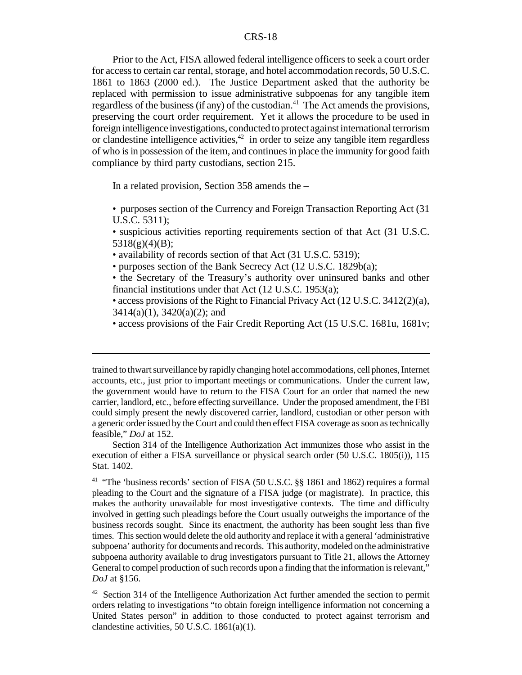Prior to the Act, FISA allowed federal intelligence officers to seek a court order for accessto certain car rental, storage, and hotel accommodation records, 50 U.S.C. 1861 to 1863 (2000 ed.). The Justice Department asked that the authority be replaced with permission to issue administrative subpoenas for any tangible item regardless of the business (if any) of the custodian.<sup>41</sup> The Act amends the provisions, preserving the court order requirement. Yet it allows the procedure to be used in foreign intelligence investigations, conducted to protect against international terrorism or clandestine intelligence activities,<sup>42</sup> in order to seize any tangible item regardless of who is in possession of the item, and continues in place the immunity for good faith compliance by third party custodians, section 215.

In a related provision, Section 358 amends the –

• purposes section of the Currency and Foreign Transaction Reporting Act (31 U.S.C. 5311);

• suspicious activities reporting requirements section of that Act (31 U.S.C.  $5318(g)(4)(B);$ 

• availability of records section of that Act (31 U.S.C. 5319);

• purposes section of the Bank Secrecy Act (12 U.S.C. 1829b(a);

• the Secretary of the Treasury's authority over uninsured banks and other financial institutions under that Act (12 U.S.C. 1953(a);

• access provisions of the Right to Financial Privacy Act (12 U.S.C. 3412(2)(a), 3414(a)(1), 3420(a)(2); and

• access provisions of the Fair Credit Reporting Act (15 U.S.C. 1681u, 1681v;

trained to thwart surveillance by rapidly changing hotel accommodations, cell phones, Internet accounts, etc., just prior to important meetings or communications. Under the current law, the government would have to return to the FISA Court for an order that named the new carrier, landlord, etc., before effecting surveillance. Under the proposed amendment, the FBI could simply present the newly discovered carrier, landlord, custodian or other person with a generic orderissued by the Court and could then effect FISA coverage assoon astechnically feasible," *DoJ* at 152.

Section 314 of the Intelligence Authorization Act immunizes those who assist in the execution of either a FISA surveillance or physical search order (50 U.S.C. 1805(i)), 115 Stat. 1402.

<sup>41</sup> "The 'business records' section of FISA (50 U.S.C. §§ 1861 and 1862) requires a formal pleading to the Court and the signature of a FISA judge (or magistrate). In practice, this makes the authority unavailable for most investigative contexts. The time and difficulty involved in getting such pleadings before the Court usually outweighs the importance of the business records sought. Since its enactment, the authority has been sought less than five times. This section would delete the old authority and replace it with a general 'administrative subpoena' authority for documents and records. This authority, modeled on the administrative subpoena authority available to drug investigators pursuant to Title 21, allows the Attorney General to compel production of such records upon a finding that the information is relevant," *DoJ* at §156.

<sup>42</sup> Section 314 of the Intelligence Authorization Act further amended the section to permit orders relating to investigations "to obtain foreign intelligence information not concerning a United States person" in addition to those conducted to protect against terrorism and clandestine activities, 50 U.S.C. 1861(a)(1).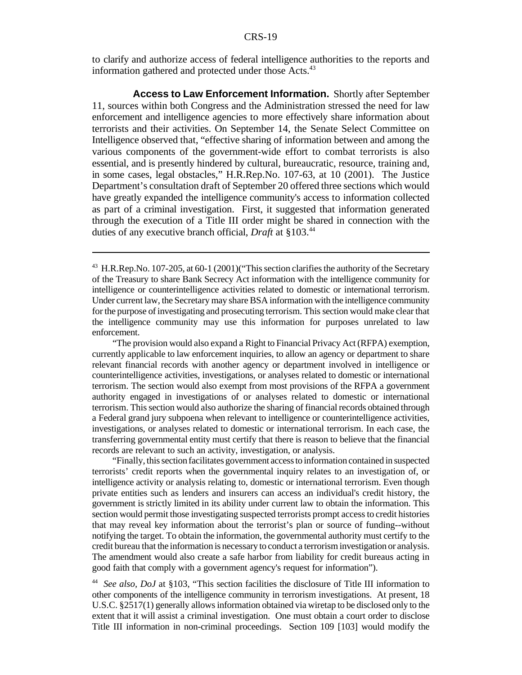to clarify and authorize access of federal intelligence authorities to the reports and information gathered and protected under those Acts.<sup>43</sup>

**Access to Law Enforcement Information.** Shortly after September 11, sources within both Congress and the Administration stressed the need for law enforcement and intelligence agencies to more effectively share information about terrorists and their activities. On September 14, the Senate Select Committee on Intelligence observed that, "effective sharing of information between and among the various components of the government-wide effort to combat terrorists is also essential, and is presently hindered by cultural, bureaucratic, resource, training and, in some cases, legal obstacles," H.R.Rep.No. 107-63, at 10 (2001). The Justice Department's consultation draft of September 20 offered three sections which would have greatly expanded the intelligence community's access to information collected as part of a criminal investigation. First, it suggested that information generated through the execution of a Title III order might be shared in connection with the duties of any executive branch official, *Draft* at §103.<sup>44</sup>

"The provision would also expand a Right to Financial Privacy Act(RFPA) exemption, currently applicable to law enforcement inquiries, to allow an agency or department to share relevant financial records with another agency or department involved in intelligence or counterintelligence activities, investigations, or analyses related to domestic or international terrorism. The section would also exempt from most provisions of the RFPA a government authority engaged in investigations of or analyses related to domestic or international terrorism. This section would also authorize the sharing of financial records obtained through a Federal grand jury subpoena when relevant to intelligence or counterintelligence activities, investigations, or analyses related to domestic or international terrorism. In each case, the transferring governmental entity must certify that there is reason to believe that the financial records are relevant to such an activity, investigation, or analysis.

"Finally, thissection facilitates government access to information contained in suspected terrorists' credit reports when the governmental inquiry relates to an investigation of, or intelligence activity or analysis relating to, domestic or international terrorism. Even though private entities such as lenders and insurers can access an individual's credit history, the government is strictly limited in its ability under current law to obtain the information. This section would permit those investigating suspected terrorists prompt accessto credit histories that may reveal key information about the terrorist's plan or source of funding--without notifying the target. To obtain the information, the governmental authority must certify to the credit bureau that the information is necessary to conduct a terrorisminvestigation or analysis. The amendment would also create a safe harbor from liability for credit bureaus acting in good faith that comply with a government agency's request for information").

44 *See also, DoJ* at §103, "This section facilities the disclosure of Title III information to other components of the intelligence community in terrorism investigations. At present, 18 U.S.C. §2517(1) generally allowsinformation obtained via wiretap to be disclosed only to the extent that it will assist a criminal investigation. One must obtain a court order to disclose Title III information in non-criminal proceedings. Section 109 [103] would modify the

<sup>&</sup>lt;sup>43</sup> H.R.Rep.No. 107-205, at 60-1 (2001)("This section clarifies the authority of the Secretary of the Treasury to share Bank Secrecy Act information with the intelligence community for intelligence or counterintelligence activities related to domestic or international terrorism. Under current law, the Secretary may share BSA information with the intelligence community for the purpose of investigating and prosecuting terrorism. This section would make clear that the intelligence community may use this information for purposes unrelated to law enforcement.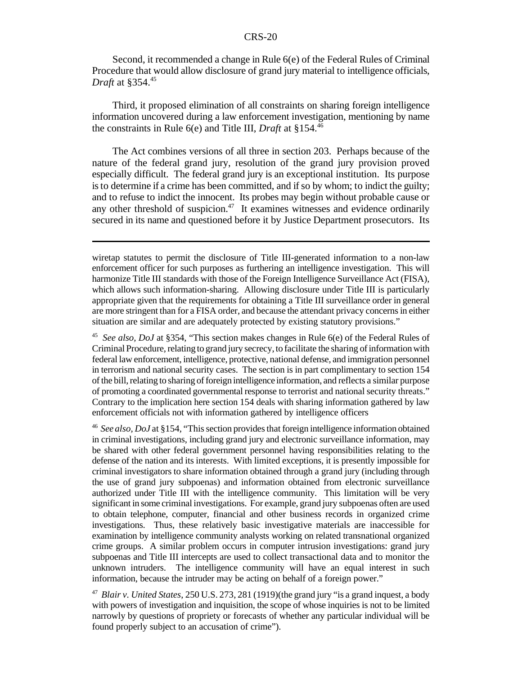Second, it recommended a change in Rule 6(e) of the Federal Rules of Criminal Procedure that would allow disclosure of grand jury material to intelligence officials, *Draft* at §354.<sup>45</sup>

Third, it proposed elimination of all constraints on sharing foreign intelligence information uncovered during a law enforcement investigation, mentioning by name the constraints in Rule  $6(e)$  and Title III, *Draft* at  $$154<sup>46</sup>$ 

The Act combines versions of all three in section 203. Perhaps because of the nature of the federal grand jury, resolution of the grand jury provision proved especially difficult. The federal grand jury is an exceptional institution. Its purpose is to determine if a crime has been committed, and if so by whom; to indict the guilty; and to refuse to indict the innocent. Its probes may begin without probable cause or any other threshold of suspicion.<sup>47</sup> It examines witnesses and evidence ordinarily secured in its name and questioned before it by Justice Department prosecutors. Its

45 *See also, DoJ* at §354, "This section makes changes in Rule 6(e) of the Federal Rules of Criminal Procedure, relating to grand jury secrecy, to facilitate the sharing of information with federal law enforcement, intelligence, protective, national defense, and immigration personnel in terrorism and national security cases. The section is in part complimentary to section 154 of the bill, relating to sharing of foreign intelligence information, and reflects a similar purpose of promoting a coordinated governmental response to terrorist and national security threats." Contrary to the implication here section 154 deals with sharing information gathered by law enforcement officials not with information gathered by intelligence officers

<sup>46</sup> See also, DoJ at §154, "This section provides that foreign intelligence information obtained in criminal investigations, including grand jury and electronic surveillance information, may be shared with other federal government personnel having responsibilities relating to the defense of the nation and its interests. With limited exceptions, it is presently impossible for criminal investigators to share information obtained through a grand jury (including through the use of grand jury subpoenas) and information obtained from electronic surveillance authorized under Title III with the intelligence community. This limitation will be very significant in some criminal investigations. For example, grand jury subpoenas often are used to obtain telephone, computer, financial and other business records in organized crime investigations. Thus, these relatively basic investigative materials are inaccessible for examination by intelligence community analysts working on related transnational organized crime groups. A similar problem occurs in computer intrusion investigations: grand jury subpoenas and Title III intercepts are used to collect transactional data and to monitor the unknown intruders. The intelligence community will have an equal interest in such information, because the intruder may be acting on behalf of a foreign power."

47 *Blair v. United States*, 250 U.S. 273, 281 (1919)(the grand jury "is a grand inquest, a body with powers of investigation and inquisition, the scope of whose inquiries is not to be limited narrowly by questions of propriety or forecasts of whether any particular individual will be found properly subject to an accusation of crime").

wiretap statutes to permit the disclosure of Title III-generated information to a non-law enforcement officer for such purposes as furthering an intelligence investigation. This will harmonize Title III standards with those of the Foreign Intelligence Surveillance Act (FISA), which allows such information-sharing. Allowing disclosure under Title III is particularly appropriate given that the requirements for obtaining a Title III surveillance order in general are more stringent than for a FISA order, and because the attendant privacy concernsin either situation are similar and are adequately protected by existing statutory provisions."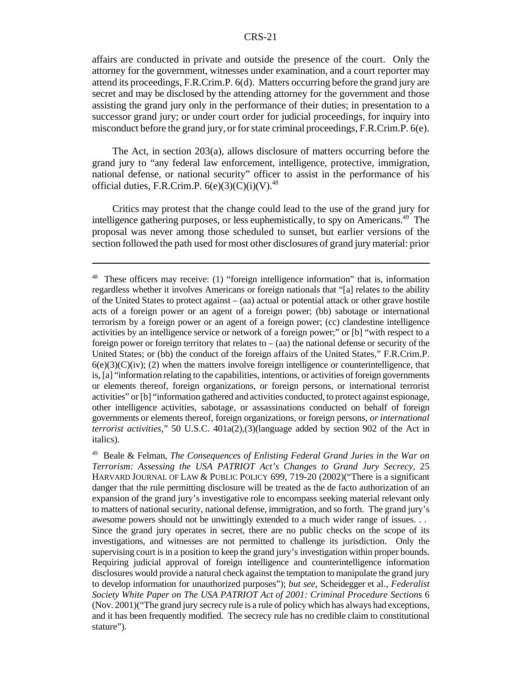affairs are conducted in private and outside the presence of the court. Only the attorney for the government, witnesses under examination, and a court reporter may attend its proceedings, F.R.Crim.P. 6(d). Matters occurring before the grand jury are secret and may be disclosed by the attending attorney for the government and those assisting the grand jury only in the performance of their duties; in presentation to a successor grand jury; or under court order for judicial proceedings, for inquiry into misconduct before the grand jury, or forstate criminal proceedings, F.R.Crim.P. 6(e).

The Act, in section 203(a), allows disclosure of matters occurring before the grand jury to "any federal law enforcement, intelligence, protective, immigration, national defense, or national security" officer to assist in the performance of his official duties, F.R.Crim.P.  $6(e)(3)(C)(i)(V).$ <sup>48</sup>

Critics may protest that the change could lead to the use of the grand jury for intelligence gathering purposes, or less euphemistically, to spy on Americans.<sup>49</sup> The proposal was never among those scheduled to sunset, but earlier versions of the section followed the path used for most other disclosures of grand jury material: prior

<sup>&</sup>lt;sup>48</sup> These officers may receive: (1) "foreign intelligence information" that is, information regardless whether it involves Americans or foreign nationals that "[a] relates to the ability of the United States to protect against – (aa) actual or potential attack or other grave hostile acts of a foreign power or an agent of a foreign power; (bb) sabotage or international terrorism by a foreign power or an agent of a foreign power; (cc) clandestine intelligence activities by an intelligence service or network of a foreign power;" or [b] "with respect to a foreign power or foreign territory that relates to  $-$  (aa) the national defense or security of the United States; or (bb) the conduct of the foreign affairs of the United States," F.R.Crim.P.  $6(e)(3)(C)(iv)$ ; (2) when the matters involve foreign intelligence or counterintelligence, that is, [a] "information relating to the capabilities, intentions, or activities of foreign governments or elements thereof, foreign organizations, or foreign persons, or international terrorist activities" or [b] "information gathered and activities conducted, to protect against espionage, other intelligence activities, sabotage, or assassinations conducted on behalf of foreign governments or elements thereof, foreign organizations, or foreign persons, *or international terrorist activities*," 50 U.S.C. 401a(2),(3)(language added by section 902 of the Act in italics).

<sup>49</sup> Beale & Felman, *The Consequences of Enlisting Federal Grand Juries in the War on Terrorism: Assessing the USA PATRIOT Act's Changes to Grand Jury Secrecy*, 25 HARVARD JOURNAL OF LAW & PUBLIC POLICY 699, 719-20 (2002)("There is a significant danger that the rule permitting disclosure will be treated as the de facto authorization of an expansion of the grand jury's investigative role to encompass seeking material relevant only to matters of national security, national defense, immigration, and so forth. The grand jury's awesome powers should not be unwittingly extended to a much wider range of issues. . . Since the grand jury operates in secret, there are no public checks on the scope of its investigations, and witnesses are not permitted to challenge its jurisdiction. Only the supervising court is in a position to keep the grand jury's investigation within proper bounds. Requiring judicial approval of foreign intelligence and counterintelligence information disclosures would provide a natural check against the temptation to manipulate the grand jury to develop information for unauthorized purposes"); *but see*, Scheidegger et al., *Federalist Society White Paper on The USA PATRIOT Act of 2001: Criminal Procedure Sections* 6 (Nov. 2001)("The grand jury secrecy rule is a rule of policy which has always had exceptions, and it has been frequently modified. The secrecy rule has no credible claim to constitutional stature").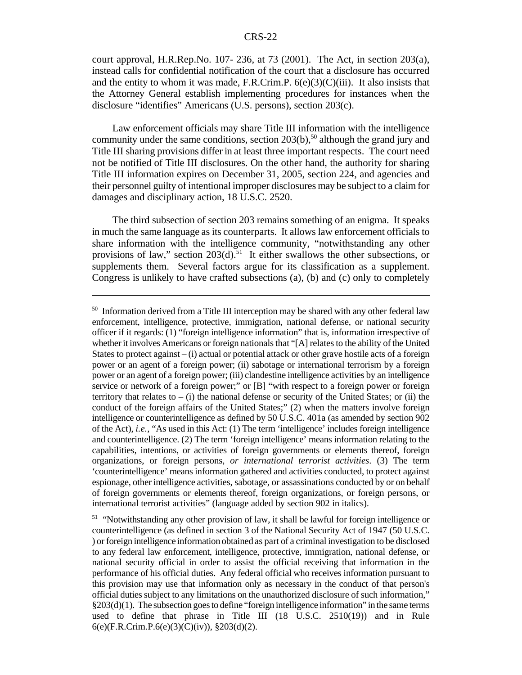court approval, H.R.Rep.No. 107- 236, at 73 (2001). The Act, in section 203(a), instead calls for confidential notification of the court that a disclosure has occurred and the entity to whom it was made, F.R.Crim.P.  $6(e)(3)(C)(iii)$ . It also insists that the Attorney General establish implementing procedures for instances when the disclosure "identifies" Americans (U.S. persons), section 203(c).

Law enforcement officials may share Title III information with the intelligence community under the same conditions, section  $203(b)$ ,<sup>50</sup> although the grand jury and Title III sharing provisions differ in at least three important respects. The court need not be notified of Title III disclosures. On the other hand, the authority for sharing Title III information expires on December 31, 2005, section 224, and agencies and their personnel guilty of intentional improper disclosures may be subject to a claim for damages and disciplinary action, 18 U.S.C. 2520.

The third subsection of section 203 remains something of an enigma. It speaks in much the same language as its counterparts. It allows law enforcement officials to share information with the intelligence community, "notwithstanding any other provisions of law," section  $203(d)$ .<sup>51</sup> It either swallows the other subsections, or supplements them. Several factors argue for its classification as a supplement. Congress is unlikely to have crafted subsections (a), (b) and (c) only to completely

<sup>&</sup>lt;sup>50</sup> Information derived from a Title III interception may be shared with any other federal law enforcement, intelligence, protective, immigration, national defense, or national security officer if it regards: (1) "foreign intelligence information" that is, information irrespective of whether it involves Americans or foreign nationals that "[A] relates to the ability of the United States to protect against – (i) actual or potential attack or other grave hostile acts of a foreign power or an agent of a foreign power; (ii) sabotage or international terrorism by a foreign power or an agent of a foreign power; (iii) clandestine intelligence activities by an intelligence service or network of a foreign power;" or [B] "with respect to a foreign power or foreign territory that relates to  $-$  (i) the national defense or security of the United States; or (ii) the conduct of the foreign affairs of the United States;" (2) when the matters involve foreign intelligence or counterintelligence as defined by 50 U.S.C. 401a (as amended by section 902 of the Act), *i.e.*, "As used in this Act: (1) The term 'intelligence' includes foreign intelligence and counterintelligence. (2) The term 'foreign intelligence' means information relating to the capabilities, intentions, or activities of foreign governments or elements thereof, foreign organizations, or foreign persons, *or international terrorist activities*. (3) The term 'counterintelligence' means information gathered and activities conducted, to protect against espionage, other intelligence activities, sabotage, or assassinations conducted by or on behalf of foreign governments or elements thereof, foreign organizations, or foreign persons, or international terrorist activities" (language added by section 902 in italics).

<sup>&</sup>lt;sup>51</sup> "Notwithstanding any other provision of law, it shall be lawful for foreign intelligence or counterintelligence (as defined in section 3 of the National Security Act of 1947 (50 U.S.C. ) or foreign intelligence information obtained as part of a criminal investigation to be disclosed to any federal law enforcement, intelligence, protective, immigration, national defense, or national security official in order to assist the official receiving that information in the performance of his official duties. Any federal official who receives information pursuant to this provision may use that information only as necessary in the conduct of that person's official dutiessubject to any limitations on the unauthorized disclosure of such information,"  $\S 203(d)(1)$ . The subsection goes to define "foreign intelligence information" in the same terms used to define that phrase in Title III (18 U.S.C. 2510(19)) and in Rule  $6(e)$ (F.R.Crim.P. $6(e)$ (3)(C)(iv)), §203(d)(2).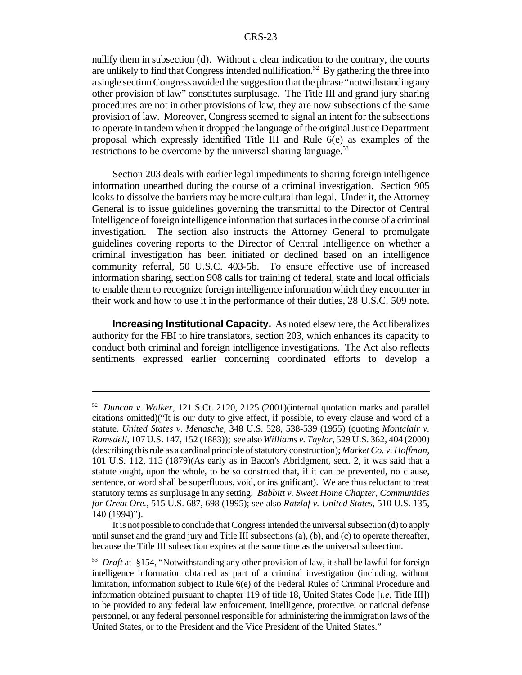nullify them in subsection (d). Without a clear indication to the contrary, the courts are unlikely to find that Congress intended nullification.<sup>52</sup> By gathering the three into a single sectionCongress avoided the suggestion that the phrase "notwithstanding any other provision of law" constitutes surplusage. The Title III and grand jury sharing procedures are not in other provisions of law, they are now subsections of the same provision of law. Moreover, Congress seemed to signal an intent for the subsections to operate in tandem when it dropped the language of the original Justice Department proposal which expressly identified Title III and Rule 6(e) as examples of the restrictions to be overcome by the universal sharing language.<sup>53</sup>

Section 203 deals with earlier legal impediments to sharing foreign intelligence information unearthed during the course of a criminal investigation. Section 905 looks to dissolve the barriers may be more cultural than legal. Under it, the Attorney General is to issue guidelines governing the transmittal to the Director of Central Intelligence of foreign intelligence information that surfaces in the course of a criminal investigation. The section also instructs the Attorney General to promulgate guidelines covering reports to the Director of Central Intelligence on whether a criminal investigation has been initiated or declined based on an intelligence community referral, 50 U.S.C. 403-5b. To ensure effective use of increased information sharing, section 908 calls for training of federal, state and local officials to enable them to recognize foreign intelligence information which they encounter in their work and how to use it in the performance of their duties, 28 U.S.C. 509 note.

**Increasing Institutional Capacity.** As noted elsewhere, the Act liberalizes authority for the FBI to hire translators, section 203, which enhances its capacity to conduct both criminal and foreign intelligence investigations. The Act also reflects sentiments expressed earlier concerning coordinated efforts to develop a

<sup>52</sup> *Duncan v. Walker*, 121 S.Ct. 2120, 2125 (2001)(internal quotation marks and parallel citations omitted)("It is our duty to give effect, if possible, to every clause and word of a statute. *United States v. Menasche*, 348 U.S. 528, 538-539 (1955) (quoting *Montclair v. Ramsdell,* 107 U.S. 147, 152 (1883)); see also *Williams v. Taylor,* 529 U.S. 362, 404 (2000) (describing this rule as a cardinal principle of statutory construction); *Market Co. v. Hoffman*, 101 U.S. 112, 115 (1879)(As early as in Bacon's Abridgment, sect. 2, it was said that a statute ought, upon the whole, to be so construed that, if it can be prevented, no clause, sentence, or word shall be superfluous, void, or insignificant). We are thus reluctant to treat statutory terms as surplusage in any setting. *Babbitt v. Sweet Home Chapter, Communities for Great Ore.,* 515 U.S. 687, 698 (1995); see also *Ratzlaf v. United States,* 510 U.S. 135, 140 (1994)").

It is not possible to conclude that Congress intended the universal subsection (d) to apply until sunset and the grand jury and Title III subsections (a), (b), and (c) to operate thereafter, because the Title III subsection expires at the same time as the universal subsection.

<sup>53</sup> *Draft* at §154, "Notwithstanding any other provision of law, it shall be lawful for foreign intelligence information obtained as part of a criminal investigation (including, without limitation, information subject to Rule 6(e) of the Federal Rules of Criminal Procedure and information obtained pursuant to chapter 119 of title 18, United States Code [*i.e.* Title III]) to be provided to any federal law enforcement, intelligence, protective, or national defense personnel, or any federal personnel responsible for administering the immigration laws of the United States, or to the President and the Vice President of the United States."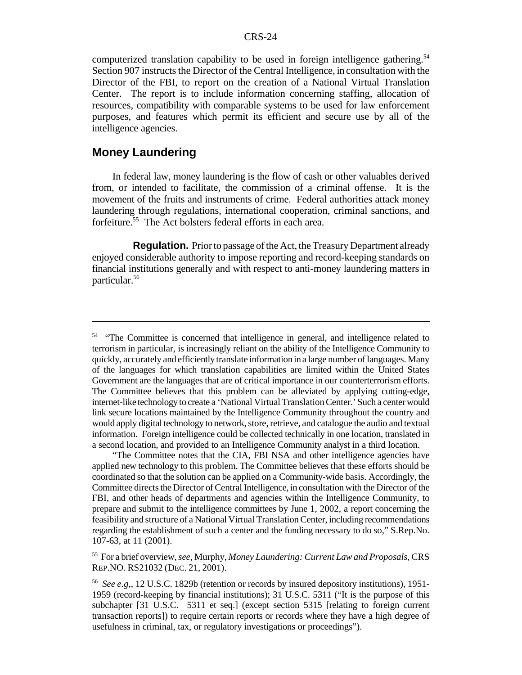computerized translation capability to be used in foreign intelligence gathering.<sup>54</sup> Section 907 instructs the Director of the Central Intelligence, in consultation with the Director of the FBI, to report on the creation of a National Virtual Translation Center. The report is to include information concerning staffing, allocation of resources, compatibility with comparable systems to be used for law enforcement purposes, and features which permit its efficient and secure use by all of the intelligence agencies.

#### **Money Laundering**

In federal law, money laundering is the flow of cash or other valuables derived from, or intended to facilitate, the commission of a criminal offense. It is the movement of the fruits and instruments of crime. Federal authorities attack money laundering through regulations, international cooperation, criminal sanctions, and forfeiture.<sup>55</sup> The Act bolsters federal efforts in each area.

**Regulation.** Prior to passage of the Act, the Treasury Department already enjoyed considerable authority to impose reporting and record-keeping standards on financial institutions generally and with respect to anti-money laundering matters in particular.56

<sup>&</sup>lt;sup>54</sup> "The Committee is concerned that intelligence in general, and intelligence related to terrorism in particular, is increasingly reliant on the ability of the Intelligence Community to quickly, accurately and efficiently translate information in a large number oflanguages. Many of the languages for which translation capabilities are limited within the United States Government are the languages that are of critical importance in our counterterrorism efforts. The Committee believes that this problem can be alleviated by applying cutting-edge, internet-like technology to create a 'National Virtual Translation Center.' Such a center would link secure locations maintained by the Intelligence Community throughout the country and would apply digital technology to network, store, retrieve, and catalogue the audio and textual information. Foreign intelligence could be collected technically in one location, translated in a second location, and provided to an Intelligence Community analyst in a third location.

<sup>&</sup>quot;The Committee notes that the CIA, FBI NSA and other intelligence agencies have applied new technology to this problem. The Committee believes that these efforts should be coordinated so that the solution can be applied on a Community-wide basis. Accordingly, the Committee directs the Director of Central Intelligence, in consultation with the Director of the FBI, and other heads of departments and agencies within the Intelligence Community, to prepare and submit to the intelligence committees by June 1, 2002, a report concerning the feasibility and structure of a National Virtual Translation Center, including recommendations regarding the establishment of such a center and the funding necessary to do so," S.Rep.No. 107-63, at 11 (2001).

<sup>55</sup> For a brief overview, *see*, Murphy, *Money Laundering: Current Lawand Proposals*, CRS REP.NO. RS21032 (DEC. 21, 2001).

<sup>56</sup> *See e.g,*, 12 U.S.C. 1829b (retention or records by insured depository institutions), 1951- 1959 (record-keeping by financial institutions); 31 U.S.C. 5311 ("It is the purpose of this subchapter [31 U.S.C. 5311 et seq.] (except section 5315 [relating to foreign current transaction reports]) to require certain reports or records where they have a high degree of usefulness in criminal, tax, or regulatory investigations or proceedings").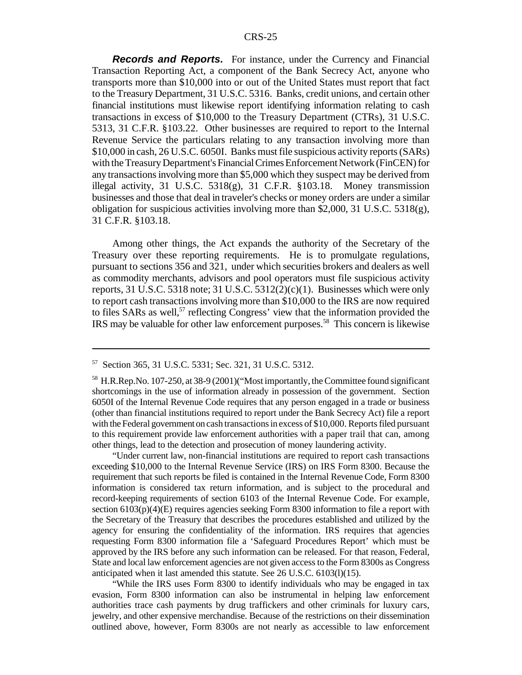*Records and Reports.* For instance, under the Currency and Financial Transaction Reporting Act, a component of the Bank Secrecy Act, anyone who transports more than \$10,000 into or out of the United States must report that fact to the Treasury Department, 31 U.S.C. 5316. Banks, credit unions, and certain other financial institutions must likewise report identifying information relating to cash transactions in excess of \$10,000 to the Treasury Department (CTRs), 31 U.S.C. 5313, 31 C.F.R. §103.22. Other businesses are required to report to the Internal Revenue Service the particulars relating to any transaction involving more than \$10,000 in cash, 26 U.S.C. 6050I. Banks must file suspicious activity reports (SARs) with the Treasury Department's Financial Crimes Enforcement Network (FinCEN) for any transactionsinvolving more than \$5,000 which they suspect may be derived from illegal activity, 31 U.S.C.  $5318(g)$ , 31 C.F.R.  $\S 103.18$ . Money transmission businesses and those that deal in traveler's checks or money orders are under a similar obligation for suspicious activities involving more than \$2,000, 31 U.S.C.  $5318(g)$ , 31 C.F.R. §103.18.

Among other things, the Act expands the authority of the Secretary of the Treasury over these reporting requirements. He is to promulgate regulations, pursuant to sections 356 and 321, under which securities brokers and dealers as well as commodity merchants, advisors and pool operators must file suspicious activity reports, 31 U.S.C. 5318 note; 31 U.S.C. 5312 $(2)(c)(1)$ . Businesses which were only to report cash transactions involving more than \$10,000 to the IRS are now required to files SARs as well,<sup>57</sup> reflecting Congress' view that the information provided the IRS may be valuable for other law enforcement purposes.<sup>58</sup> This concern is likewise

"Under current law, non-financial institutions are required to report cash transactions exceeding \$10,000 to the Internal Revenue Service (IRS) on IRS Form 8300. Because the requirement that such reports be filed is contained in the Internal Revenue Code, Form 8300 information is considered tax return information, and is subject to the procedural and record-keeping requirements of section 6103 of the Internal Revenue Code. For example, section  $6103(p)(4)(E)$  requires agencies seeking Form 8300 information to file a report with the Secretary of the Treasury that describes the procedures established and utilized by the agency for ensuring the confidentiality of the information. IRS requires that agencies requesting Form 8300 information file a 'Safeguard Procedures Report' which must be approved by the IRS before any such information can be released. For that reason, Federal, State and local law enforcement agencies are not given accessto the Form 8300s as Congress anticipated when it last amended this statute. See 26 U.S.C. 6103(l)(15).

"While the IRS uses Form 8300 to identify individuals who may be engaged in tax evasion, Form 8300 information can also be instrumental in helping law enforcement authorities trace cash payments by drug traffickers and other criminals for luxury cars, jewelry, and other expensive merchandise. Because of the restrictions on their dissemination outlined above, however, Form 8300s are not nearly as accessible to law enforcement

<sup>57</sup> Section 365, 31 U.S.C. 5331; Sec. 321, 31 U.S.C. 5312.

<sup>58</sup> H.R.Rep.No. 107-250, at 38-9 (2001)("Most importantly, the Committee found significant shortcomings in the use of information already in possession of the government. Section 6050I of the Internal Revenue Code requires that any person engaged in a trade or business (other than financial institutions required to report under the Bank Secrecy Act) file a report with the Federal government on cash transactions in excess of \$10,000. Reports filed pursuant to this requirement provide law enforcement authorities with a paper trail that can, among other things, lead to the detection and prosecution of money laundering activity.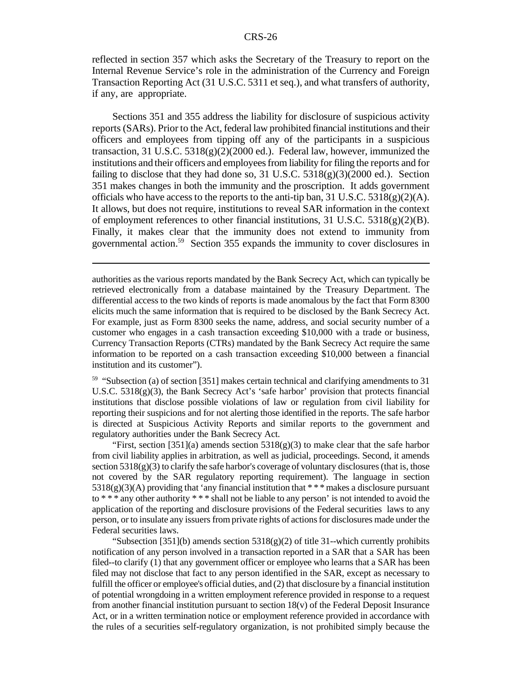reflected in section 357 which asks the Secretary of the Treasury to report on the Internal Revenue Service's role in the administration of the Currency and Foreign Transaction Reporting Act (31 U.S.C. 5311 et seq.), and what transfers of authority, if any, are appropriate.

Sections 351 and 355 address the liability for disclosure of suspicious activity reports (SARs). Prior to the Act, federal law prohibited financial institutions and their officers and employees from tipping off any of the participants in a suspicious transaction, 31 U.S.C.  $5318(g)(2)(2000$  ed.). Federal law, however, immunized the institutions and their officers and employees from liability for filing the reports and for failing to disclose that they had done so, 31 U.S.C.  $5318(g)(3)(2000$  ed.). Section 351 makes changes in both the immunity and the proscription. It adds government officials who have access to the reports to the anti-tip ban, 31 U.S.C.  $5318(g)(2)(A)$ . It allows, but does not require, institutions to reveal SAR information in the context of employment references to other financial institutions, 31 U.S.C.  $5318(g)(2)(B)$ . Finally, it makes clear that the immunity does not extend to immunity from governmental action.<sup>59</sup> Section 355 expands the immunity to cover disclosures in

authorities as the various reports mandated by the Bank Secrecy Act, which can typically be retrieved electronically from a database maintained by the Treasury Department. The differential access to the two kinds of reports is made anomalous by the fact that Form 8300 elicits much the same information that is required to be disclosed by the Bank Secrecy Act. For example, just as Form 8300 seeks the name, address, and social security number of a customer who engages in a cash transaction exceeding \$10,000 with a trade or business, Currency Transaction Reports (CTRs) mandated by the Bank Secrecy Act require the same information to be reported on a cash transaction exceeding \$10,000 between a financial institution and its customer").

 $59$  "Subsection (a) of section [351] makes certain technical and clarifying amendments to 31 U.S.C.  $5318(g)(3)$ , the Bank Secrecy Act's 'safe harbor' provision that protects financial institutions that disclose possible violations of law or regulation from civil liability for reporting their suspicions and for not alerting those identified in the reports. The safe harbor is directed at Suspicious Activity Reports and similar reports to the government and regulatory authorities under the Bank Secrecy Act.

"First, section [351](a) amends section  $5318(g)(3)$  to make clear that the safe harbor from civil liability applies in arbitration, as well as judicial, proceedings. Second, it amends section  $5318(g)(3)$  to clarify the safe harbor's coverage of voluntary disclosures (that is, those not covered by the SAR regulatory reporting requirement). The language in section  $5318(g)(3)(A)$  providing that 'any financial institution that \*\*\* makes a disclosure pursuant to \*\*\* any other authority \*\*\* shall not be liable to any person' is not intended to avoid the application of the reporting and disclosure provisions of the Federal securities laws to any person, or to insulate any issuersfrom private rights of actionsfor disclosures made under the Federal securities laws.

"Subsection [351](b) amends section  $5318(g)(2)$  of title 31--which currently prohibits notification of any person involved in a transaction reported in a SAR that a SAR has been filed--to clarify (1) that any government officer or employee who learns that a SAR has been filed may not disclose that fact to any person identified in the SAR, except as necessary to fulfill the officer or employee's official duties, and (2) that disclosure by a financial institution of potential wrongdoing in a written employment reference provided in response to a request from another financial institution pursuant to section 18(v) of the Federal Deposit Insurance Act, or in a written termination notice or employment reference provided in accordance with the rules of a securities self-regulatory organization, is not prohibited simply because the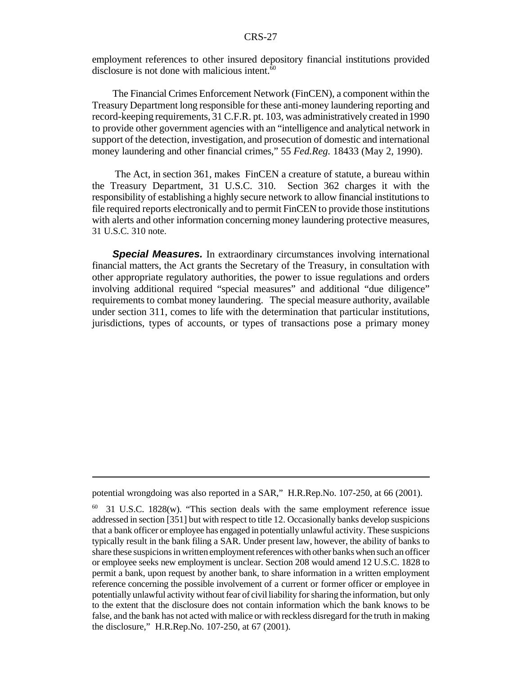employment references to other insured depository financial institutions provided disclosure is not done with malicious intent.<sup>60</sup>

The Financial Crimes Enforcement Network (FinCEN), a component within the Treasury Department long responsible for these anti-money laundering reporting and record-keeping requirements, 31 C.F.R. pt. 103, was administratively created in 1990 to provide other government agencies with an "intelligence and analytical network in support of the detection, investigation, and prosecution of domestic and international money laundering and other financial crimes," 55 *Fed.Reg.* 18433 (May 2, 1990).

The Act, in section 361, makes FinCEN a creature of statute, a bureau within the Treasury Department, 31 U.S.C. 310. Section 362 charges it with the responsibility of establishing a highly secure network to allow financial institutionsto file required reports electronically and to permit FinCEN to provide those institutions with alerts and other information concerning money laundering protective measures, 31 U.S.C. 310 note.

*Special Measures.* In extraordinary circumstances involving international financial matters, the Act grants the Secretary of the Treasury, in consultation with other appropriate regulatory authorities, the power to issue regulations and orders involving additional required "special measures" and additional "due diligence" requirements to combat money laundering. The special measure authority, available under section 311, comes to life with the determination that particular institutions, jurisdictions, types of accounts, or types of transactions pose a primary money

potential wrongdoing was also reported in a SAR," H.R.Rep.No. 107-250, at 66 (2001).

 $60$  31 U.S.C. 1828(w). "This section deals with the same employment reference issue addressed in section [351] but with respect to title 12. Occasionally banks develop suspicions that a bank officer or employee has engaged in potentially unlawful activity. These suspicions typically result in the bank filing a SAR. Under present law, however, the ability of banks to share these suspicions in written employment references with other banks when such an officer or employee seeks new employment is unclear. Section 208 would amend 12 U.S.C. 1828 to permit a bank, upon request by another bank, to share information in a written employment reference concerning the possible involvement of a current or former officer or employee in potentially unlawful activity without fear of civil liability for sharing the information, but only to the extent that the disclosure does not contain information which the bank knows to be false, and the bank has not acted with malice or with reckless disregard for the truth in making the disclosure," H.R.Rep.No. 107-250, at 67 (2001).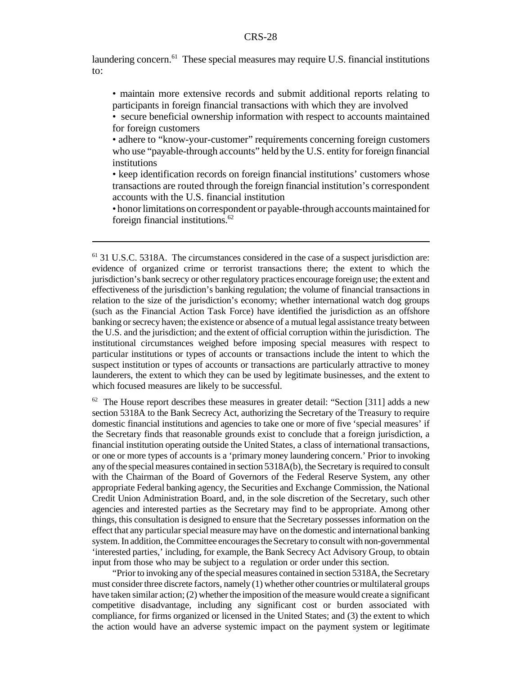laundering concern.<sup>61</sup> These special measures may require U.S. financial institutions to:

• maintain more extensive records and submit additional reports relating to participants in foreign financial transactions with which they are involved

• secure beneficial ownership information with respect to accounts maintained for foreign customers

• adhere to "know-your-customer" requirements concerning foreign customers who use "payable-through accounts" held by the U.S. entity for foreign financial institutions

• keep identification records on foreign financial institutions' customers whose transactions are routed through the foreign financial institution's correspondent accounts with the U.S. financial institution

• honor limitations on correspondent or payable-through accounts maintained for foreign financial institutions.62

 $62$  The House report describes these measures in greater detail: "Section [311] adds a new section 5318A to the Bank Secrecy Act, authorizing the Secretary of the Treasury to require domestic financial institutions and agencies to take one or more of five 'special measures' if the Secretary finds that reasonable grounds exist to conclude that a foreign jurisdiction, a financial institution operating outside the United States, a class of international transactions, or one or more types of accounts is a 'primary money laundering concern.' Prior to invoking any of the special measures contained in section 5318A(b), the Secretary is required to consult with the Chairman of the Board of Governors of the Federal Reserve System, any other appropriate Federal banking agency, the Securities and Exchange Commission, the National Credit Union Administration Board, and, in the sole discretion of the Secretary, such other agencies and interested parties as the Secretary may find to be appropriate. Among other things, this consultation is designed to ensure that the Secretary possesses information on the effect that any particular special measure may have on the domestic and international banking system. In addition, the Committee encourages the Secretary to consult with non-governmental 'interested parties,' including, for example, the Bank Secrecy Act Advisory Group, to obtain input from those who may be subject to a regulation or order under this section.

"Prior to invoking any of the special measures contained in section 5318A, the Secretary must consider three discrete factors, namely (1) whether other countries or multilateral groups have taken similar action; (2) whether the imposition of the measure would create a significant competitive disadvantage, including any significant cost or burden associated with compliance, for firms organized or licensed in the United States; and (3) the extent to which the action would have an adverse systemic impact on the payment system or legitimate

<sup>61</sup> 31 U.S.C. 5318A. The circumstances considered in the case of a suspect jurisdiction are: evidence of organized crime or terrorist transactions there; the extent to which the jurisdiction's bank secrecy or other regulatory practices encourage foreign use; the extent and effectiveness of the jurisdiction's banking regulation; the volume of financial transactions in relation to the size of the jurisdiction's economy; whether international watch dog groups (such as the Financial Action Task Force) have identified the jurisdiction as an offshore banking or secrecy haven; the existence or absence of a mutual legal assistance treaty between the U.S. and the jurisdiction; and the extent of official corruption within the jurisdiction. The institutional circumstances weighed before imposing special measures with respect to particular institutions or types of accounts or transactions include the intent to which the suspect institution or types of accounts or transactions are particularly attractive to money launderers, the extent to which they can be used by legitimate businesses, and the extent to which focused measures are likely to be successful.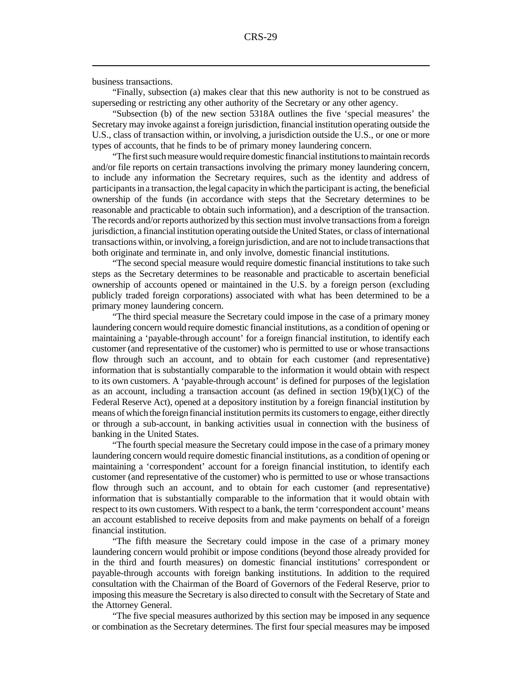business transactions.

"Finally, subsection (a) makes clear that this new authority is not to be construed as superseding or restricting any other authority of the Secretary or any other agency.

"Subsection (b) of the new section 5318A outlines the five 'special measures' the Secretary may invoke against a foreign jurisdiction,financial institution operating outside the U.S., class of transaction within, or involving, a jurisdiction outside the U.S., or one or more types of accounts, that he finds to be of primary money laundering concern.

"The first such measure would require domestic financial institutions to maintain records and/or file reports on certain transactions involving the primary money laundering concern, to include any information the Secretary requires, such as the identity and address of participantsin a transaction, the legal capacity inwhich the participant is acting, the beneficial ownership of the funds (in accordance with steps that the Secretary determines to be reasonable and practicable to obtain such information), and a description of the transaction. The records and/or reports authorized by this section must involve transactions from a foreign jurisdiction, a financial institution operating outside the United States, or class of international transactions within, orinvolving, a foreign jurisdiction, and are not to include transactionsthat both originate and terminate in, and only involve, domestic financial institutions.

"The second special measure would require domestic financial institutions to take such steps as the Secretary determines to be reasonable and practicable to ascertain beneficial ownership of accounts opened or maintained in the U.S. by a foreign person (excluding publicly traded foreign corporations) associated with what has been determined to be a primary money laundering concern.

"The third special measure the Secretary could impose in the case of a primary money laundering concern would require domestic financial institutions, as a condition of opening or maintaining a 'payable-through account' for a foreign financial institution, to identify each customer (and representative of the customer) who is permitted to use or whose transactions flow through such an account, and to obtain for each customer (and representative) information that is substantially comparable to the information it would obtain with respect to its own customers. A 'payable-through account' is defined for purposes of the legislation as an account, including a transaction account (as defined in section  $19(b)(1)(C)$  of the Federal Reserve Act), opened at a depository institution by a foreign financial institution by means of which the foreign financial institution permits its customers to engage, either directly or through a sub-account, in banking activities usual in connection with the business of banking in the United States.

"The fourth special measure the Secretary could impose in the case of a primary money laundering concern would require domestic financial institutions, as a condition of opening or maintaining a 'correspondent' account for a foreign financial institution, to identify each customer (and representative of the customer) who is permitted to use or whose transactions flow through such an account, and to obtain for each customer (and representative) information that is substantially comparable to the information that it would obtain with respect to its own customers. With respect to a bank, the term 'correspondent account' means an account established to receive deposits from and make payments on behalf of a foreign financial institution.

"The fifth measure the Secretary could impose in the case of a primary money laundering concern would prohibit or impose conditions (beyond those already provided for in the third and fourth measures) on domestic financial institutions' correspondent or payable-through accounts with foreign banking institutions. In addition to the required consultation with the Chairman of the Board of Governors of the Federal Reserve, prior to imposing this measure the Secretary is also directed to consult with the Secretary of State and the Attorney General.

"The five special measures authorized by this section may be imposed in any sequence or combination as the Secretary determines. The first four special measures may be imposed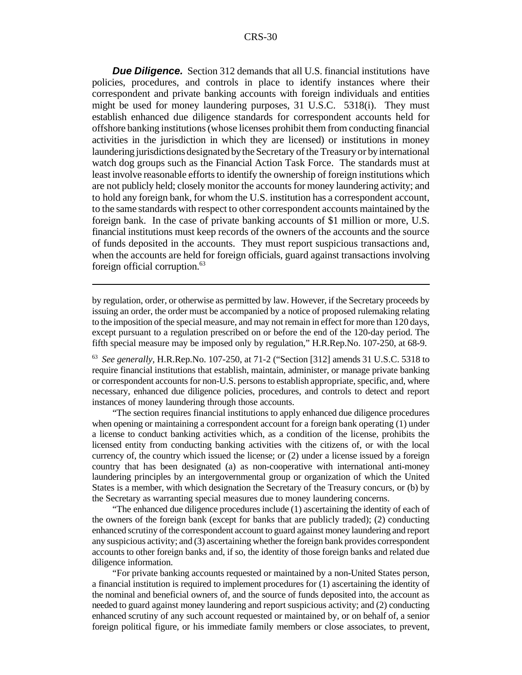**Due Diligence.** Section 312 demands that all U.S. financial institutions have policies, procedures, and controls in place to identify instances where their correspondent and private banking accounts with foreign individuals and entities might be used for money laundering purposes, 31 U.S.C. 5318(i). They must establish enhanced due diligence standards for correspondent accounts held for offshore banking institutions(whose licenses prohibit them from conducting financial activities in the jurisdiction in which they are licensed) or institutions in money laundering jurisdictions designated by the Secretary of the Treasury or by international watch dog groups such as the Financial Action Task Force. The standards must at least involve reasonable efforts to identify the ownership of foreign institutions which are not publicly held; closely monitor the accountsfor money laundering activity; and to hold any foreign bank, for whom the U.S. institution has a correspondent account, to the same standards with respect to other correspondent accounts maintained by the foreign bank. In the case of private banking accounts of \$1 million or more, U.S. financial institutions must keep records of the owners of the accounts and the source of funds deposited in the accounts. They must report suspicious transactions and, when the accounts are held for foreign officials, guard against transactions involving foreign official corruption.<sup>63</sup>

by regulation, order, or otherwise as permitted by law. However, if the Secretary proceeds by issuing an order, the order must be accompanied by a notice of proposed rulemaking relating to the imposition of the special measure, and may not remain in effect for more than 120 days, except pursuant to a regulation prescribed on or before the end of the 120-day period. The fifth special measure may be imposed only by regulation," H.R.Rep.No. 107-250, at 68-9.

63 *See generally,* H.R.Rep.No. 107-250, at 71-2 ("Section [312] amends 31 U.S.C. 5318 to require financial institutions that establish, maintain, administer, or manage private banking or correspondent accounts for non-U.S. persons to establish appropriate, specific, and, where necessary, enhanced due diligence policies, procedures, and controls to detect and report instances of money laundering through those accounts.

"The section requires financial institutions to apply enhanced due diligence procedures when opening or maintaining a correspondent account for a foreign bank operating (1) under a license to conduct banking activities which, as a condition of the license, prohibits the licensed entity from conducting banking activities with the citizens of, or with the local currency of, the country which issued the license; or (2) under a license issued by a foreign country that has been designated (a) as non-cooperative with international anti-money laundering principles by an intergovernmental group or organization of which the United States is a member, with which designation the Secretary of the Treasury concurs, or (b) by the Secretary as warranting special measures due to money laundering concerns.

"The enhanced due diligence procedures include (1) ascertaining the identity of each of the owners of the foreign bank (except for banks that are publicly traded); (2) conducting enhanced scrutiny ofthe correspondent account to guard against money laundering and report any suspicious activity; and (3) ascertaining whether the foreign bank provides correspondent accounts to other foreign banks and, if so, the identity of those foreign banks and related due diligence information.

"For private banking accounts requested or maintained by a non-United States person, a financial institution is required to implement procedures for (1) ascertaining the identity of the nominal and beneficial owners of, and the source of funds deposited into, the account as needed to guard against money laundering and report suspicious activity; and (2) conducting enhanced scrutiny of any such account requested or maintained by, or on behalf of, a senior foreign political figure, or his immediate family members or close associates, to prevent,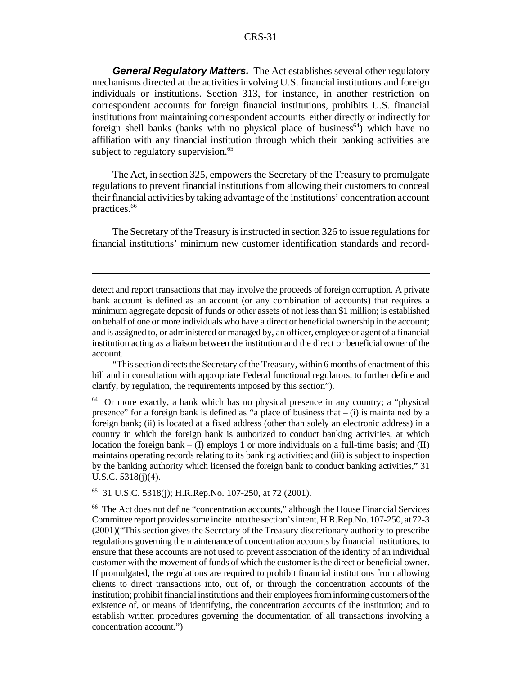*General Regulatory Matters.* The Act establishes several other regulatory mechanisms directed at the activities involving U.S. financial institutions and foreign individuals or institutions. Section 313, for instance, in another restriction on correspondent accounts for foreign financial institutions, prohibits U.S. financial institutionsfrom maintaining correspondent accounts either directly or indirectly for foreign shell banks (banks with no physical place of business<sup>64</sup>) which have no affiliation with any financial institution through which their banking activities are subject to regulatory supervision.<sup>65</sup>

The Act, in section 325, empowers the Secretary of the Treasury to promulgate regulations to prevent financial institutions from allowing their customers to conceal their financial activities by taking advantage of the institutions' concentration account practices.<sup>66</sup>

The Secretary of the Treasury is instructed in section 326 to issue regulations for financial institutions' minimum new customer identification standards and record-

"This section directs the Secretary of the Treasury, within 6 months of enactment of this bill and in consultation with appropriate Federal functional regulators, to further define and clarify, by regulation, the requirements imposed by this section").

<sup>64</sup> Or more exactly, a bank which has no physical presence in any country; a "physical presence" for a foreign bank is defined as "a place of business that  $-$  (i) is maintained by a foreign bank; (ii) is located at a fixed address (other than solely an electronic address) in a country in which the foreign bank is authorized to conduct banking activities, at which location the foreign bank  $- (I)$  employs 1 or more individuals on a full-time basis; and  $(II)$ maintains operating records relating to its banking activities; and (iii) is subject to inspection by the banking authority which licensed the foreign bank to conduct banking activities," 31 U.S.C. 5318(j)(4).

<sup>65</sup> 31 U.S.C. 5318(j); H.R.Rep.No. 107-250, at 72 (2001).

<sup>66</sup> The Act does not define "concentration accounts," although the House Financial Services Committee report providessome incite into the section's intent, H.R.Rep.No. 107-250, at 72-3 (2001)("This section gives the Secretary of the Treasury discretionary authority to prescribe regulations governing the maintenance of concentration accounts by financial institutions, to ensure that these accounts are not used to prevent association of the identity of an individual customer with the movement of funds of which the customer isthe direct or beneficial owner. If promulgated, the regulations are required to prohibit financial institutions from allowing clients to direct transactions into, out of, or through the concentration accounts of the institution; prohibit financial institutions and their employees from informing customers of the existence of, or means of identifying, the concentration accounts of the institution; and to establish written procedures governing the documentation of all transactions involving a concentration account.")

detect and report transactions that may involve the proceeds of foreign corruption. A private bank account is defined as an account (or any combination of accounts) that requires a minimum aggregate deposit of funds or other assets of not less than \$1 million; is established on behalf of one or more individuals who have a direct or beneficial ownership in the account; and is assigned to, or administered or managed by, an officer, employee or agent of a financial institution acting as a liaison between the institution and the direct or beneficial owner of the account.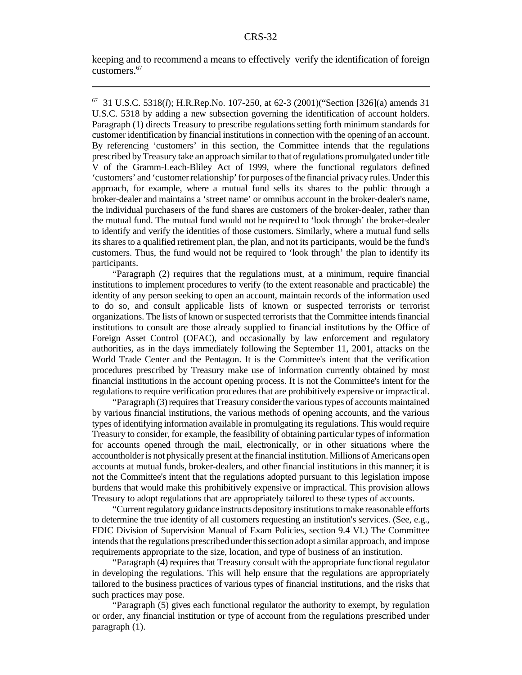keeping and to recommend a means to effectively verify the identification of foreign customers.<sup>67</sup>

<sup>67</sup> 31 U.S.C. 5318(*l*); H.R.Rep.No. 107-250, at 62-3 (2001)("Section [326](a) amends 31 U.S.C. 5318 by adding a new subsection governing the identification of account holders. Paragraph (1) directs Treasury to prescribe regulations setting forth minimum standards for customer identification by financial institutionsin connection with the opening of an account. By referencing 'customers' in this section, the Committee intends that the regulations prescribed by Treasury take an approach similar to that of regulations promulgated under title V of the Gramm-Leach-Bliley Act of 1999, where the functional regulators defined 'customers' and 'customer relationship' for purposes of the financial privacy rules. Under this approach, for example, where a mutual fund sells its shares to the public through a broker-dealer and maintains a 'street name' or omnibus account in the broker-dealer's name, the individual purchasers of the fund shares are customers of the broker-dealer, rather than the mutual fund. The mutual fund would not be required to 'look through' the broker-dealer to identify and verify the identities of those customers. Similarly, where a mutual fund sells its shares to a qualified retirement plan, the plan, and not its participants, would be the fund's customers. Thus, the fund would not be required to 'look through' the plan to identify its participants.

"Paragraph (2) requires that the regulations must, at a minimum, require financial institutions to implement procedures to verify (to the extent reasonable and practicable) the identity of any person seeking to open an account, maintain records of the information used to do so, and consult applicable lists of known or suspected terrorists or terrorist organizations. The lists of known or suspected terrorists that the Committee intendsfinancial institutions to consult are those already supplied to financial institutions by the Office of Foreign Asset Control (OFAC), and occasionally by law enforcement and regulatory authorities, as in the days immediately following the September 11, 2001, attacks on the World Trade Center and the Pentagon. It is the Committee's intent that the verification procedures prescribed by Treasury make use of information currently obtained by most financial institutions in the account opening process. It is not the Committee's intent for the regulations to require verification procedures that are prohibitively expensive or impractical.

"Paragraph (3) requires that Treasury consider the various types of accounts maintained by various financial institutions, the various methods of opening accounts, and the various types of identifying information available in promulgating itsregulations. This would require Treasury to consider, for example, the feasibility of obtaining particular types of information for accounts opened through the mail, electronically, or in other situations where the accountholder is not physically present at the financial institution. Millions of Americans open accounts at mutual funds, broker-dealers, and other financial institutions in this manner; it is not the Committee's intent that the regulations adopted pursuant to this legislation impose burdens that would make this prohibitively expensive or impractical. This provision allows Treasury to adopt regulations that are appropriately tailored to these types of accounts.

"Current regulatory guidance instructs depository institutions to make reasonable efforts to determine the true identity of all customers requesting an institution's services. (See, e.g., FDIC Division of Supervision Manual of Exam Policies, section 9.4 VI.) The Committee intends that the regulations prescribed under this section adopt a similar approach, and impose requirements appropriate to the size, location, and type of business of an institution.

"Paragraph (4) requires that Treasury consult with the appropriate functional regulator in developing the regulations. This will help ensure that the regulations are appropriately tailored to the business practices of various types of financial institutions, and the risks that such practices may pose.

"Paragraph (5) gives each functional regulator the authority to exempt, by regulation or order, any financial institution or type of account from the regulations prescribed under paragraph (1).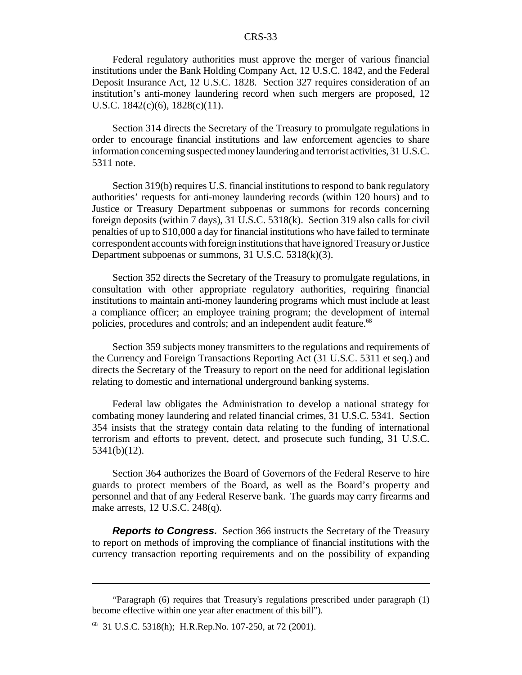Federal regulatory authorities must approve the merger of various financial institutions under the Bank Holding Company Act, 12 U.S.C. 1842, and the Federal Deposit Insurance Act, 12 U.S.C. 1828. Section 327 requires consideration of an institution's anti-money laundering record when such mergers are proposed, 12 U.S.C. 1842(c)(6), 1828(c)(11).

Section 314 directs the Secretary of the Treasury to promulgate regulations in order to encourage financial institutions and law enforcement agencies to share information concerning suspected money laundering and terrorist activities, 31 U.S.C. 5311 note.

Section 319(b) requires U.S. financial institutionsto respond to bank regulatory authorities' requests for anti-money laundering records (within 120 hours) and to Justice or Treasury Department subpoenas or summons for records concerning foreign deposits (within 7 days), 31 U.S.C. 5318(k). Section 319 also calls for civil penalties of up to \$10,000 a day for financial institutions who have failed to terminate correspondent accounts with foreign institutions that have ignored Treasury or Justice Department subpoenas or summons, 31 U.S.C. 5318(k)(3).

Section 352 directs the Secretary of the Treasury to promulgate regulations, in consultation with other appropriate regulatory authorities, requiring financial institutions to maintain anti-money laundering programs which must include at least a compliance officer; an employee training program; the development of internal policies, procedures and controls; and an independent audit feature.<sup>68</sup>

Section 359 subjects money transmitters to the regulations and requirements of the Currency and Foreign Transactions Reporting Act (31 U.S.C. 5311 et seq.) and directs the Secretary of the Treasury to report on the need for additional legislation relating to domestic and international underground banking systems.

Federal law obligates the Administration to develop a national strategy for combating money laundering and related financial crimes, 31 U.S.C. 5341. Section 354 insists that the strategy contain data relating to the funding of international terrorism and efforts to prevent, detect, and prosecute such funding, 31 U.S.C. 5341(b)(12).

Section 364 authorizes the Board of Governors of the Federal Reserve to hire guards to protect members of the Board, as well as the Board's property and personnel and that of any Federal Reserve bank. The guards may carry firearms and make arrests, 12 U.S.C. 248(q).

*Reports to Congress.* Section 366 instructs the Secretary of the Treasury to report on methods of improving the compliance of financial institutions with the currency transaction reporting requirements and on the possibility of expanding

<sup>&</sup>quot;Paragraph (6) requires that Treasury's regulations prescribed under paragraph (1) become effective within one year after enactment of this bill").

<sup>68</sup> 31 U.S.C. 5318(h); H.R.Rep.No. 107-250, at 72 (2001).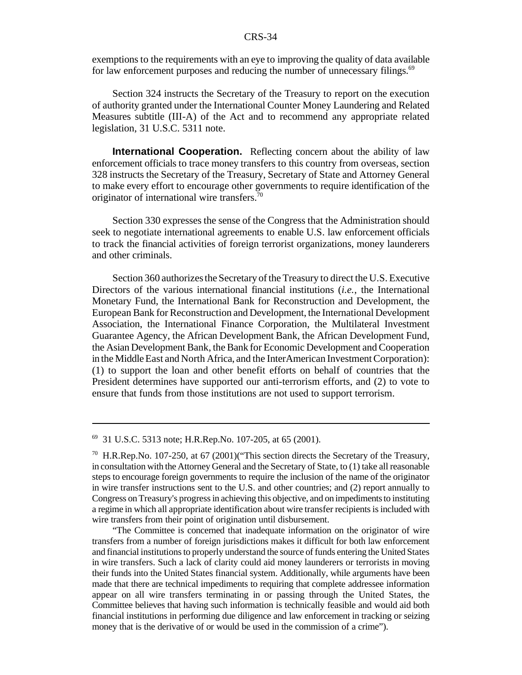exemptions to the requirements with an eye to improving the quality of data available for law enforcement purposes and reducing the number of unnecessary filings.<sup>69</sup>

Section 324 instructs the Secretary of the Treasury to report on the execution of authority granted under the International Counter Money Laundering and Related Measures subtitle (III-A) of the Act and to recommend any appropriate related legislation, 31 U.S.C. 5311 note.

**International Cooperation.** Reflecting concern about the ability of law enforcement officials to trace money transfers to this country from overseas, section 328 instructs the Secretary of the Treasury, Secretary of State and Attorney General to make every effort to encourage other governments to require identification of the originator of international wire transfers.<sup>70</sup>

Section 330 expresses the sense of the Congress that the Administration should seek to negotiate international agreements to enable U.S. law enforcement officials to track the financial activities of foreign terrorist organizations, money launderers and other criminals.

Section 360 authorizes the Secretary of the Treasury to direct the U.S. Executive Directors of the various international financial institutions (*i.e.*, the International Monetary Fund, the International Bank for Reconstruction and Development, the European Bank for Reconstruction and Development, the International Development Association, the International Finance Corporation, the Multilateral Investment Guarantee Agency, the African Development Bank, the African Development Fund, the Asian Development Bank, the Bank for Economic Development and Cooperation in the Middle East and North Africa, and the InterAmerican Investment Corporation): (1) to support the loan and other benefit efforts on behalf of countries that the President determines have supported our anti-terrorism efforts, and (2) to vote to ensure that funds from those institutions are not used to support terrorism.

 $69$  31 U.S.C. 5313 note; H.R.Rep.No. 107-205, at 65 (2001).

<sup>&</sup>lt;sup>70</sup> H.R.Rep.No. 107-250, at 67 (2001)("This section directs the Secretary of the Treasury, in consultation with the Attorney General and the Secretary of State, to (1) take all reasonable steps to encourage foreign governments to require the inclusion of the name of the originator in wire transfer instructions sent to the U.S. and other countries; and (2) report annually to Congress onTreasury's progressin achieving this objective, and on impedimentsto instituting a regime in which all appropriate identification about wire transfer recipients is included with wire transfers from their point of origination until disbursement.

<sup>&</sup>quot;The Committee is concerned that inadequate information on the originator of wire transfers from a number of foreign jurisdictions makes it difficult for both law enforcement and financial institutions to properly understand the source of funds entering the United States in wire transfers. Such a lack of clarity could aid money launderers or terrorists in moving their funds into the United States financial system. Additionally, while arguments have been made that there are technical impediments to requiring that complete addressee information appear on all wire transfers terminating in or passing through the United States, the Committee believes that having such information is technically feasible and would aid both financial institutions in performing due diligence and law enforcement in tracking or seizing money that is the derivative of or would be used in the commission of a crime").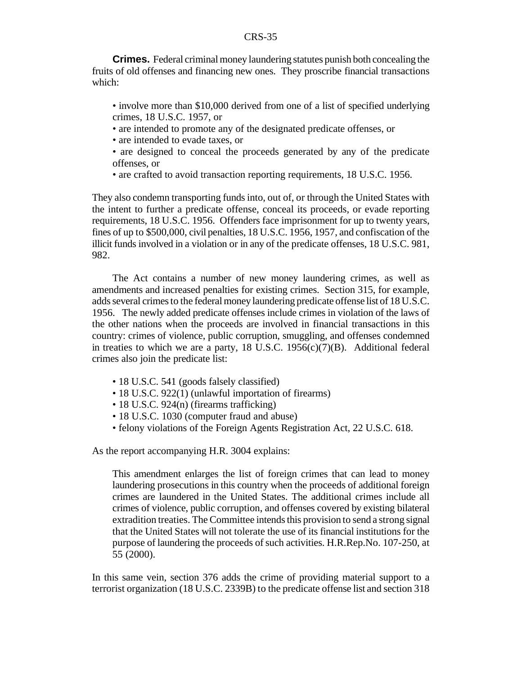**Crimes.** Federal criminal money laundering statutes punish both concealing the fruits of old offenses and financing new ones. They proscribe financial transactions which:

- involve more than \$10,000 derived from one of a list of specified underlying crimes, 18 U.S.C. 1957, or
- are intended to promote any of the designated predicate offenses, or
- are intended to evade taxes, or
- are designed to conceal the proceeds generated by any of the predicate offenses, or
- are crafted to avoid transaction reporting requirements, 18 U.S.C. 1956.

They also condemn transporting fundsinto, out of, or through the United States with the intent to further a predicate offense, conceal its proceeds, or evade reporting requirements, 18 U.S.C. 1956. Offenders face imprisonment for up to twenty years, fines of up to \$500,000, civil penalties, 18 U.S.C. 1956, 1957, and confiscation of the illicit funds involved in a violation or in any of the predicate offenses, 18 U.S.C. 981, 982.

The Act contains a number of new money laundering crimes, as well as amendments and increased penalties for existing crimes. Section 315, for example, adds several crimes to the federal money laundering predicate offense list of 18 U.S.C. 1956. The newly added predicate offenses include crimes in violation of the laws of the other nations when the proceeds are involved in financial transactions in this country: crimes of violence, public corruption, smuggling, and offenses condemned in treaties to which we are a party,  $18 \text{ U.S.C. } 1956(c)(7)(B)$ . Additional federal crimes also join the predicate list:

- 18 U.S.C. 541 (goods falsely classified)
- 18 U.S.C. 922(1) (unlawful importation of firearms)
- 18 U.S.C. 924(n) (firearms trafficking)
- 18 U.S.C. 1030 (computer fraud and abuse)
- felony violations of the Foreign Agents Registration Act, 22 U.S.C. 618.

As the report accompanying H.R. 3004 explains:

This amendment enlarges the list of foreign crimes that can lead to money laundering prosecutions in this country when the proceeds of additional foreign crimes are laundered in the United States. The additional crimes include all crimes of violence, public corruption, and offenses covered by existing bilateral extradition treaties. The Committee intends this provision to send a strong signal that the United States will not tolerate the use of its financial institutions for the purpose of laundering the proceeds of such activities. H.R.Rep.No. 107-250, at 55 (2000).

In this same vein, section 376 adds the crime of providing material support to a terrorist organization (18 U.S.C. 2339B) to the predicate offense list and section 318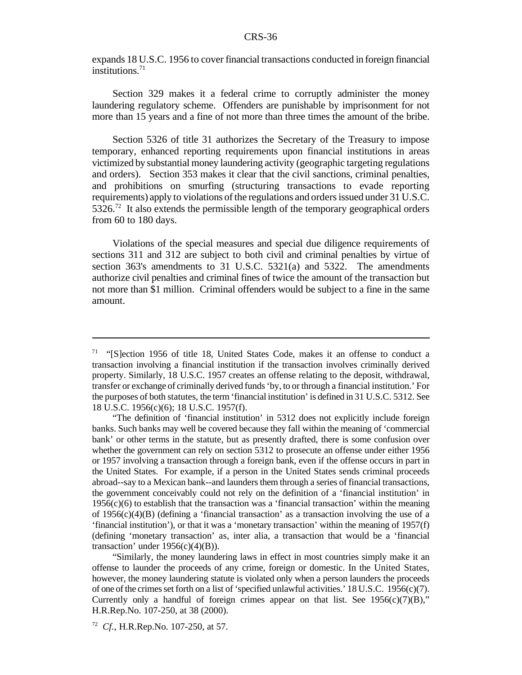expands 18 U.S.C. 1956 to cover financial transactions conducted in foreign financial institutions.<sup>71</sup>

Section 329 makes it a federal crime to corruptly administer the money laundering regulatory scheme. Offenders are punishable by imprisonment for not more than 15 years and a fine of not more than three times the amount of the bribe.

Section 5326 of title 31 authorizes the Secretary of the Treasury to impose temporary, enhanced reporting requirements upon financial institutions in areas victimized by substantial money laundering activity (geographic targeting regulations and orders). Section 353 makes it clear that the civil sanctions, criminal penalties, and prohibitions on smurfing (structuring transactions to evade reporting requirements) apply to violations of the regulations and orders issued under 31 U.S.C.  $5326$ <sup>72</sup> It also extends the permissible length of the temporary geographical orders from 60 to 180 days.

Violations of the special measures and special due diligence requirements of sections 311 and 312 are subject to both civil and criminal penalties by virtue of section 363's amendments to 31 U.S.C. 5321(a) and 5322. The amendments authorize civil penalties and criminal fines of twice the amount of the transaction but not more than \$1 million. Criminal offenders would be subject to a fine in the same amount.

 $71$  "[S]ection 1956 of title 18, United States Code, makes it an offense to conduct a transaction involving a financial institution if the transaction involves criminally derived property. Similarly, 18 U.S.C. 1957 creates an offense relating to the deposit, withdrawal, transfer or exchange of criminally derived funds'by, to or through a financial institution.' For the purposes of both statutes, the term 'financial institution'is defined in 31 U.S.C. 5312. See 18 U.S.C. 1956(c)(6); 18 U.S.C. 1957(f).

<sup>&</sup>quot;The definition of 'financial institution' in 5312 does not explicitly include foreign banks. Such banks may well be covered because they fall within the meaning of 'commercial bank' or other terms in the statute, but as presently drafted, there is some confusion over whether the government can rely on section 5312 to prosecute an offense under either 1956 or 1957 involving a transaction through a foreign bank, even if the offense occurs in part in the United States. For example, if a person in the United States sends criminal proceeds abroad--say to a Mexican bank--and launders them through a series of financial transactions, the government conceivably could not rely on the definition of a 'financial institution' in  $1956(c)(6)$  to establish that the transaction was a 'financial transaction' within the meaning of  $1956(c)(4)(B)$  (defining a 'financial transaction' as a transaction involving the use of a 'financial institution'), or that it was a 'monetary transaction' within the meaning of 1957(f) (defining 'monetary transaction' as, inter alia, a transaction that would be a 'financial transaction' under  $1956(c)(4)(B)$ ).

<sup>&</sup>quot;Similarly, the money laundering laws in effect in most countries simply make it an offense to launder the proceeds of any crime, foreign or domestic. In the United States, however, the money laundering statute is violated only when a person launders the proceeds of one of the crimes set forth on a list of 'specified unlawful activities.'  $18$  U.S.C.  $1956(c)(7)$ . Currently only a handful of foreign crimes appear on that list. See  $1956(c)(7)(B)$ ," H.R.Rep.No. 107-250, at 38 (2000).

<sup>72</sup> *Cf.,* H.R.Rep.No. 107-250, at 57.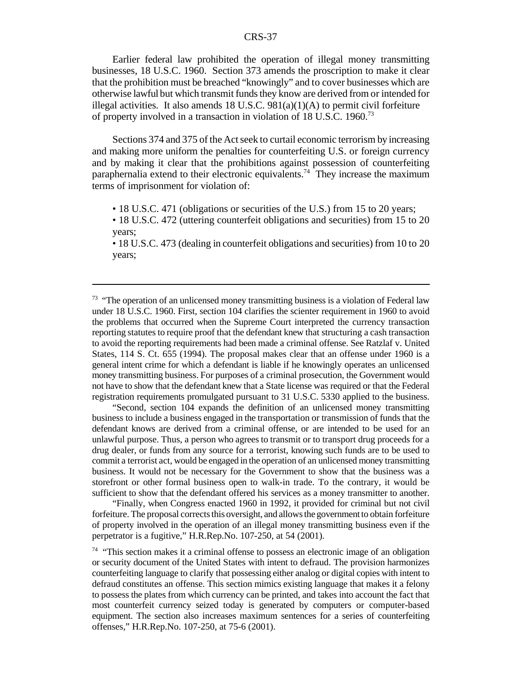Earlier federal law prohibited the operation of illegal money transmitting businesses, 18 U.S.C. 1960. Section 373 amends the proscription to make it clear that the prohibition must be breached "knowingly" and to cover businesses which are otherwise lawful but which transmit funds they know are derived from or intended for illegal activities. It also amends  $18$  U.S.C.  $981(a)(1)(A)$  to permit civil forfeiture of property involved in a transaction in violation of 18 U.S.C. 1960.<sup>73</sup>

Sections 374 and 375 of the Act seek to curtail economic terrorism by increasing and making more uniform the penalties for counterfeiting U.S. or foreign currency and by making it clear that the prohibitions against possession of counterfeiting paraphernalia extend to their electronic equivalents.<sup>74</sup> They increase the maximum terms of imprisonment for violation of:

• 18 U.S.C. 471 (obligations or securities of the U.S.) from 15 to 20 years;

• 18 U.S.C. 473 (dealing in counterfeit obligations and securities) from 10 to 20 years;

 $73$  "The operation of an unlicensed money transmitting business is a violation of Federal law under 18 U.S.C. 1960. First, section 104 clarifies the scienter requirement in 1960 to avoid the problems that occurred when the Supreme Court interpreted the currency transaction reporting statutes to require proof that the defendant knew that structuring a cash transaction to avoid the reporting requirements had been made a criminal offense. See Ratzlaf v. United States, 114 S. Ct. 655 (1994). The proposal makes clear that an offense under 1960 is a general intent crime for which a defendant is liable if he knowingly operates an unlicensed money transmitting business. For purposes of a criminal prosecution, the Government would not have to show that the defendant knew that a State license was required or that the Federal registration requirements promulgated pursuant to 31 U.S.C. 5330 applied to the business.

"Second, section 104 expands the definition of an unlicensed money transmitting business to include a business engaged in the transportation or transmission of funds that the defendant knows are derived from a criminal offense, or are intended to be used for an unlawful purpose. Thus, a person who agrees to transmit or to transport drug proceeds for a drug dealer, or funds from any source for a terrorist, knowing such funds are to be used to commit a terrorist act, would be engaged in the operation of an unlicensed money transmitting business. It would not be necessary for the Government to show that the business was a storefront or other formal business open to walk-in trade. To the contrary, it would be sufficient to show that the defendant offered his services as a money transmitter to another.

"Finally, when Congress enacted 1960 in 1992, it provided for criminal but not civil forfeiture. The proposal corrects this oversight, and allows the government to obtain forfeiture of property involved in the operation of an illegal money transmitting business even if the perpetrator is a fugitive," H.R.Rep.No. 107-250, at 54 (2001).

<sup>• 18</sup> U.S.C. 472 (uttering counterfeit obligations and securities) from 15 to 20 years;

<sup>&</sup>lt;sup>74</sup> "This section makes it a criminal offense to possess an electronic image of an obligation or security document of the United States with intent to defraud. The provision harmonizes counterfeiting language to clarify that possessing either analog or digital copies with intent to defraud constitutes an offense. This section mimics existing language that makes it a felony to possess the plates from which currency can be printed, and takes into account the fact that most counterfeit currency seized today is generated by computers or computer-based equipment. The section also increases maximum sentences for a series of counterfeiting offenses," H.R.Rep.No. 107-250, at 75-6 (2001).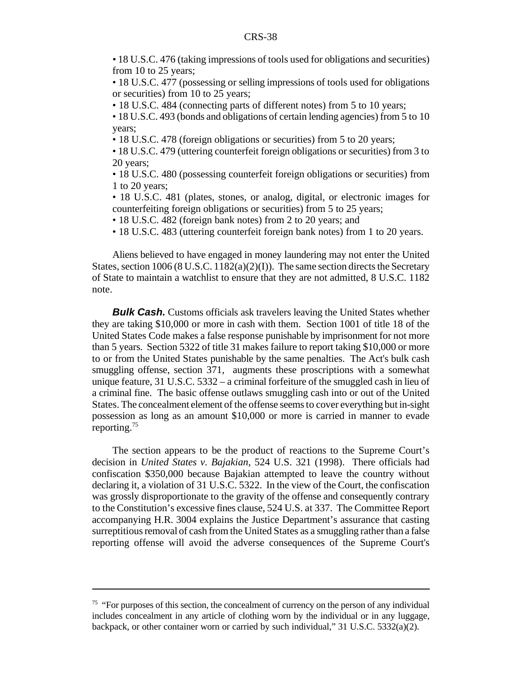• 18 U.S.C. 476 (taking impressions of tools used for obligations and securities) from 10 to 25 years;

• 18 U.S.C. 477 (possessing or selling impressions of tools used for obligations or securities) from 10 to 25 years;

• 18 U.S.C. 484 (connecting parts of different notes) from 5 to 10 years;

• 18 U.S.C. 493 (bonds and obligations of certain lending agencies) from 5 to 10 years;

• 18 U.S.C. 478 (foreign obligations or securities) from 5 to 20 years;

• 18 U.S.C. 479 (uttering counterfeit foreign obligations or securities) from 3 to 20 years;

• 18 U.S.C. 480 (possessing counterfeit foreign obligations or securities) from 1 to 20 years;

• 18 U.S.C. 481 (plates, stones, or analog, digital, or electronic images for counterfeiting foreign obligations or securities) from 5 to 25 years;

• 18 U.S.C. 482 (foreign bank notes) from 2 to 20 years; and

• 18 U.S.C. 483 (uttering counterfeit foreign bank notes) from 1 to 20 years.

Aliens believed to have engaged in money laundering may not enter the United States, section  $1006 (8 U.S.C. 1182(a)(2)(I))$ . The same section directs the Secretary of State to maintain a watchlist to ensure that they are not admitted, 8 U.S.C. 1182 note.

*Bulk Cash.* Customs officials ask travelers leaving the United States whether they are taking \$10,000 or more in cash with them. Section 1001 of title 18 of the United States Code makes a false response punishable by imprisonment for not more than 5 years. Section 5322 of title 31 makes failure to report taking \$10,000 or more to or from the United States punishable by the same penalties. The Act's bulk cash smuggling offense, section 371, augments these proscriptions with a somewhat unique feature, 31 U.S.C. 5332 – a criminal forfeiture of the smuggled cash in lieu of a criminal fine. The basic offense outlaws smuggling cash into or out of the United States. The concealment element of the offense seemsto cover everything but in-sight possession as long as an amount \$10,000 or more is carried in manner to evade reporting.<sup>75</sup>

The section appears to be the product of reactions to the Supreme Court's decision in *United States v. Bajakian*, 524 U.S. 321 (1998). There officials had confiscation \$350,000 because Bajakian attempted to leave the country without declaring it, a violation of 31 U.S.C. 5322. In the view of the Court, the confiscation was grossly disproportionate to the gravity of the offense and consequently contrary to the Constitution's excessive fines clause, 524 U.S. at 337. The Committee Report accompanying H.R. 3004 explains the Justice Department's assurance that casting surreptitious removal of cash from the United States as a smuggling rather than a false reporting offense will avoid the adverse consequences of the Supreme Court's

 $75$  "For purposes of this section, the concealment of currency on the person of any individual includes concealment in any article of clothing worn by the individual or in any luggage, backpack, or other container worn or carried by such individual,"  $31$  U.S.C.  $5332(a)(2)$ .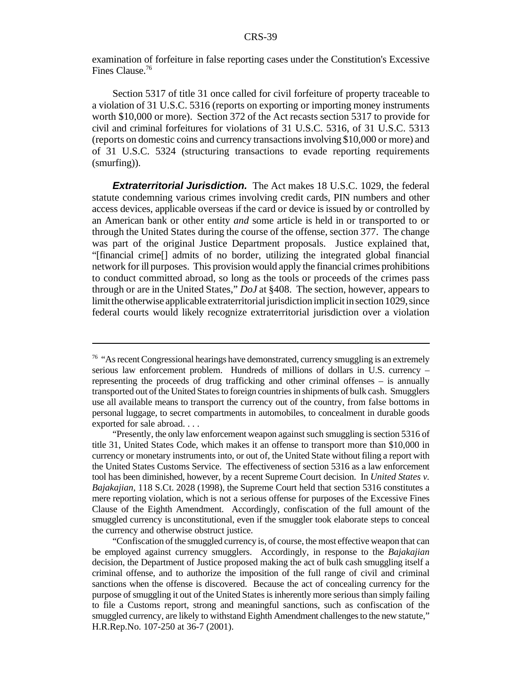examination of forfeiture in false reporting cases under the Constitution's Excessive Fines Clause.<sup>76</sup>

Section 5317 of title 31 once called for civil forfeiture of property traceable to a violation of 31 U.S.C. 5316 (reports on exporting or importing money instruments worth \$10,000 or more). Section 372 of the Act recasts section 5317 to provide for civil and criminal forfeitures for violations of 31 U.S.C. 5316, of 31 U.S.C. 5313 (reports on domestic coins and currency transactionsinvolving \$10,000 or more) and of 31 U.S.C. 5324 (structuring transactions to evade reporting requirements (smurfing)).

*Extraterritorial Jurisdiction.* The Act makes 18 U.S.C. 1029, the federal statute condemning various crimes involving credit cards, PIN numbers and other access devices, applicable overseas if the card or device is issued by or controlled by an American bank or other entity *and* some article is held in or transported to or through the United States during the course of the offense, section 377. The change was part of the original Justice Department proposals. Justice explained that, "[financial crime[] admits of no border, utilizing the integrated global financial network for ill purposes. This provision would apply the financial crimes prohibitions to conduct committed abroad, so long as the tools or proceeds of the crimes pass through or are in the United States," *DoJ* at §408. The section, however, appears to limit the otherwise applicable extraterritorial jurisdiction implicit in section 1029, since federal courts would likely recognize extraterritorial jurisdiction over a violation

 $76$  "As recent Congressional hearings have demonstrated, currency smuggling is an extremely serious law enforcement problem. Hundreds of millions of dollars in U.S. currency – representing the proceeds of drug trafficking and other criminal offenses – is annually transported out of the United States to foreign countries in shipments of bulk cash. Smugglers use all available means to transport the currency out of the country, from false bottoms in personal luggage, to secret compartments in automobiles, to concealment in durable goods exported for sale abroad. . . .

<sup>&</sup>quot;Presently, the only law enforcement weapon against such smuggling is section 5316 of title 31, United States Code, which makes it an offense to transport more than \$10,000 in currency or monetary instruments into, or out of, the United State without filing a report with the United States Customs Service. The effectiveness of section 5316 as a law enforcement tool has been diminished, however, by a recent Supreme Court decision. In *United States v. Bajakajian*, 118 S.Ct. 2028 (1998), the Supreme Court held that section 5316 constitutes a mere reporting violation, which is not a serious offense for purposes of the Excessive Fines Clause of the Eighth Amendment. Accordingly, confiscation of the full amount of the smuggled currency is unconstitutional, even if the smuggler took elaborate steps to conceal the currency and otherwise obstruct justice.

<sup>&</sup>quot;Confiscation ofthe smuggled currency is, of course, the most effective weapon that can be employed against currency smugglers. Accordingly, in response to the *Bajakajian* decision, the Department of Justice proposed making the act of bulk cash smuggling itself a criminal offense, and to authorize the imposition of the full range of civil and criminal sanctions when the offense is discovered. Because the act of concealing currency for the purpose of smuggling it out of the United States is inherently more serious than simply failing to file a Customs report, strong and meaningful sanctions, such as confiscation of the smuggled currency, are likely to withstand Eighth Amendment challenges to the new statute," H.R.Rep.No. 107-250 at 36-7 (2001).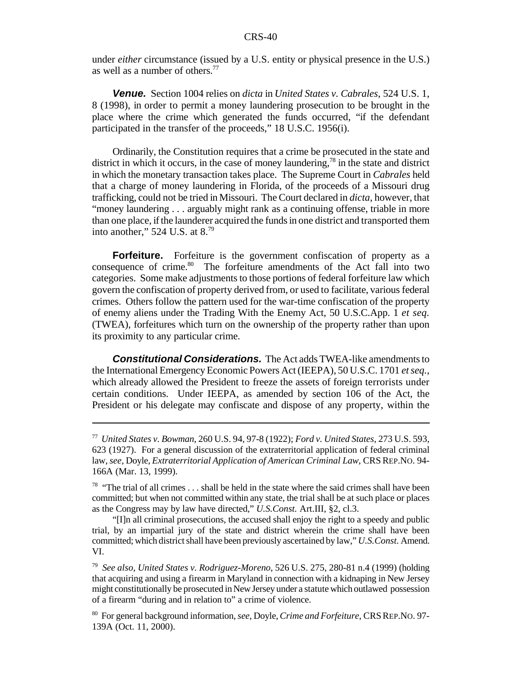under *either* circumstance (issued by a U.S. entity or physical presence in the U.S.) as well as a number of others.<sup>77</sup>

*Venue.* Section 1004 relies on *dicta* in *United States v. Cabrales*, 524 U.S. 1, 8 (1998), in order to permit a money laundering prosecution to be brought in the place where the crime which generated the funds occurred, "if the defendant participated in the transfer of the proceeds," 18 U.S.C. 1956(i).

Ordinarily, the Constitution requires that a crime be prosecuted in the state and district in which it occurs, in the case of money laundering,<sup>78</sup> in the state and district in which the monetary transaction takes place. The Supreme Court in *Cabrales* held that a charge of money laundering in Florida, of the proceeds of a Missouri drug trafficking, could not be tried in Missouri. The Court declared in *dicta*, however, that "money laundering . . . arguably might rank as a continuing offense, triable in more than one place, if the launderer acquired the funds in one district and transported them into another,"  $524$  U.S. at  $8.^{79}$ 

**Forfeiture.** Forfeiture is the government confiscation of property as a consequence of crime.<sup>80</sup> The forfeiture amendments of the Act fall into two categories. Some make adjustments to those portions of federal forfeiture law which govern the confiscation of property derived from, or used to facilitate, variousfederal crimes. Others follow the pattern used for the war-time confiscation of the property of enemy aliens under the Trading With the Enemy Act, 50 U.S.C.App. 1 *et seq.* (TWEA), forfeitures which turn on the ownership of the property rather than upon its proximity to any particular crime.

*Constitutional Considerations.* The Act adds TWEA-like amendments to the International Emergency Economic Powers Act (IEEPA), 50 U.S.C. 1701 *et seq.*, which already allowed the President to freeze the assets of foreign terrorists under certain conditions. Under IEEPA, as amended by section 106 of the Act, the President or his delegate may confiscate and dispose of any property, within the

<sup>77</sup> *United States v. Bowman*, 260 U.S. 94, 97-8 (1922); *Ford v. United States*, 273 U.S. 593, 623 (1927). For a general discussion of the extraterritorial application of federal criminal law,*see,* Doyle, *Extraterritorial Application of American Criminal Law*, CRSREP.NO. 94- 166A (Mar. 13, 1999).

<sup>&</sup>lt;sup>78</sup> "The trial of all crimes  $\dots$  shall be held in the state where the said crimes shall have been committed; but when not committed within any state, the trial shall be at such place or places as the Congress may by law have directed," *U.S.Const.* Art.III, §2, cl.3.

<sup>&</sup>quot;[I]n all criminal prosecutions, the accused shall enjoy the right to a speedy and public trial, by an impartial jury of the state and district wherein the crime shall have been committed; which district shall have been previously ascertained by law," U.S. Const. Amend. VI.

<sup>79</sup> *See also, United States v. Rodriguez-Moreno*, 526 U.S. 275, 280-81 n.4 (1999) (holding that acquiring and using a firearm in Maryland in connection with a kidnaping in New Jersey might constitutionally be prosecuted inNewJersey under a statute which outlawed possession of a firearm "during and in relation to" a crime of violence.

<sup>80</sup> For general background information, *see*, Doyle,*Crime and Forfeiture*, CRSREP.NO. 97- 139A (Oct. 11, 2000).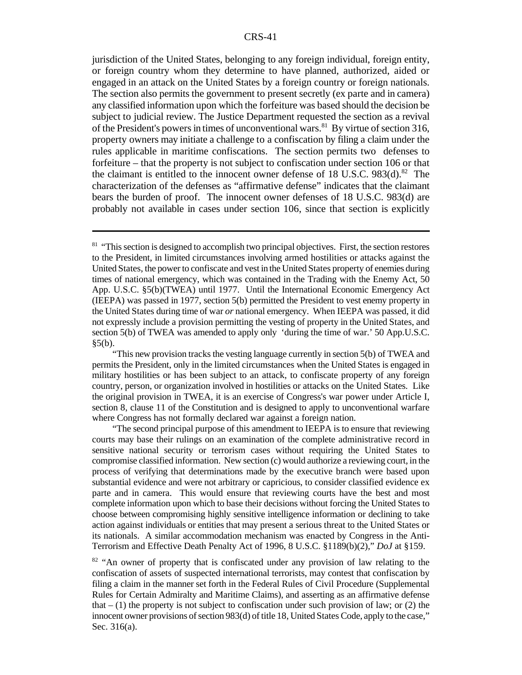jurisdiction of the United States, belonging to any foreign individual, foreign entity, or foreign country whom they determine to have planned, authorized, aided or engaged in an attack on the United States by a foreign country or foreign nationals. The section also permits the government to present secretly (ex parte and in camera) any classified information upon which the forfeiture was based should the decision be subject to judicial review. The Justice Department requested the section as a revival of the President's powers in times of unconventional wars.<sup>81</sup> By virtue of section 316, property owners may initiate a challenge to a confiscation by filing a claim under the rules applicable in maritime confiscations. The section permits two defenses to forfeiture – that the property is not subject to confiscation under section 106 or that the claimant is entitled to the innocent owner defense of 18 U.S.C.  $983(d).$ <sup>82</sup> The characterization of the defenses as "affirmative defense" indicates that the claimant bears the burden of proof. The innocent owner defenses of 18 U.S.C. 983(d) are probably not available in cases under section 106, since that section is explicitly

 $81$  "This section is designed to accomplish two principal objectives. First, the section restores to the President, in limited circumstances involving armed hostilities or attacks against the United States, the power to confiscate and vest in the United States property of enemies during times of national emergency, which was contained in the Trading with the Enemy Act, 50 App. U.S.C. §5(b)(TWEA) until 1977. Until the International Economic Emergency Act (IEEPA) was passed in 1977, section 5(b) permitted the President to vest enemy property in the United States during time of war *or* national emergency. When IEEPA was passed, it did not expressly include a provision permitting the vesting of property in the United States, and section 5(b) of TWEA was amended to apply only 'during the time of war.' 50 App.U.S.C.  $§5(b).$ 

<sup>&</sup>quot;This new provision tracks the vesting language currently in section 5(b) of TWEA and permits the President, only in the limited circumstances when the United States is engaged in military hostilities or has been subject to an attack, to confiscate property of any foreign country, person, or organization involved in hostilities or attacks on the United States. Like the original provision in TWEA, it is an exercise of Congress's war power under Article I, section 8, clause 11 of the Constitution and is designed to apply to unconventional warfare where Congress has not formally declared war against a foreign nation.

<sup>&</sup>quot;The second principal purpose of this amendment to IEEPA is to ensure that reviewing courts may base their rulings on an examination of the complete administrative record in sensitive national security or terrorism cases without requiring the United States to compromise classified information. New section (c) would authorize a reviewing court, in the process of verifying that determinations made by the executive branch were based upon substantial evidence and were not arbitrary or capricious, to consider classified evidence ex parte and in camera. This would ensure that reviewing courts have the best and most complete information upon which to base their decisions without forcing the United States to choose between compromising highly sensitive intelligence information or declining to take action against individuals or entities that may present a serious threat to the United States or its nationals. A similar accommodation mechanism was enacted by Congress in the Anti-Terrorism and Effective Death Penalty Act of 1996, 8 U.S.C. §1189(b)(2)," *DoJ* at §159.

<sup>&</sup>lt;sup>82</sup> "An owner of property that is confiscated under any provision of law relating to the confiscation of assets of suspected international terrorists, may contest that confiscation by filing a claim in the manner set forth in the Federal Rules of Civil Procedure (Supplemental Rules for Certain Admiralty and Maritime Claims), and asserting as an affirmative defense that  $-(1)$  the property is not subject to confiscation under such provision of law; or (2) the innocent owner provisions of section  $983(d)$  of title 18, United States Code, apply to the case," Sec. 316(a).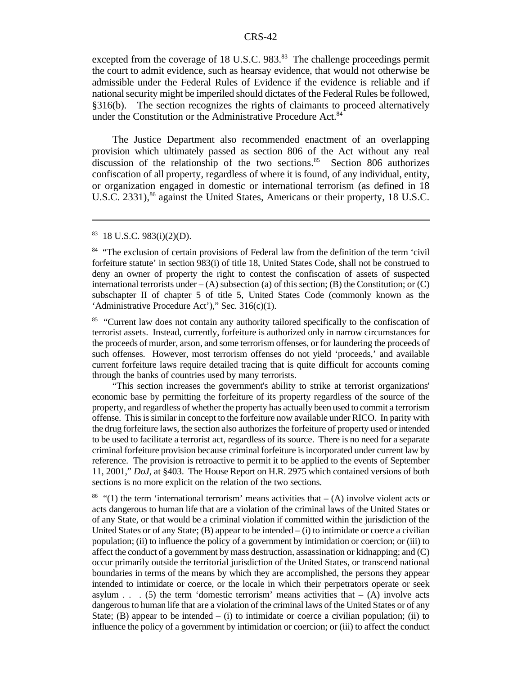excepted from the coverage of 18 U.S.C. 983.<sup>83</sup> The challenge proceedings permit the court to admit evidence, such as hearsay evidence, that would not otherwise be admissible under the Federal Rules of Evidence if the evidence is reliable and if national security might be imperiled should dictates of the Federal Rules be followed, §316(b). The section recognizes the rights of claimants to proceed alternatively under the Constitution or the Administrative Procedure Act.<sup>84</sup>

The Justice Department also recommended enactment of an overlapping provision which ultimately passed as section 806 of the Act without any real discussion of the relationship of the two sections. $85$  Section 806 authorizes confiscation of all property, regardless of where it is found, of any individual, entity, or organization engaged in domestic or international terrorism (as defined in 18 U.S.C. 2331),<sup>86</sup> against the United States, Americans or their property, 18 U.S.C.

# $83$  18 U.S.C. 983(i)(2)(D).

<sup>85</sup> "Current law does not contain any authority tailored specifically to the confiscation of terrorist assets. Instead, currently, forfeiture is authorized only in narrow circumstances for the proceeds of murder, arson, and some terrorism offenses, or for laundering the proceeds of such offenses. However, most terrorism offenses do not yield 'proceeds,' and available current forfeiture laws require detailed tracing that is quite difficult for accounts coming through the banks of countries used by many terrorists.

"This section increases the government's ability to strike at terrorist organizations' economic base by permitting the forfeiture of its property regardless of the source of the property, and regardless of whether the property has actually been used to commit a terrorism offense. This is similar in concept to the forfeiture now available under RICO. In parity with the drug forfeiture laws, the section also authorizesthe forfeiture of property used or intended to be used to facilitate a terrorist act, regardless of its source. There is no need for a separate criminal forfeiture provision because criminal forfeiture isincorporated under current law by reference. The provision is retroactive to permit it to be applied to the events of September 11, 2001," *DoJ*, at §403. The House Report on H.R. 2975 which contained versions of both sections is no more explicit on the relation of the two sections.

<sup>86</sup> "(1) the term 'international terrorism' means activities that  $-$  (A) involve violent acts or acts dangerous to human life that are a violation of the criminal laws of the United States or of any State, or that would be a criminal violation if committed within the jurisdiction of the United States or of any State;  $(B)$  appear to be intended  $- (i)$  to intimidate or coerce a civilian population; (ii) to influence the policy of a government by intimidation or coercion; or (iii) to affect the conduct of a government by mass destruction, assassination or kidnapping; and (C) occur primarily outside the territorial jurisdiction of the United States, or transcend national boundaries in terms of the means by which they are accomplished, the persons they appear intended to intimidate or coerce, or the locale in which their perpetrators operate or seek asylum  $\ldots$  (5) the term 'domestic terrorism' means activities that  $-$  (A) involve acts dangerousto human life that are a violation of the criminal laws of the United States or of any State; (B) appear to be intended  $-$  (i) to intimidate or coerce a civilian population; (ii) to influence the policy of a government by intimidation or coercion; or (iii) to affect the conduct

<sup>&</sup>lt;sup>84</sup> "The exclusion of certain provisions of Federal law from the definition of the term 'civil forfeiture statute' in section 983(i) of title 18, United States Code, shall not be construed to deny an owner of property the right to contest the confiscation of assets of suspected international terrorists under  $-(A)$  subsection (a) of this section; (B) the Constitution; or (C) subschapter II of chapter 5 of title 5, United States Code (commonly known as the 'Administrative Procedure Act')," Sec. 316(c)(1).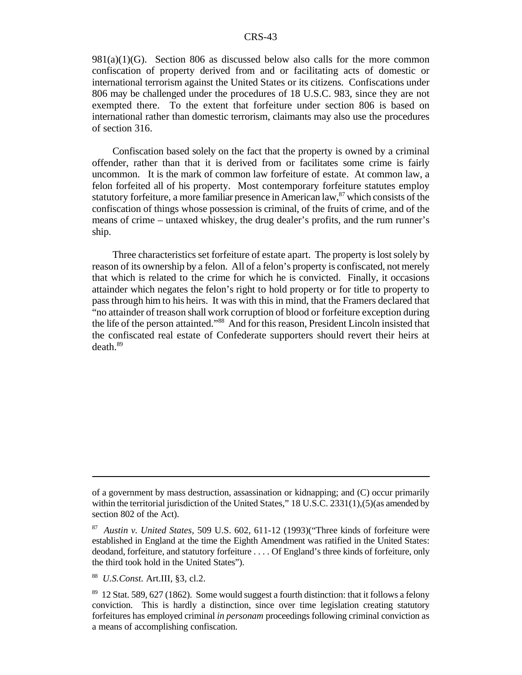$981(a)(1)(G)$ . Section 806 as discussed below also calls for the more common confiscation of property derived from and or facilitating acts of domestic or international terrorism against the United States or its citizens. Confiscations under 806 may be challenged under the procedures of 18 U.S.C. 983, since they are not exempted there. To the extent that forfeiture under section 806 is based on international rather than domestic terrorism, claimants may also use the procedures of section 316.

Confiscation based solely on the fact that the property is owned by a criminal offender, rather than that it is derived from or facilitates some crime is fairly uncommon. It is the mark of common law forfeiture of estate. At common law, a felon forfeited all of his property. Most contemporary forfeiture statutes employ statutory forfeiture, a more familiar presence in American law,<sup>87</sup> which consists of the confiscation of things whose possession is criminal, of the fruits of crime, and of the means of crime – untaxed whiskey, the drug dealer's profits, and the rum runner's ship.

Three characteristics set forfeiture of estate apart. The property is lost solely by reason of its ownership by a felon. All of a felon's property is confiscated, not merely that which is related to the crime for which he is convicted. Finally, it occasions attainder which negates the felon's right to hold property or for title to property to passthrough him to his heirs. It was with this in mind, that the Framers declared that "no attainder of treason shall work corruption of blood or forfeiture exception during the life of the person attainted."<sup>88</sup> And for this reason, President Lincoln insisted that the confiscated real estate of Confederate supporters should revert their heirs at death.89

of a government by mass destruction, assassination or kidnapping; and (C) occur primarily within the territorial jurisdiction of the United States," 18 U.S.C. 2331(1),(5)(as amended by section 802 of the Act).

<sup>87</sup> *Austin v. United States*, 509 U.S. 602, 611-12 (1993)("Three kinds of forfeiture were established in England at the time the Eighth Amendment was ratified in the United States: deodand, forfeiture, and statutory forfeiture . . . . Of England's three kinds of forfeiture, only the third took hold in the United States").

<sup>88</sup> *U.S.Const.* Art.III, §3, cl.2.

<sup>89 12</sup> Stat. 589, 627 (1862). Some would suggest a fourth distinction: that it follows a felony conviction. This is hardly a distinction, since over time legislation creating statutory forfeitures has employed criminal *in personam* proceedings following criminal conviction as a means of accomplishing confiscation.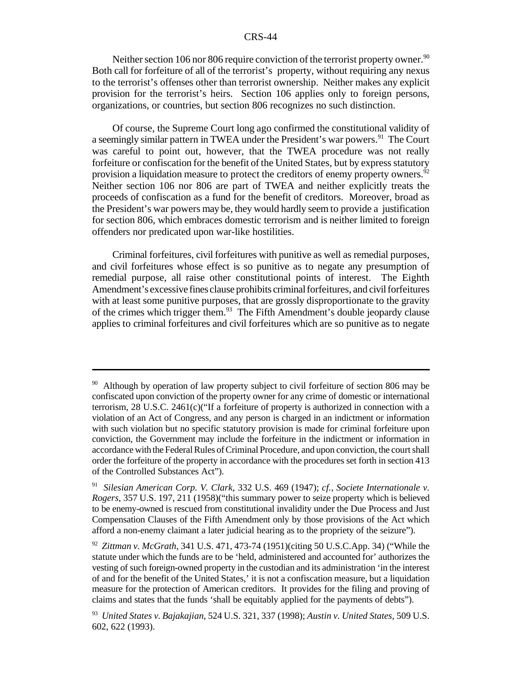Neither section 106 nor 806 require conviction of the terrorist property owner.<sup>90</sup> Both call for forfeiture of all of the terrorist's property, without requiring any nexus to the terrorist's offenses other than terrorist ownership. Neither makes any explicit provision for the terrorist's heirs. Section 106 applies only to foreign persons, organizations, or countries, but section 806 recognizes no such distinction.

Of course, the Supreme Court long ago confirmed the constitutional validity of a seemingly similar pattern in TWEA under the President's war powers.<sup>91</sup> The Court was careful to point out, however, that the TWEA procedure was not really forfeiture or confiscation for the benefit of the United States, but by expressstatutory provision a liquidation measure to protect the creditors of enemy property owners. $^{92}$ Neither section 106 nor 806 are part of TWEA and neither explicitly treats the proceeds of confiscation as a fund for the benefit of creditors. Moreover, broad as the President's war powers may be, they would hardly seem to provide a justification for section 806, which embraces domestic terrorism and is neither limited to foreign offenders nor predicated upon war-like hostilities.

Criminal forfeitures, civil forfeitures with punitive as well as remedial purposes, and civil forfeitures whose effect is so punitive as to negate any presumption of remedial purpose, all raise other constitutional points of interest. The Eighth Amendment's excessive fines clause prohibits criminal forfeitures, and civil forfeitures with at least some punitive purposes, that are grossly disproportionate to the gravity of the crimes which trigger them.<sup>93</sup> The Fifth Amendment's double jeopardy clause applies to criminal forfeitures and civil forfeitures which are so punitive as to negate

 $90$  Although by operation of law property subject to civil for feiture of section 806 may be confiscated upon conviction of the property owner for any crime of domestic or international terrorism,  $28 \text{ U.S.C. } 2461 \text{ (c)}$  ("If a forfeiture of property is authorized in connection with a violation of an Act of Congress, and any person is charged in an indictment or information with such violation but no specific statutory provision is made for criminal forfeiture upon conviction, the Government may include the forfeiture in the indictment or information in accordance with the Federal Rules of Criminal Procedure, and upon conviction, the court shall order the forfeiture of the property in accordance with the procedures set forth in section 413 of the Controlled Substances Act").

<sup>91</sup> *Silesian American Corp. V. Clark*, 332 U.S. 469 (1947); *cf., Societe Internationale v. Rogers*, 357 U.S. 197, 211 (1958)("this summary power to seize property which is believed to be enemy-owned is rescued from constitutional invalidity under the Due Process and Just Compensation Clauses of the Fifth Amendment only by those provisions of the Act which afford a non-enemy claimant a later judicial hearing as to the propriety of the seizure").

<sup>92</sup> *Zittman v. McGrath*, 341 U.S. 471, 473-74 (1951)(citing 50 U.S.C.App. 34) ("While the statute under which the funds are to be 'held, administered and accounted for' authorizes the vesting of such foreign-owned property in the custodian and its administration 'in the interest of and for the benefit of the United States,' it is not a confiscation measure, but a liquidation measure for the protection of American creditors. It provides for the filing and proving of claims and states that the funds 'shall be equitably applied for the payments of debts").

<sup>93</sup> *United States v. Bajakajian*, 524 U.S. 321, 337 (1998); *Austin v. United States*, 509 U.S. 602, 622 (1993).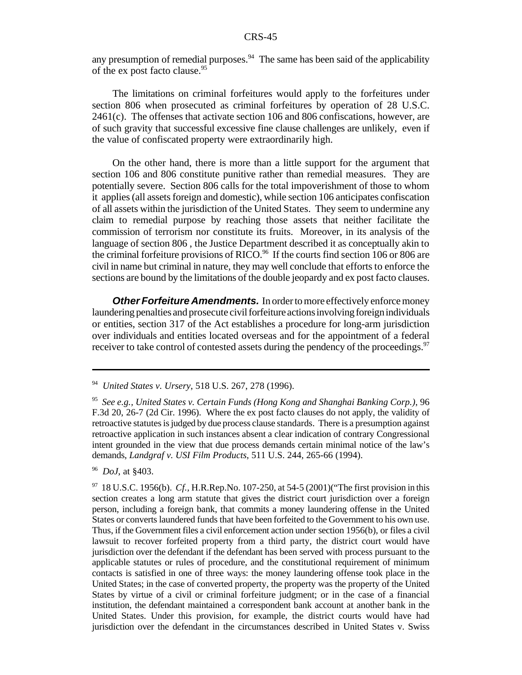any presumption of remedial purposes.<sup>94</sup> The same has been said of the applicability of the ex post facto clause.<sup>95</sup>

The limitations on criminal forfeitures would apply to the forfeitures under section 806 when prosecuted as criminal forfeitures by operation of 28 U.S.C. 2461(c). The offenses that activate section 106 and 806 confiscations, however, are of such gravity that successful excessive fine clause challenges are unlikely, even if the value of confiscated property were extraordinarily high.

On the other hand, there is more than a little support for the argument that section 106 and 806 constitute punitive rather than remedial measures. They are potentially severe. Section 806 calls for the total impoverishment of those to whom it applies (all assets foreign and domestic), while section 106 anticipates confiscation of all assets within the jurisdiction of the United States. They seem to undermine any claim to remedial purpose by reaching those assets that neither facilitate the commission of terrorism nor constitute its fruits. Moreover, in its analysis of the language of section 806 , the Justice Department described it as conceptually akin to the criminal forfeiture provisions of RICO.<sup>96</sup> If the courts find section 106 or 806 are civil in name but criminal in nature, they may well conclude that efforts to enforce the sections are bound by the limitations of the double jeopardy and ex post facto clauses.

*Other Forfeiture Amendments.* In order to more effectively enforce money laundering penalties and prosecute civil forfeiture actions involving foreign individuals or entities, section 317 of the Act establishes a procedure for long-arm jurisdiction over individuals and entities located overseas and for the appointment of a federal receiver to take control of contested assets during the pendency of the proceedings.<sup>97</sup>

96 *DoJ*, at §403.

<sup>94</sup> *United States v. Ursery*, 518 U.S. 267, 278 (1996).

<sup>95</sup> *See e.g., United States v. Certain Funds (Hong Kong and Shanghai Banking Corp.)*, 96 F.3d 20, 26-7 (2d Cir. 1996). Where the ex post facto clauses do not apply, the validity of retroactive statutes is judged by due process clause standards. There is a presumption against retroactive application in such instances absent a clear indication of contrary Congressional intent grounded in the view that due process demands certain minimal notice of the law's demands, *Landgraf v. USI Film Products*, 511 U.S. 244, 265-66 (1994).

<sup>97</sup> 18 U.S.C. 1956(b). *Cf.,* H.R.Rep.No. 107-250, at 54-5 (2001)("The first provision in this section creates a long arm statute that gives the district court jurisdiction over a foreign person, including a foreign bank, that commits a money laundering offense in the United States or converts laundered funds that have been forfeited to the Government to his own use. Thus, if the Government files a civil enforcement action under section 1956(b), or files a civil lawsuit to recover forfeited property from a third party, the district court would have jurisdiction over the defendant if the defendant has been served with process pursuant to the applicable statutes or rules of procedure, and the constitutional requirement of minimum contacts is satisfied in one of three ways: the money laundering offense took place in the United States; in the case of converted property, the property was the property of the United States by virtue of a civil or criminal forfeiture judgment; or in the case of a financial institution, the defendant maintained a correspondent bank account at another bank in the United States. Under this provision, for example, the district courts would have had jurisdiction over the defendant in the circumstances described in United States v. Swiss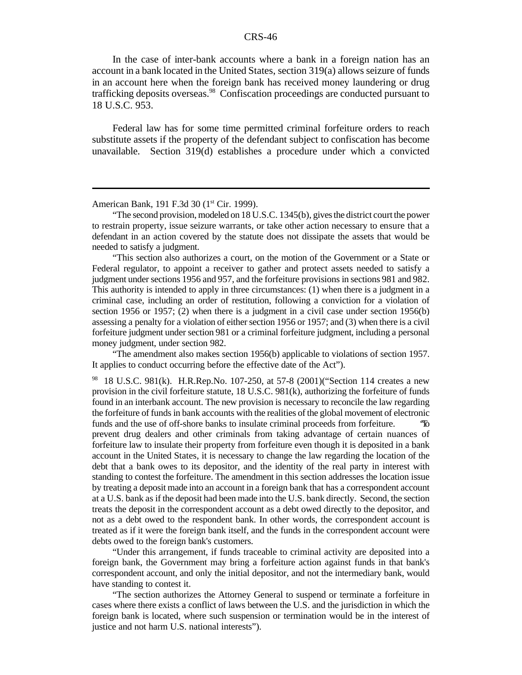In the case of inter-bank accounts where a bank in a foreign nation has an account in a bank located in the United States, section 319(a) allows seizure of funds in an account here when the foreign bank has received money laundering or drug trafficking deposits overseas.<sup>98</sup> Confiscation proceedings are conducted pursuant to 18 U.S.C. 953.

Federal law has for some time permitted criminal forfeiture orders to reach substitute assets if the property of the defendant subject to confiscation has become unavailable. Section 319(d) establishes a procedure under which a convicted

American Bank, 191 F.3d 30 (1<sup>st</sup> Cir. 1999).

"This section also authorizes a court, on the motion of the Government or a State or Federal regulator, to appoint a receiver to gather and protect assets needed to satisfy a judgment under sections 1956 and 957, and the forfeiture provisions in sections 981 and 982. This authority is intended to apply in three circumstances: (1) when there is a judgment in a criminal case, including an order of restitution, following a conviction for a violation of section 1956 or 1957; (2) when there is a judgment in a civil case under section 1956(b) assessing a penalty for a violation of either section 1956 or 1957; and (3) when there is a civil forfeiture judgment under section 981 or a criminal forfeiture judgment, including a personal money judgment, under section 982.

"The amendment also makes section 1956(b) applicable to violations of section 1957. It applies to conduct occurring before the effective date of the Act").

<sup>98</sup> 18 U.S.C. 981(k). H.R.Rep.No. 107-250, at 57-8 (2001)("Section 114 creates a new provision in the civil forfeiture statute, 18 U.S.C. 981(k), authorizing the forfeiture of funds found in an interbank account. The new provision is necessary to reconcile the law regarding the forfeiture of fundsin bank accounts with the realities ofthe global movement of electronic funds and the use of off-shore banks to insulate criminal proceeds from forfeiture. "To prevent drug dealers and other criminals from taking advantage of certain nuances of forfeiture law to insulate their property from forfeiture even though it is deposited in a bank account in the United States, it is necessary to change the law regarding the location of the debt that a bank owes to its depositor, and the identity of the real party in interest with standing to contest the forfeiture. The amendment in this section addresses the location issue by treating a deposit made into an account in a foreign bank that has a correspondent account at a U.S. bank as if the deposit had been made into the U.S. bank directly. Second, the section treats the deposit in the correspondent account as a debt owed directly to the depositor, and not as a debt owed to the respondent bank. In other words, the correspondent account is treated as if it were the foreign bank itself, and the funds in the correspondent account were debts owed to the foreign bank's customers.

"Under this arrangement, if funds traceable to criminal activity are deposited into a foreign bank, the Government may bring a forfeiture action against funds in that bank's correspondent account, and only the initial depositor, and not the intermediary bank, would have standing to contest it.

"The section authorizes the Attorney General to suspend or terminate a forfeiture in cases where there exists a conflict of laws between the U.S. and the jurisdiction in which the foreign bank is located, where such suspension or termination would be in the interest of justice and not harm U.S. national interests").

<sup>&</sup>quot;The second provision, modeled on 18 U.S.C. 1345(b), gives the district court the power to restrain property, issue seizure warrants, or take other action necessary to ensure that a defendant in an action covered by the statute does not dissipate the assets that would be needed to satisfy a judgment.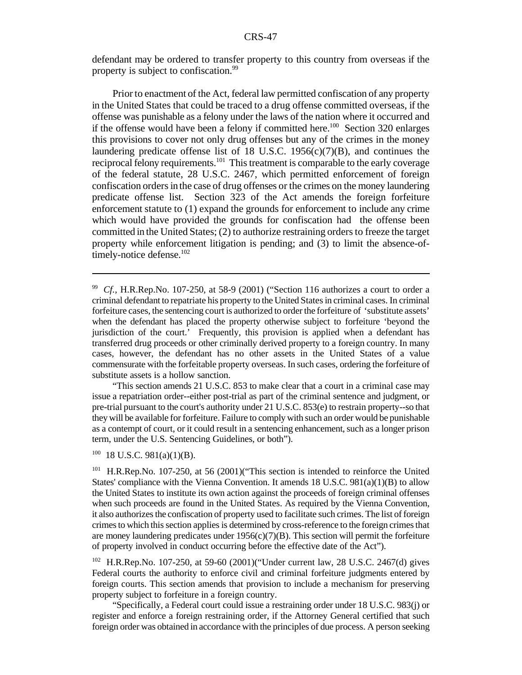defendant may be ordered to transfer property to this country from overseas if the property is subject to confiscation.<sup>99</sup>

Priorto enactment of the Act, federal law permitted confiscation of any property in the United States that could be traced to a drug offense committed overseas, if the offense was punishable as a felony under the laws of the nation where it occurred and if the offense would have been a felony if committed here.<sup>100</sup> Section 320 enlarges this provisions to cover not only drug offenses but any of the crimes in the money laundering predicate offense list of 18 U.S.C.  $1956(c)(7)(B)$ , and continues the reciprocal felony requirements.<sup>101</sup> This treatment is comparable to the early coverage of the federal statute, 28 U.S.C. 2467, which permitted enforcement of foreign confiscation orders in the case of drug offenses or the crimes on the money laundering predicate offense list. Section 323 of the Act amends the foreign forfeiture enforcement statute to (1) expand the grounds for enforcement to include any crime which would have provided the grounds for confiscation had the offense been committed in the United States; (2) to authorize restraining ordersto freeze the target property while enforcement litigation is pending; and (3) to limit the absence-oftimely-notice defense.<sup>102</sup>

"This section amends 21 U.S.C. 853 to make clear that a court in a criminal case may issue a repatriation order--either post-trial as part of the criminal sentence and judgment, or pre-trial pursuant to the court's authority under 21 U.S.C. 853(e) to restrain property--so that they will be available for forfeiture. Failure to comply with such an order would be punishable as a contempt of court, or it could result in a sentencing enhancement, such as a longer prison term, under the U.S. Sentencing Guidelines, or both").

 $100$  18 U.S.C. 981(a)(1)(B).

<sup>102</sup> H.R.Rep.No. 107-250, at 59-60 (2001)("Under current law, 28 U.S.C. 2467(d) gives Federal courts the authority to enforce civil and criminal forfeiture judgments entered by foreign courts. This section amends that provision to include a mechanism for preserving property subject to forfeiture in a foreign country.

"Specifically, a Federal court could issue a restraining order under 18 U.S.C. 983(j) or register and enforce a foreign restraining order, if the Attorney General certified that such foreign order was obtained in accordance with the principles of due process. A person seeking

<sup>99</sup> *Cf.*, H.R.Rep.No. 107-250, at 58-9 (2001) ("Section 116 authorizes a court to order a criminal defendant to repatriate his property to the United Statesin criminal cases. In criminal for feiture cases, the sentencing court is authorized to order the forfeiture of 'substitute assets' when the defendant has placed the property otherwise subject to forfeiture 'beyond the jurisdiction of the court.' Frequently, this provision is applied when a defendant has transferred drug proceeds or other criminally derived property to a foreign country. In many cases, however, the defendant has no other assets in the United States of a value commensurate with the forfeitable property overseas. In such cases, ordering the forfeiture of substitute assets is a hollow sanction.

 $101$  H.R.Rep.No. 107-250, at 56 (2001)("This section is intended to reinforce the United States' compliance with the Vienna Convention. It amends 18 U.S.C. 981(a)(1)(B) to allow the United States to institute its own action against the proceeds of foreign criminal offenses when such proceeds are found in the United States. As required by the Vienna Convention, it also authorizes the confiscation of property used to facilitate such crimes. The list of foreign crimes to which this section applies is determined by cross-reference to the foreign crimes that are money laundering predicates under  $1956(c)(7)(B)$ . This section will permit the forfeiture of property involved in conduct occurring before the effective date of the Act").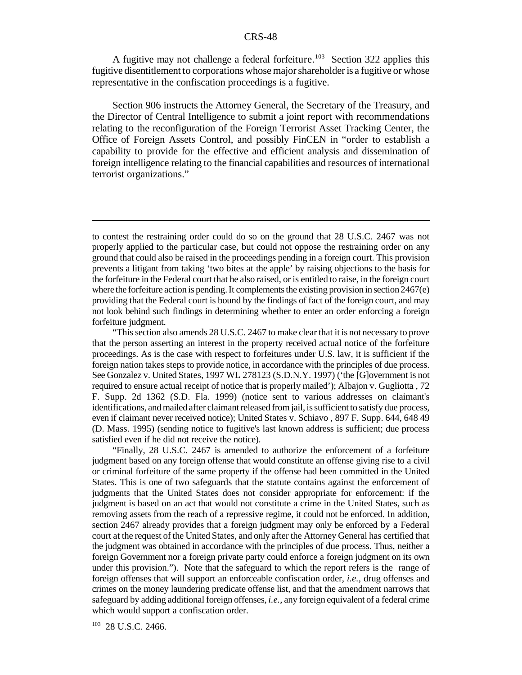A fugitive may not challenge a federal forfeiture.<sup>103</sup> Section 322 applies this fugitive disentitlement to corporations whose major shareholder is a fugitive or whose representative in the confiscation proceedings is a fugitive.

Section 906 instructs the Attorney General, the Secretary of the Treasury, and the Director of Central Intelligence to submit a joint report with recommendations relating to the reconfiguration of the Foreign Terrorist Asset Tracking Center, the Office of Foreign Assets Control, and possibly FinCEN in "order to establish a capability to provide for the effective and efficient analysis and dissemination of foreign intelligence relating to the financial capabilities and resources of international terrorist organizations."

to contest the restraining order could do so on the ground that 28 U.S.C. 2467 was not properly applied to the particular case, but could not oppose the restraining order on any ground that could also be raised in the proceedings pending in a foreign court. This provision prevents a litigant from taking 'two bites at the apple' by raising objections to the basis for the forfeiture in the Federal court that he also raised, or is entitled to raise, in the foreign court where the forfeiture action is pending. It complements the existing provision in section  $2467(e)$ providing that the Federal court is bound by the findings of fact of the foreign court, and may not look behind such findings in determining whether to enter an order enforcing a foreign forfeiture judgment.

"This section also amends 28 U.S.C. 2467 to make clear that it is not necessary to prove that the person asserting an interest in the property received actual notice of the forfeiture proceedings. As is the case with respect to forfeitures under U.S. law, it is sufficient if the foreign nation takes steps to provide notice, in accordance with the principles of due process. See Gonzalez v. United States, 1997 WL 278123 (S.D.N.Y. 1997) ('the [G]overnment is not required to ensure actual receipt of notice that is properly mailed'); Albajon v. Gugliotta , 72 F. Supp. 2d 1362 (S.D. Fla. 1999) (notice sent to various addresses on claimant's identifications, and mailed after claimant released from jail, is sufficient to satisfy due process, even if claimant never received notice); United States v. Schiavo , 897 F. Supp. 644, 648 49 (D. Mass. 1995) (sending notice to fugitive's last known address is sufficient; due process satisfied even if he did not receive the notice).

"Finally, 28 U.S.C. 2467 is amended to authorize the enforcement of a forfeiture judgment based on any foreign offense that would constitute an offense giving rise to a civil or criminal forfeiture of the same property if the offense had been committed in the United States. This is one of two safeguards that the statute contains against the enforcement of judgments that the United States does not consider appropriate for enforcement: if the judgment is based on an act that would not constitute a crime in the United States, such as removing assets from the reach of a repressive regime, it could not be enforced. In addition, section 2467 already provides that a foreign judgment may only be enforced by a Federal court at the request of the United States, and only after the Attorney General has certified that the judgment was obtained in accordance with the principles of due process. Thus, neither a foreign Government nor a foreign private party could enforce a foreign judgment on its own under this provision."). Note that the safeguard to which the report refers is the range of foreign offenses that will support an enforceable confiscation order, *i.e.,* drug offenses and crimes on the money laundering predicate offense list, and that the amendment narrows that safeguard by adding additional foreign offenses, *i.e.*, any foreign equivalent of a federal crime which would support a confiscation order.

<sup>103</sup> 28 U.S.C. 2466.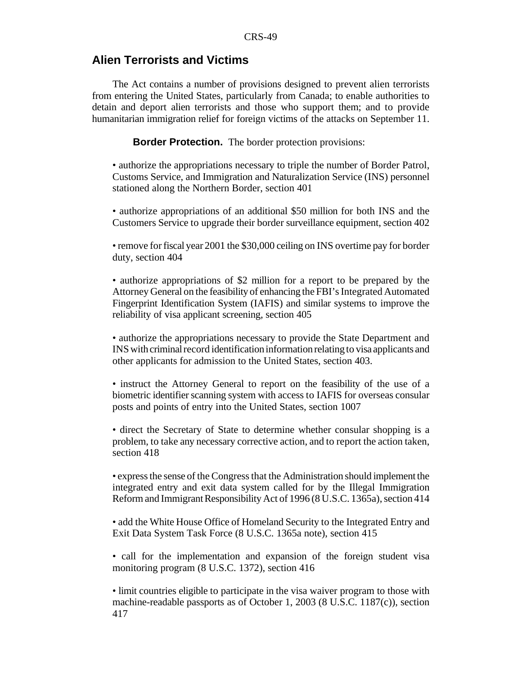# **Alien Terrorists and Victims**

The Act contains a number of provisions designed to prevent alien terrorists from entering the United States, particularly from Canada; to enable authorities to detain and deport alien terrorists and those who support them; and to provide humanitarian immigration relief for foreign victims of the attacks on September 11.

**Border Protection.** The border protection provisions:

• authorize the appropriations necessary to triple the number of Border Patrol, Customs Service, and Immigration and Naturalization Service (INS) personnel stationed along the Northern Border, section 401

• authorize appropriations of an additional \$50 million for both INS and the Customers Service to upgrade their border surveillance equipment, section 402

• remove for fiscal year 2001 the \$30,000 ceiling on INS overtime pay for border duty, section 404

• authorize appropriations of \$2 million for a report to be prepared by the Attorney General on the feasibility of enhancing the FBI's Integrated Automated Fingerprint Identification System (IAFIS) and similar systems to improve the reliability of visa applicant screening, section 405

• authorize the appropriations necessary to provide the State Department and INS with criminal record identification information relating to visa applicants and other applicants for admission to the United States, section 403.

• instruct the Attorney General to report on the feasibility of the use of a biometric identifier scanning system with access to IAFIS for overseas consular posts and points of entry into the United States, section 1007

• direct the Secretary of State to determine whether consular shopping is a problem, to take any necessary corrective action, and to report the action taken, section 418

• expressthe sense of the Congressthat the Administration should implement the integrated entry and exit data system called for by the Illegal Immigration Reform and Immigrant Responsibility Act of 1996 (8 U.S.C. 1365a), section 414

• add the White House Office of Homeland Security to the Integrated Entry and Exit Data System Task Force (8 U.S.C. 1365a note), section 415

• call for the implementation and expansion of the foreign student visa monitoring program (8 U.S.C. 1372), section 416

• limit countries eligible to participate in the visa waiver program to those with machine-readable passports as of October 1, 2003 (8 U.S.C. 1187(c)), section 417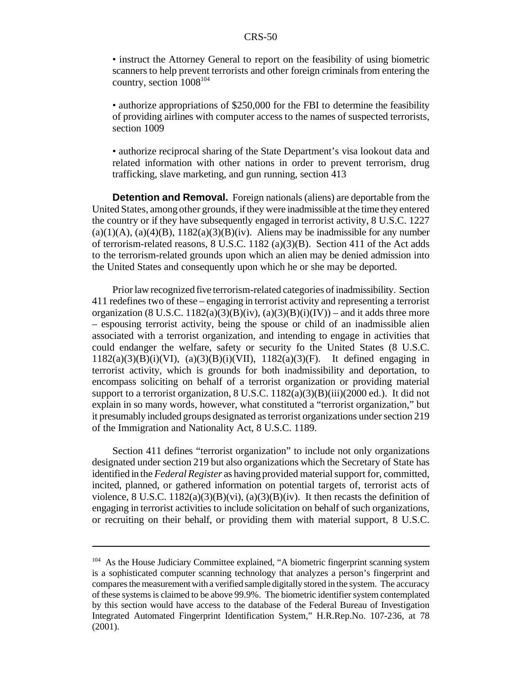• instruct the Attorney General to report on the feasibility of using biometric scanners to help prevent terrorists and other foreign criminals from entering the country, section  $1008^{104}$ 

• authorize appropriations of \$250,000 for the FBI to determine the feasibility of providing airlines with computer access to the names of suspected terrorists, section 1009

• authorize reciprocal sharing of the State Department's visa lookout data and related information with other nations in order to prevent terrorism, drug trafficking, slave marketing, and gun running, section 413

**Detention and Removal.** Foreign nationals (aliens) are deportable from the United States, among other grounds, if they were inadmissible at the time they entered the country or if they have subsequently engaged in terrorist activity, 8 U.S.C. 1227  $(a)(1)(A)$ ,  $(a)(4)(B)$ ,  $1182(a)(3)(B)(iv)$ . Aliens may be inadmissible for any number of terrorism-related reasons, 8 U.S.C. 1182 (a)(3)(B). Section 411 of the Act adds to the terrorism-related grounds upon which an alien may be denied admission into the United States and consequently upon which he or she may be deported.

Prior law recognized five terrorism-related categories of inadmissibility. Section 411 redefines two of these – engaging in terrorist activity and representing a terrorist organization (8 U.S.C. 1182(a)(3)(B)(iv), (a)(3)(B)(i)(IV)) – and it adds three more – espousing terrorist activity, being the spouse or child of an inadmissible alien associated with a terrorist organization, and intending to engage in activities that could endanger the welfare, safety or security fo the United States (8 U.S.C.  $1182(a)(3)(B)(i)(VI), (a)(3)(B)(i)(VII), 1182(a)(3)(F).$  It defined engaging in terrorist activity, which is grounds for both inadmissibility and deportation, to encompass soliciting on behalf of a terrorist organization or providing material support to a terrorist organization,  $8 \text{ U.S.C. } 1182(a)(3)(B)(iii)(2000 ed.).$  It did not explain in so many words, however, what constituted a "terrorist organization," but it presumably included groups designated as terrorist organizations under section 219 of the Immigration and Nationality Act, 8 U.S.C. 1189.

Section 411 defines "terrorist organization" to include not only organizations designated under section 219 but also organizations which the Secretary of State has identified in the *Federal Register* as having provided material support for, committed, incited, planned, or gathered information on potential targets of, terrorist acts of violence, 8 U.S.C.  $1182(a)(3)(B)(vi)$ ,  $(a)(3)(B)(iv)$ . It then recasts the definition of engaging in terrorist activities to include solicitation on behalf of such organizations, or recruiting on their behalf, or providing them with material support, 8 U.S.C.

<sup>&</sup>lt;sup>104</sup> As the House Judiciary Committee explained, "A biometric fingerprint scanning system is a sophisticated computer scanning technology that analyzes a person's fingerprint and comparesthe measurementwith a verified sample digitally stored in the system. The accuracy of these systemsis claimed to be above 99.9%. The biometric identifier system contemplated by this section would have access to the database of the Federal Bureau of Investigation Integrated Automated Fingerprint Identification System," H.R.Rep.No. 107-236, at 78 (2001).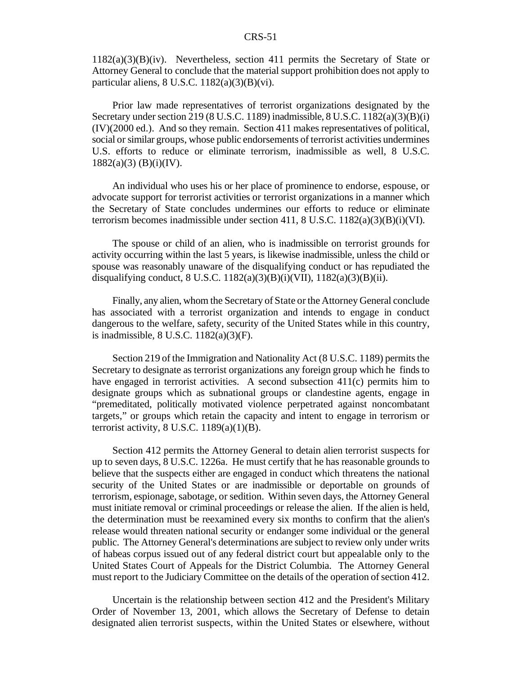$1182(a)(3)(B)(iv)$ . Nevertheless, section 411 permits the Secretary of State or Attorney General to conclude that the material support prohibition does not apply to particular aliens,  $8 \text{ U.S.C. } 1182(a)(3)(B)(vi)$ .

Prior law made representatives of terrorist organizations designated by the Secretary under section 219 (8 U.S.C. 1189) inadmissible, 8 U.S.C. 1182(a)(3)(B)(i) (IV)(2000 ed.). And so they remain. Section 411 makes representatives of political, social or similar groups, whose public endorsements of terrorist activities undermines U.S. efforts to reduce or eliminate terrorism, inadmissible as well, 8 U.S.C.  $1882(a)(3)$  (B)(i)(IV).

An individual who uses his or her place of prominence to endorse, espouse, or advocate support for terrorist activities or terrorist organizations in a manner which the Secretary of State concludes undermines our efforts to reduce or eliminate terrorism becomes inadmissible under section 411, 8 U.S.C. 1182(a)(3)(B)(i)(VI).

The spouse or child of an alien, who is inadmissible on terrorist grounds for activity occurring within the last 5 years, is likewise inadmissible, unless the child or spouse was reasonably unaware of the disqualifying conduct or has repudiated the disqualifying conduct,  $8 \text{ U.S.C. } 1182(a)(3)(B)(i)(VII), 1182(a)(3)(B)(ii).$ 

Finally, any alien, whom the Secretary of State or the Attorney General conclude has associated with a terrorist organization and intends to engage in conduct dangerous to the welfare, safety, security of the United States while in this country, is inadmissible,  $8$  U.S.C.  $1182(a)(3)(F)$ .

Section 219 of the Immigration and Nationality Act (8 U.S.C. 1189) permits the Secretary to designate as terrorist organizations any foreign group which he finds to have engaged in terrorist activities. A second subsection  $411(c)$  permits him to designate groups which as subnational groups or clandestine agents, engage in "premeditated, politically motivated violence perpetrated against noncombatant targets," or groups which retain the capacity and intent to engage in terrorism or terrorist activity,  $8$  U.S.C.  $1189(a)(1)(B)$ .

Section 412 permits the Attorney General to detain alien terrorist suspects for up to seven days, 8 U.S.C. 1226a. He must certify that he has reasonable grounds to believe that the suspects either are engaged in conduct which threatens the national security of the United States or are inadmissible or deportable on grounds of terrorism, espionage, sabotage, or sedition. Within seven days, the Attorney General must initiate removal or criminal proceedings or release the alien. If the alien is held, the determination must be reexamined every six months to confirm that the alien's release would threaten national security or endanger some individual or the general public. The Attorney General's determinations are subject to review only under writs of habeas corpus issued out of any federal district court but appealable only to the United States Court of Appeals for the District Columbia. The Attorney General must report to the Judiciary Committee on the details of the operation of section 412.

Uncertain is the relationship between section 412 and the President's Military Order of November 13, 2001, which allows the Secretary of Defense to detain designated alien terrorist suspects, within the United States or elsewhere, without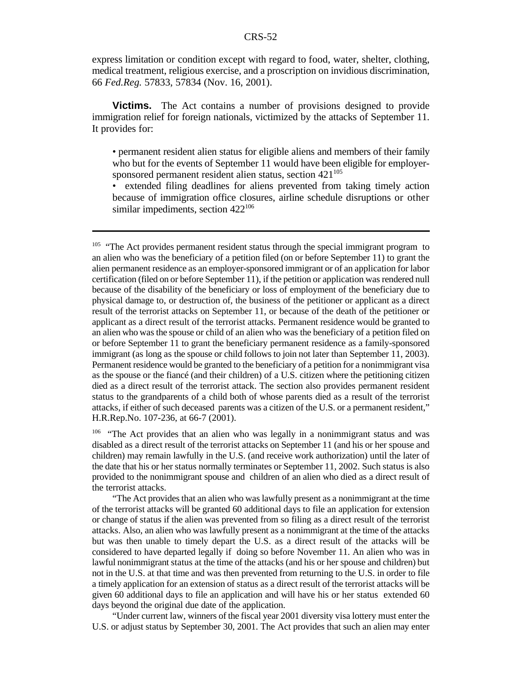express limitation or condition except with regard to food, water, shelter, clothing, medical treatment, religious exercise, and a proscription on invidious discrimination, 66 *Fed.Reg.* 57833, 57834 (Nov. 16, 2001).

**Victims.** The Act contains a number of provisions designed to provide immigration relief for foreign nationals, victimized by the attacks of September 11. It provides for:

• permanent resident alien status for eligible aliens and members of their family who but for the events of September 11 would have been eligible for employersponsored permanent resident alien status, section  $421^{105}$ 

• extended filing deadlines for aliens prevented from taking timely action because of immigration office closures, airline schedule disruptions or other similar impediments, section  $422^{106}$ 

<sup>106</sup> "The Act provides that an alien who was legally in a nonimmigrant status and was disabled as a direct result of the terrorist attacks on September 11 (and his or her spouse and children) may remain lawfully in the U.S. (and receive work authorization) until the later of the date that his or her status normally terminates or September 11, 2002. Such status is also provided to the nonimmigrant spouse and children of an alien who died as a direct result of the terrorist attacks.

"The Act provides that an alien who was lawfully present as a nonimmigrant at the time of the terrorist attacks will be granted 60 additional days to file an application for extension or change of status if the alien was prevented from so filing as a direct result of the terrorist attacks. Also, an alien who was lawfully present as a nonimmigrant at the time of the attacks but was then unable to timely depart the U.S. as a direct result of the attacks will be considered to have departed legally if doing so before November 11. An alien who was in lawful nonimmigrant status at the time of the attacks (and his or her spouse and children) but not in the U.S. at that time and was then prevented from returning to the U.S. in order to file a timely application for an extension of status as a direct result of the terrorist attacks will be given 60 additional days to file an application and will have his or her status extended 60 days beyond the original due date of the application.

"Under current law, winners of the fiscal year 2001 diversity visa lottery must enter the U.S. or adjust status by September 30, 2001. The Act provides that such an alien may enter

 $105$  "The Act provides permanent resident status through the special immigrant program to an alien who was the beneficiary of a petition filed (on or before September 11) to grant the alien permanent residence as an employer-sponsored immigrant or of an application for labor certification (filed on or before September 11), if the petition or application wasrendered null because of the disability of the beneficiary or loss of employment of the beneficiary due to physical damage to, or destruction of, the business of the petitioner or applicant as a direct result of the terrorist attacks on September 11, or because of the death of the petitioner or applicant as a direct result of the terrorist attacks. Permanent residence would be granted to an alien who wasthe spouse or child of an alien who was the beneficiary of a petition filed on or before September 11 to grant the beneficiary permanent residence as a family-sponsored immigrant (as long as the spouse or child follows to join not later than September 11, 2003). Permanent residence would be granted to the beneficiary of a petition for a nonimmigrant visa as the spouse or the fiancé (and their children) of a U.S. citizen where the petitioning citizen died as a direct result of the terrorist attack. The section also provides permanent resident status to the grandparents of a child both of whose parents died as a result of the terrorist attacks, if either of such deceased parents was a citizen of the U.S. or a permanent resident," H.R.Rep.No. 107-236, at 66-7 (2001).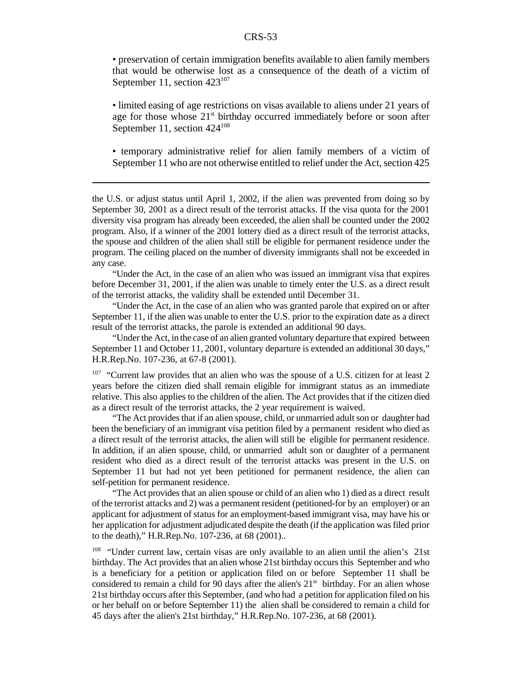• preservation of certain immigration benefits available to alien family members that would be otherwise lost as a consequence of the death of a victim of September 11, section  $423^{107}$ 

• limited easing of age restrictions on visas available to aliens under 21 years of age for those whose 21<sup>st</sup> birthday occurred immediately before or soon after September 11, section 424<sup>108</sup>

• temporary administrative relief for alien family members of a victim of September 11 who are not otherwise entitled to relief under the Act, section 425

the U.S. or adjust status until April 1, 2002, if the alien was prevented from doing so by September 30, 2001 as a direct result of the terrorist attacks. If the visa quota for the 2001 diversity visa program has already been exceeded, the alien shall be counted under the 2002 program. Also, if a winner of the 2001 lottery died as a direct result of the terrorist attacks, the spouse and children of the alien shall still be eligible for permanent residence under the program. The ceiling placed on the number of diversity immigrants shall not be exceeded in any case.

"Under the Act, in the case of an alien who was issued an immigrant visa that expires before December 31, 2001, if the alien was unable to timely enter the U.S. as a direct result of the terrorist attacks, the validity shall be extended until December 31.

"Under the Act, in the case of an alien who was granted parole that expired on or after September 11, if the alien was unable to enter the U.S. prior to the expiration date as a direct result of the terrorist attacks, the parole is extended an additional 90 days.

"Under the Act, in the case of an alien granted voluntary departure that expired between September 11 and October 11, 2001, voluntary departure is extended an additional 30 days," H.R.Rep.No. 107-236, at 67-8 (2001).

 $107$  "Current law provides that an alien who was the spouse of a U.S. citizen for at least 2 years before the citizen died shall remain eligible for immigrant status as an immediate relative. This also applies to the children of the alien. The Act provides that if the citizen died as a direct result of the terrorist attacks, the 2 year requirement is waived.

"The Act provides that if an alien spouse, child, or unmarried adult son or daughter had been the beneficiary of an immigrant visa petition filed by a permanent resident who died as a direct result of the terrorist attacks, the alien will still be eligible for permanent residence. In addition, if an alien spouse, child, or unmarried adult son or daughter of a permanent resident who died as a direct result of the terrorist attacks was present in the U.S. on September 11 but had not yet been petitioned for permanent residence, the alien can self-petition for permanent residence.

"The Act provides that an alien spouse or child of an alien who 1) died as a direct result of the terrorist attacks and 2) was a permanent resident (petitioned-for by an employer) or an applicant for adjustment of status for an employment-based immigrant visa, may have his or her application for adjustment adjudicated despite the death (if the application wasfiled prior to the death)," H.R.Rep.No. 107-236, at 68 (2001)..

<sup>108</sup> "Under current law, certain visas are only available to an alien until the alien's 21st birthday. The Act provides that an alien whose 21st birthday occurs this September and who is a beneficiary for a petition or application filed on or before September 11 shall be considered to remain a child for 90 days after the alien's  $21<sup>st</sup>$  birthday. For an alien whose 21st birthday occurs after this September, (and who had a petition for application filed on his or her behalf on or before September 11) the alien shall be considered to remain a child for 45 days after the alien's 21st birthday," H.R.Rep.No. 107-236, at 68 (2001).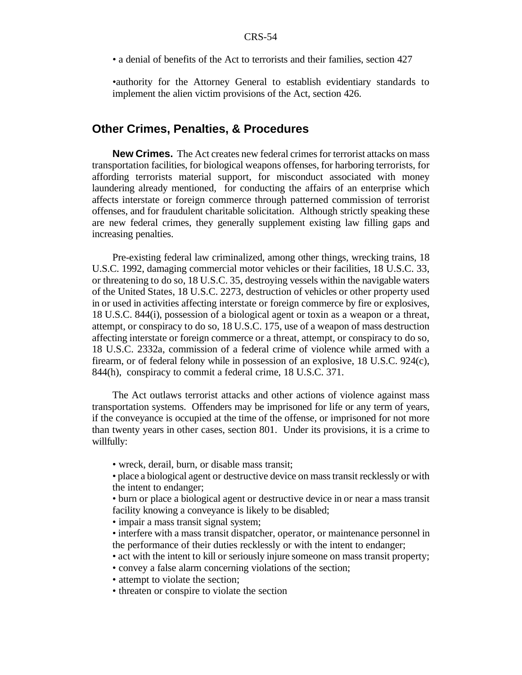• a denial of benefits of the Act to terrorists and their families, section 427

•authority for the Attorney General to establish evidentiary standards to implement the alien victim provisions of the Act, section 426.

# **Other Crimes, Penalties, & Procedures**

**New Crimes.** The Act creates new federal crimes for terrorist attacks on mass transportation facilities, for biological weapons offenses, for harboring terrorists, for affording terrorists material support, for misconduct associated with money laundering already mentioned, for conducting the affairs of an enterprise which affects interstate or foreign commerce through patterned commission of terrorist offenses, and for fraudulent charitable solicitation. Although strictly speaking these are new federal crimes, they generally supplement existing law filling gaps and increasing penalties.

Pre-existing federal law criminalized, among other things, wrecking trains, 18 U.S.C. 1992, damaging commercial motor vehicles or their facilities, 18 U.S.C. 33, or threatening to do so, 18 U.S.C. 35, destroying vessels within the navigable waters of the United States, 18 U.S.C. 2273, destruction of vehicles or other property used in or used in activities affecting interstate or foreign commerce by fire or explosives, 18 U.S.C. 844(i), possession of a biological agent or toxin as a weapon or a threat, attempt, or conspiracy to do so, 18 U.S.C. 175, use of a weapon of mass destruction affecting interstate or foreign commerce or a threat, attempt, or conspiracy to do so, 18 U.S.C. 2332a, commission of a federal crime of violence while armed with a firearm, or of federal felony while in possession of an explosive, 18 U.S.C. 924(c), 844(h), conspiracy to commit a federal crime, 18 U.S.C. 371.

The Act outlaws terrorist attacks and other actions of violence against mass transportation systems. Offenders may be imprisoned for life or any term of years, if the conveyance is occupied at the time of the offense, or imprisoned for not more than twenty years in other cases, section 801. Under its provisions, it is a crime to willfully:

- wreck, derail, burn, or disable mass transit;
- place a biological agent or destructive device on masstransit recklessly or with the intent to endanger;
- burn or place a biological agent or destructive device in or near a mass transit facility knowing a conveyance is likely to be disabled;
- impair a mass transit signal system;
- interfere with a mass transit dispatcher, operator, or maintenance personnel in the performance of their duties recklessly or with the intent to endanger;
- act with the intent to kill or seriously injure someone on mass transit property;
- convey a false alarm concerning violations of the section;
- attempt to violate the section;
- threaten or conspire to violate the section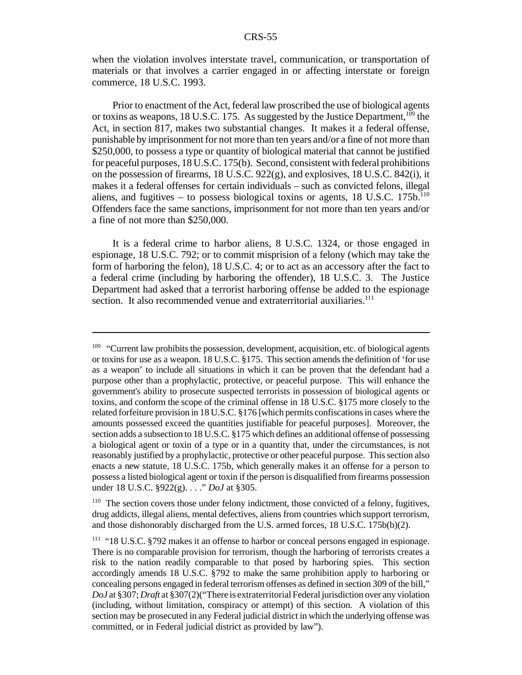when the violation involves interstate travel, communication, or transportation of materials or that involves a carrier engaged in or affecting interstate or foreign commerce, 18 U.S.C. 1993.

Prior to enactment of the Act, federal law proscribed the use of biological agents or toxins as weapons, 18 U.S.C. 175. As suggested by the Justice Department,  $109$  the Act, in section 817, makes two substantial changes. It makes it a federal offense, punishable by imprisonment for not more than ten years and/or a fine of not more than \$250,000, to possess a type or quantity of biological material that cannot be justified for peaceful purposes, 18 U.S.C. 175(b). Second, consistent with federal prohibitions on the possession of firearms, 18 U.S.C. 922(g), and explosives, 18 U.S.C. 842(i), it makes it a federal offenses for certain individuals – such as convicted felons, illegal aliens, and fugitives – to possess biological toxins or agents,  $18 \text{ U.S.C. } 175b$ .<sup>110</sup> Offenders face the same sanctions, imprisonment for not more than ten years and/or a fine of not more than \$250,000.

It is a federal crime to harbor aliens, 8 U.S.C. 1324, or those engaged in espionage, 18 U.S.C. 792; or to commit misprision of a felony (which may take the form of harboring the felon), 18 U.S.C. 4; or to act as an accessory after the fact to a federal crime (including by harboring the offender), 18 U.S.C. 3. The Justice Department had asked that a terrorist harboring offense be added to the espionage section. It also recommended venue and extraterritorial auxiliaries.<sup>111</sup>

<sup>110</sup> The section covers those under felony indictment, those convicted of a felony, fugitives, drug addicts, illegal aliens, mental defectives, aliens from countries which support terrorism, and those dishonorably discharged from the U.S. armed forces, 18 U.S.C. 175b(b)(2).

 $109$  "Current law prohibits the possession, development, acquisition, etc. of biological agents or toxins for use as a weapon. 18 U.S.C. §175. This section amends the definition of 'for use as a weapon' to include all situations in which it can be proven that the defendant had a purpose other than a prophylactic, protective, or peaceful purpose. This will enhance the government's ability to prosecute suspected terrorists in possession of biological agents or toxins, and conform the scope of the criminal offense in 18 U.S.C. §175 more closely to the related forfeiture provision in 18 U.S.C. §176 [which permits confiscationsin cases where the amounts possessed exceed the quantities justifiable for peaceful purposes]. Moreover, the section adds a subsection to 18 U.S.C. §175 which defines an additional offense of possessing a biological agent or toxin of a type or in a quantity that, under the circumstances, is not reasonably justified by a prophylactic, protective or other peaceful purpose. This section also enacts a new statute, 18 U.S.C. 175b, which generally makes it an offense for a person to possess a listed biological agent or toxin if the person is disqualified from firearms possession under 18 U.S.C. §922(g). . . ." *DoJ* at §305.

<sup>&</sup>lt;sup>111</sup> "18 U.S.C. §792 makes it an offense to harbor or conceal persons engaged in espionage. There is no comparable provision for terrorism, though the harboring of terrorists creates a risk to the nation readily comparable to that posed by harboring spies. This section accordingly amends 18 U.S.C. §792 to make the same prohibition apply to harboring or concealing persons engaged in federal terrorism offenses as defined in section 309 of the bill," *DoJ* at §307; *Draft* at §307(2)("There is extraterritorial Federal jurisdiction over any violation (including, without limitation, conspiracy or attempt) of this section. A violation of this section may be prosecuted in any Federal judicial district in which the underlying offense was committed, or in Federal judicial district as provided by law").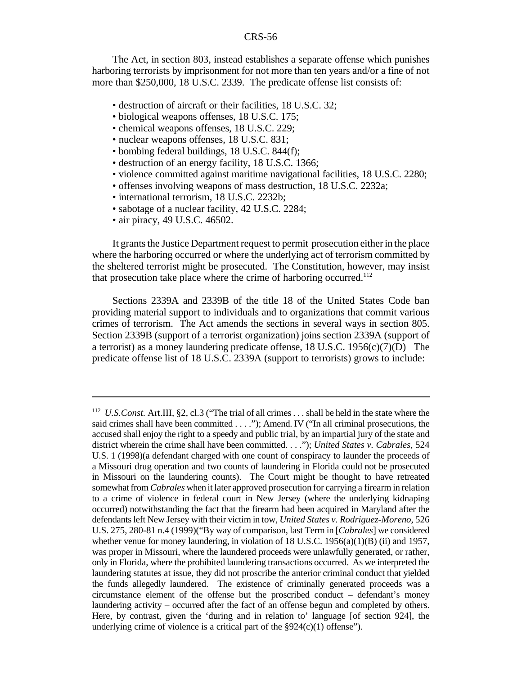The Act, in section 803, instead establishes a separate offense which punishes harboring terrorists by imprisonment for not more than ten years and/or a fine of not more than \$250,000, 18 U.S.C. 2339. The predicate offense list consists of:

- destruction of aircraft or their facilities, 18 U.S.C. 32;
- biological weapons offenses, 18 U.S.C. 175;
- chemical weapons offenses, 18 U.S.C. 229;
- nuclear weapons offenses, 18 U.S.C. 831;
- bombing federal buildings, 18 U.S.C. 844(f);
- destruction of an energy facility, 18 U.S.C. 1366;
- violence committed against maritime navigational facilities, 18 U.S.C. 2280;
- offenses involving weapons of mass destruction, 18 U.S.C. 2232a;
- international terrorism, 18 U.S.C. 2232b;
- sabotage of a nuclear facility, 42 U.S.C. 2284;
- air piracy, 49 U.S.C. 46502.

It grants the Justice Department request to permit prosecution either in the place where the harboring occurred or where the underlying act of terrorism committed by the sheltered terrorist might be prosecuted. The Constitution, however, may insist that prosecution take place where the crime of harboring occurred.<sup>112</sup>

Sections 2339A and 2339B of the title 18 of the United States Code ban providing material support to individuals and to organizations that commit various crimes of terrorism. The Act amends the sections in several ways in section 805. Section 2339B (support of a terrorist organization) joins section 2339A (support of a terrorist) as a money laundering predicate offense, 18 U.S.C. 1956(c)(7)(D) The predicate offense list of 18 U.S.C. 2339A (support to terrorists) grows to include:

<sup>&</sup>lt;sup>112</sup> U.S. Const. Art.III, §2, cl.3 ("The trial of all crimes... shall be held in the state where the said crimes shall have been committed . . . ."); Amend. IV ("In all criminal prosecutions, the accused shall enjoy the right to a speedy and public trial, by an impartial jury of the state and district wherein the crime shall have been committed. . . ."); *United States v. Cabrales*, 524 U.S. 1 (1998)(a defendant charged with one count of conspiracy to launder the proceeds of a Missouri drug operation and two counts of laundering in Florida could not be prosecuted in Missouri on the laundering counts). The Court might be thought to have retreated somewhat from *Cabrales* when it later approved prosecution for carrying a firearm in relation to a crime of violence in federal court in New Jersey (where the underlying kidnaping occurred) notwithstanding the fact that the firearm had been acquired in Maryland after the defendants left New Jersey with their victim in tow, *United States v. Rodriguez-Moreno*, 526 U.S. 275, 280-81 n.4 (1999)("By way of comparison, last Term in [*Cabrales*] we considered whether venue for money laundering, in violation of 18 U.S.C.  $1956(a)(1)(B)$  (ii) and 1957, was proper in Missouri, where the laundered proceeds were unlawfully generated, or rather, only in Florida, where the prohibited laundering transactions occurred. As we interpreted the laundering statutes at issue, they did not proscribe the anterior criminal conduct that yielded the funds allegedly laundered. The existence of criminally generated proceeds was a circumstance element of the offense but the proscribed conduct – defendant's money laundering activity – occurred after the fact of an offense begun and completed by others. Here, by contrast, given the 'during and in relation to' language [of section 924], the underlying crime of violence is a critical part of the  $\S 924(c)(1)$  offense").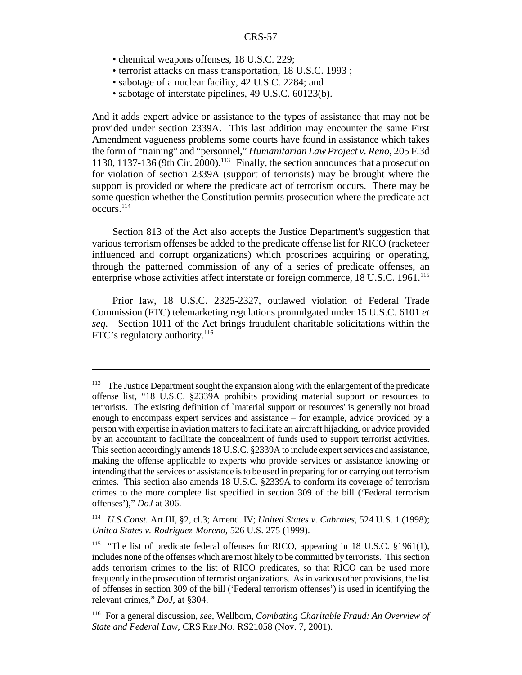- chemical weapons offenses, 18 U.S.C. 229;
- terrorist attacks on mass transportation, 18 U.S.C. 1993 ;
- sabotage of a nuclear facility, 42 U.S.C. 2284; and
- sabotage of interstate pipelines, 49 U.S.C. 60123(b).

And it adds expert advice or assistance to the types of assistance that may not be provided under section 2339A. This last addition may encounter the same First Amendment vagueness problems some courts have found in assistance which takes the form of "training" and "personnel," *Humanitarian LawProject v. Reno*, 205 F.3d 1130, 1137-136 (9th Cir. 2000).<sup>113</sup> Finally, the section announces that a prosecution for violation of section 2339A (support of terrorists) may be brought where the support is provided or where the predicate act of terrorism occurs. There may be some question whether the Constitution permits prosecution where the predicate act occurs.<sup>114</sup>

Section 813 of the Act also accepts the Justice Department's suggestion that various terrorism offenses be added to the predicate offense list for RICO (racketeer influenced and corrupt organizations) which proscribes acquiring or operating, through the patterned commission of any of a series of predicate offenses, an enterprise whose activities affect interstate or foreign commerce, 18 U.S.C. 1961.<sup>115</sup>

Prior law, 18 U.S.C. 2325-2327, outlawed violation of Federal Trade Commission (FTC) telemarketing regulations promulgated under 15 U.S.C. 6101 *et seq.* Section 1011 of the Act brings fraudulent charitable solicitations within the FTC's regulatory authority. $116$ 

<sup>&</sup>lt;sup>113</sup> The Justice Department sought the expansion along with the enlargement of the predicate offense list, "18 U.S.C. §2339A prohibits providing material support or resources to terrorists. The existing definition of `material support or resources' is generally not broad enough to encompass expert services and assistance – for example, advice provided by a person with expertise in aviation mattersto facilitate an aircraft hijacking, or advice provided by an accountant to facilitate the concealment of funds used to support terrorist activities. This section accordingly amends 18 U.S.C. §2339A to include expert services and assistance, making the offense applicable to experts who provide services or assistance knowing or intending that the services or assistance isto be used in preparing for or carrying out terrorism crimes. This section also amends 18 U.S.C. §2339A to conform its coverage of terrorism crimes to the more complete list specified in section 309 of the bill ('Federal terrorism offenses')," *DoJ* at 306.

<sup>114</sup> *U.S.Const.* Art.III, §2, cl.3; Amend. IV; *United States v. Cabrales*, 524 U.S. 1 (1998); *United States v. Rodriguez-Moreno*, 526 U.S. 275 (1999).

<sup>&</sup>lt;sup>115</sup> "The list of predicate federal offenses for RICO, appearing in 18 U.S.C. §1961(1), includes none of the offenses which are most likely to be committed by terrorists. This section adds terrorism crimes to the list of RICO predicates, so that RICO can be used more frequently in the prosecution of terrorist organizations. As in various other provisions, the list of offenses in section 309 of the bill ('Federal terrorism offenses') is used in identifying the relevant crimes," *DoJ*, at §304.

<sup>116</sup> For a general discussion, *see*, Wellborn, *Combating Charitable Fraud: An Overview of State and Federal Law*, CRS REP.NO. RS21058 (Nov. 7, 2001).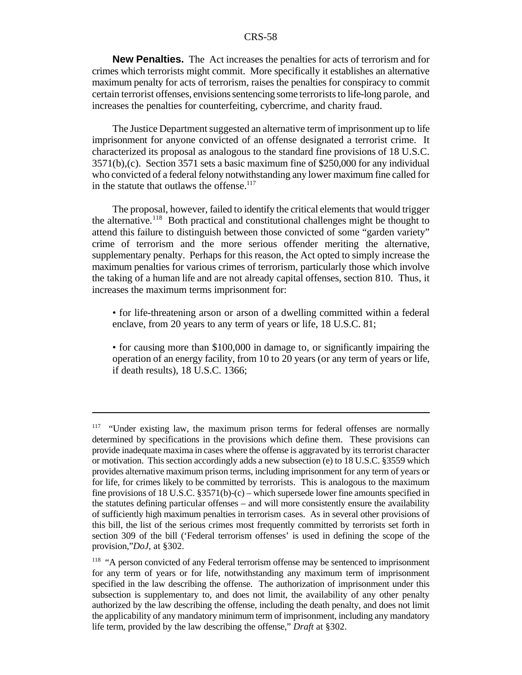**New Penalties.** The Act increases the penalties for acts of terrorism and for crimes which terrorists might commit. More specifically it establishes an alternative maximum penalty for acts of terrorism, raises the penalties for conspiracy to commit certain terrorist offenses, envisions sentencing some terrorists to life-long parole, and increases the penalties for counterfeiting, cybercrime, and charity fraud.

The Justice Department suggested an alternative term of imprisonment up to life imprisonment for anyone convicted of an offense designated a terrorist crime. It characterized its proposal as analogous to the standard fine provisions of 18 U.S.C. 3571(b),(c). Section 3571 sets a basic maximum fine of \$250,000 for any individual who convicted of a federal felony notwithstanding any lower maximum fine called for in the statute that outlaws the offense. $117$ 

The proposal, however, failed to identify the critical elements that would trigger the alternative.<sup>118</sup> Both practical and constitutional challenges might be thought to attend this failure to distinguish between those convicted of some "garden variety" crime of terrorism and the more serious offender meriting the alternative, supplementary penalty. Perhaps for this reason, the Act opted to simply increase the maximum penalties for various crimes of terrorism, particularly those which involve the taking of a human life and are not already capital offenses, section 810. Thus, it increases the maximum terms imprisonment for:

• for life-threatening arson or arson of a dwelling committed within a federal enclave, from 20 years to any term of years or life, 18 U.S.C. 81;

• for causing more than \$100,000 in damage to, or significantly impairing the operation of an energy facility, from 10 to 20 years (or any term of years or life, if death results), 18 U.S.C. 1366;

<sup>&</sup>lt;sup>117</sup> "Under existing law, the maximum prison terms for federal offenses are normally determined by specifications in the provisions which define them. These provisions can provide inadequate maxima in cases where the offense is aggravated by its terrorist character or motivation. This section accordingly adds a new subsection (e) to 18 U.S.C. §3559 which provides alternative maximum prison terms, including imprisonment for any term of years or for life, for crimes likely to be committed by terrorists. This is analogous to the maximum fine provisions of 18 U.S.C.  $\S 3571(b)-(c)$  – which supersede lower fine amounts specified in the statutes defining particular offenses – and will more consistently ensure the availability of sufficiently high maximum penalties in terrorism cases. As in several other provisions of this bill, the list of the serious crimes most frequently committed by terrorists set forth in section 309 of the bill ('Federal terrorism offenses' is used in defining the scope of the provision,"*DoJ*, at §302.

<sup>&</sup>lt;sup>118</sup> "A person convicted of any Federal terrorism offense may be sentenced to imprisonment for any term of years or for life, notwithstanding any maximum term of imprisonment specified in the law describing the offense. The authorization of imprisonment under this subsection is supplementary to, and does not limit, the availability of any other penalty authorized by the law describing the offense, including the death penalty, and does not limit the applicability of any mandatory minimum term of imprisonment, including any mandatory life term, provided by the law describing the offense," *Draft* at §302.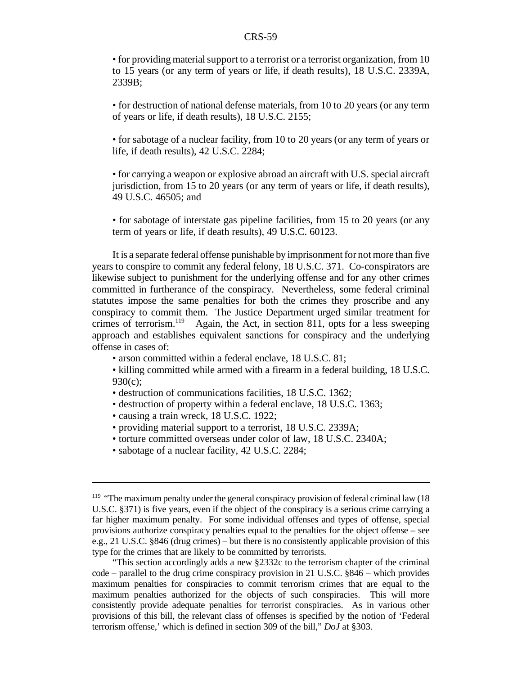• for providing material support to a terrorist or a terrorist organization, from 10 to 15 years (or any term of years or life, if death results), 18 U.S.C. 2339A, 2339B;

• for destruction of national defense materials, from 10 to 20 years (or any term of years or life, if death results), 18 U.S.C. 2155;

• for sabotage of a nuclear facility, from 10 to 20 years (or any term of years or life, if death results), 42 U.S.C. 2284;

• for carrying a weapon or explosive abroad an aircraft with U.S. special aircraft jurisdiction, from 15 to 20 years (or any term of years or life, if death results), 49 U.S.C. 46505; and

• for sabotage of interstate gas pipeline facilities, from 15 to 20 years (or any term of years or life, if death results), 49 U.S.C. 60123.

It is a separate federal offense punishable by imprisonment for not more than five years to conspire to commit any federal felony, 18 U.S.C. 371. Co-conspirators are likewise subject to punishment for the underlying offense and for any other crimes committed in furtherance of the conspiracy. Nevertheless, some federal criminal statutes impose the same penalties for both the crimes they proscribe and any conspiracy to commit them. The Justice Department urged similar treatment for crimes of terrorism.<sup>119</sup> Again, the Act, in section 811, opts for a less sweeping Again, the Act, in section 811, opts for a less sweeping approach and establishes equivalent sanctions for conspiracy and the underlying offense in cases of:

• arson committed within a federal enclave, 18 U.S.C. 81;

- killing committed while armed with a firearm in a federal building, 18 U.S.C. 930(c);
- destruction of communications facilities, 18 U.S.C. 1362;
- destruction of property within a federal enclave, 18 U.S.C. 1363;
- causing a train wreck, 18 U.S.C. 1922;
- providing material support to a terrorist, 18 U.S.C. 2339A;
- torture committed overseas under color of law, 18 U.S.C. 2340A;
- sabotage of a nuclear facility, 42 U.S.C. 2284;

<sup>&</sup>lt;sup>119</sup> "The maximum penalty under the general conspiracy provision of federal criminal law  $(18$ U.S.C. §371) is five years, even if the object of the conspiracy is a serious crime carrying a far higher maximum penalty. For some individual offenses and types of offense, special provisions authorize conspiracy penalties equal to the penalties for the object offense – see e.g., 21 U.S.C. §846 (drug crimes) – but there is no consistently applicable provision of this type for the crimes that are likely to be committed by terrorists.

<sup>&</sup>quot;This section accordingly adds a new §2332c to the terrorism chapter of the criminal code – parallel to the drug crime conspiracy provision in 21 U.S.C. §846 – which provides maximum penalties for conspiracies to commit terrorism crimes that are equal to the maximum penalties authorized for the objects of such conspiracies. This will more consistently provide adequate penalties for terrorist conspiracies. As in various other provisions of this bill, the relevant class of offenses is specified by the notion of 'Federal terrorism offense,' which is defined in section 309 of the bill," *DoJ* at §303.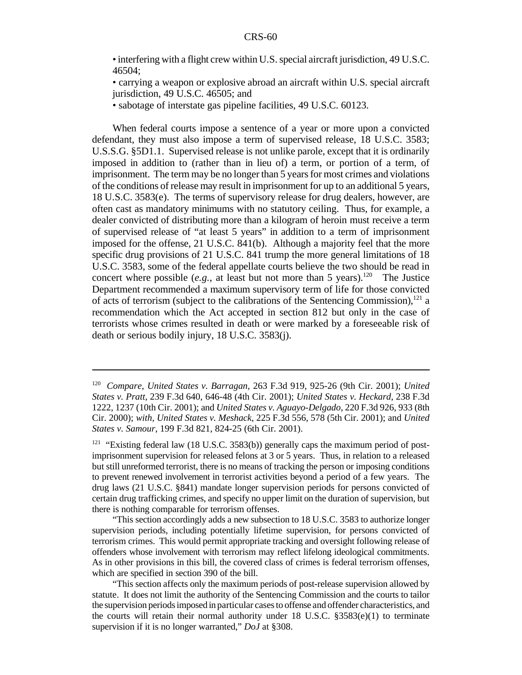• interfering with a flight crew within U.S. special aircraft jurisdiction, 49 U.S.C. 46504;

• carrying a weapon or explosive abroad an aircraft within U.S. special aircraft jurisdiction, 49 U.S.C. 46505; and

• sabotage of interstate gas pipeline facilities, 49 U.S.C. 60123.

When federal courts impose a sentence of a year or more upon a convicted defendant, they must also impose a term of supervised release, 18 U.S.C. 3583; U.S.S.G. §5D1.1. Supervised release is not unlike parole, except that it is ordinarily imposed in addition to (rather than in lieu of) a term, or portion of a term, of imprisonment. The term may be no longer than 5 years for most crimes and violations of the conditions of release may result in imprisonment for up to an additional 5 years, 18 U.S.C. 3583(e). The terms of supervisory release for drug dealers, however, are often cast as mandatory minimums with no statutory ceiling. Thus, for example, a dealer convicted of distributing more than a kilogram of heroin must receive a term of supervised release of "at least 5 years" in addition to a term of imprisonment imposed for the offense, 21 U.S.C. 841(b). Although a majority feel that the more specific drug provisions of 21 U.S.C. 841 trump the more general limitations of 18 U.S.C. 3583, some of the federal appellate courts believe the two should be read in concert where possible  $(e.g.,$  at least but not more than 5 years).<sup>120</sup> The Justice Department recommended a maximum supervisory term of life for those convicted of acts of terrorism (subject to the calibrations of the Sentencing Commission), $^{121}$  a recommendation which the Act accepted in section 812 but only in the case of terrorists whose crimes resulted in death or were marked by a foreseeable risk of death or serious bodily injury, 18 U.S.C. 3583(j).

<sup>120</sup> *Compare*, *United States v. Barragan*, 263 F.3d 919, 925-26 (9th Cir. 2001); *United States v. Pratt*, 239 F.3d 640, 646-48 (4th Cir. 2001); *United States v. Heckard*, 238 F.3d 1222, 1237 (10th Cir. 2001); and *United States v. Aguayo-Delgado*, 220 F.3d 926, 933 (8th Cir. 2000); *with, United States v. Meshack*, 225 F.3d 556, 578 (5th Cir. 2001); and *United States v. Samour*, 199 F.3d 821, 824-25 (6th Cir. 2001).

 $121$  "Existing federal law (18 U.S.C. 3583(b)) generally caps the maximum period of postimprisonment supervision for released felons at 3 or 5 years. Thus, in relation to a released but still unreformed terrorist, there is no means of tracking the person or imposing conditions to prevent renewed involvement in terrorist activities beyond a period of a few years. The drug laws (21 U.S.C. §841) mandate longer supervision periods for persons convicted of certain drug trafficking crimes, and specify no upper limit on the duration of supervision, but there is nothing comparable for terrorism offenses.

<sup>&</sup>quot;This section accordingly adds a new subsection to 18 U.S.C. 3583 to authorize longer supervision periods, including potentially lifetime supervision, for persons convicted of terrorism crimes. This would permit appropriate tracking and oversight following release of offenders whose involvement with terrorism may reflect lifelong ideological commitments. As in other provisions in this bill, the covered class of crimes is federal terrorism offenses, which are specified in section 390 of the bill.

<sup>&</sup>quot;This section affects only the maximum periods of post-release supervision allowed by statute. It does not limit the authority of the Sentencing Commission and the courts to tailor the supervision periodsimposed in particular casesto offense and offender characteristics, and the courts will retain their normal authority under 18 U.S.C.  $\S 3583(e)(1)$  to terminate supervision if it is no longer warranted," *DoJ* at §308.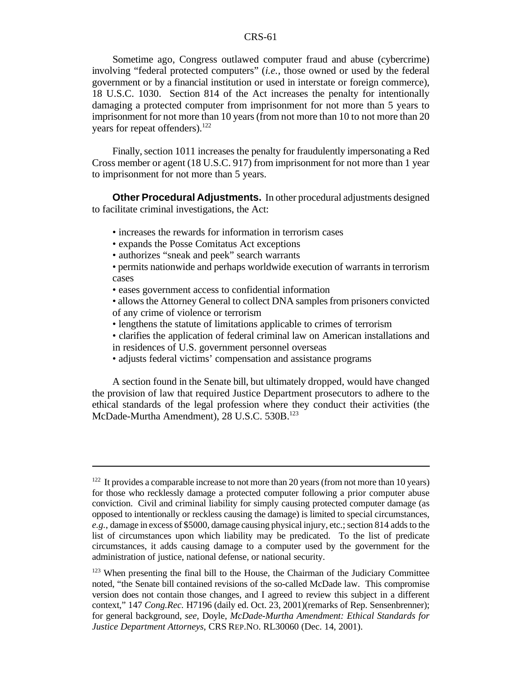Sometime ago, Congress outlawed computer fraud and abuse (cybercrime) involving "federal protected computers" (*i.e.,* those owned or used by the federal government or by a financial institution or used in interstate or foreign commerce), 18 U.S.C. 1030. Section 814 of the Act increases the penalty for intentionally damaging a protected computer from imprisonment for not more than 5 years to imprisonment for not more than 10 years(from not more than 10 to not more than 20 years for repeat offenders).<sup>122</sup>

Finally, section 1011 increases the penalty for fraudulently impersonating a Red Cross member or agent (18 U.S.C. 917) from imprisonment for not more than 1 year to imprisonment for not more than 5 years.

**Other Procedural Adjustments.** In other procedural adjustments designed to facilitate criminal investigations, the Act:

- increases the rewards for information in terrorism cases
- expands the Posse Comitatus Act exceptions
- authorizes "sneak and peek" search warrants

• permits nationwide and perhaps worldwide execution of warrants in terrorism cases

• eases government access to confidential information

• allows the Attorney General to collect DNA samples from prisoners convicted of any crime of violence or terrorism

• lengthens the statute of limitations applicable to crimes of terrorism

• clarifies the application of federal criminal law on American installations and in residences of U.S. government personnel overseas

• adjusts federal victims' compensation and assistance programs

A section found in the Senate bill, but ultimately dropped, would have changed the provision of law that required Justice Department prosecutors to adhere to the ethical standards of the legal profession where they conduct their activities (the McDade-Murtha Amendment), 28 U.S.C. 530B.<sup>123</sup>

 $122$  It provides a comparable increase to not more than 20 years (from not more than 10 years) for those who recklessly damage a protected computer following a prior computer abuse conviction. Civil and criminal liability for simply causing protected computer damage (as opposed to intentionally or reckless causing the damage) is limited to special circumstances, e.g., damage in excess of \$5000, damage causing physical injury, etc.; section 814 adds to the list of circumstances upon which liability may be predicated. To the list of predicate circumstances, it adds causing damage to a computer used by the government for the administration of justice, national defense, or national security.

 $123$  When presenting the final bill to the House, the Chairman of the Judiciary Committee noted, "the Senate bill contained revisions of the so-called McDade law. This compromise version does not contain those changes, and I agreed to review this subject in a different context," 147 *Cong.Rec.* H7196 (daily ed. Oct. 23, 2001)(remarks of Rep. Sensenbrenner); for general background, *see*, Doyle, *McDade-Murtha Amendment: Ethical Standards for Justice Department Attorneys*, CRS REP.NO. RL30060 (Dec. 14, 2001).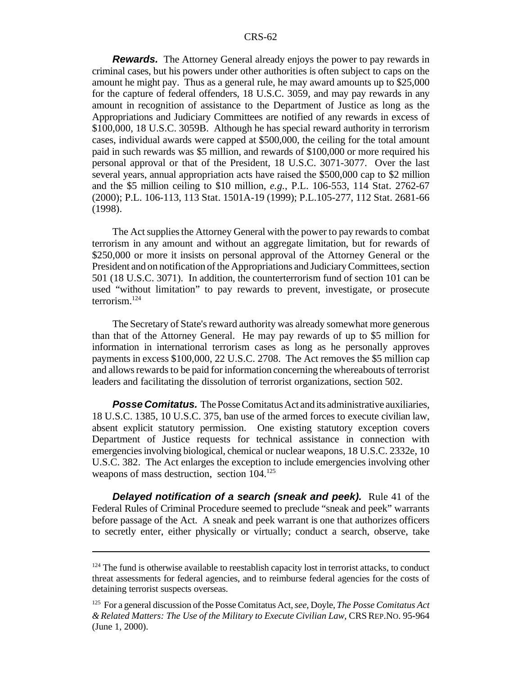**Rewards.** The Attorney General already enjoys the power to pay rewards in criminal cases, but his powers under other authorities is often subject to caps on the amount he might pay. Thus as a general rule, he may award amounts up to \$25,000 for the capture of federal offenders, 18 U.S.C. 3059, and may pay rewards in any amount in recognition of assistance to the Department of Justice as long as the Appropriations and Judiciary Committees are notified of any rewards in excess of \$100,000, 18 U.S.C. 3059B. Although he has special reward authority in terrorism cases, individual awards were capped at \$500,000, the ceiling for the total amount paid in such rewards was \$5 million, and rewards of \$100,000 or more required his personal approval or that of the President, 18 U.S.C. 3071-3077. Over the last several years, annual appropriation acts have raised the \$500,000 cap to \$2 million and the \$5 million ceiling to \$10 million, *e.g.*, P.L. 106-553, 114 Stat. 2762-67 (2000); P.L. 106-113, 113 Stat. 1501A-19 (1999); P.L.105-277, 112 Stat. 2681-66 (1998).

The Act supplies the Attorney General with the power to pay rewards to combat terrorism in any amount and without an aggregate limitation, but for rewards of \$250,000 or more it insists on personal approval of the Attorney General or the President and on notification of the Appropriations and Judiciary Committees, section 501 (18 U.S.C. 3071). In addition, the counterterrorism fund of section 101 can be used "without limitation" to pay rewards to prevent, investigate, or prosecute terrorism.<sup>124</sup>

The Secretary of State's reward authority was already somewhat more generous than that of the Attorney General. He may pay rewards of up to \$5 million for information in international terrorism cases as long as he personally approves payments in excess \$100,000, 22 U.S.C. 2708. The Act removes the \$5 million cap and allows rewards to be paid for information concerning the whereabouts of terrorist leaders and facilitating the dissolution of terrorist organizations, section 502.

*Posse Comitatus.* The Posse Comitatus Act and its administrative auxiliaries, 18 U.S.C. 1385, 10 U.S.C. 375, ban use of the armed forces to execute civilian law, absent explicit statutory permission. One existing statutory exception covers Department of Justice requests for technical assistance in connection with emergenciesinvolving biological, chemical or nuclear weapons, 18 U.S.C. 2332e, 10 U.S.C. 382. The Act enlarges the exception to include emergencies involving other weapons of mass destruction, section 104.<sup>125</sup>

*Delayed notification of a search (sneak and peek).* Rule 41 of the Federal Rules of Criminal Procedure seemed to preclude "sneak and peek" warrants before passage of the Act. A sneak and peek warrant is one that authorizes officers to secretly enter, either physically or virtually; conduct a search, observe, take

<sup>&</sup>lt;sup>124</sup> The fund is otherwise available to reestablish capacity lost in terrorist attacks, to conduct threat assessments for federal agencies, and to reimburse federal agencies for the costs of detaining terrorist suspects overseas.

<sup>125</sup> For a general discussion of the Posse Comitatus Act, *see*, Doyle, *The Posse Comitatus Act & Related Matters: The Use of the Military to Execute Civilian Law*, CRSREP.NO. 95-964 (June 1, 2000).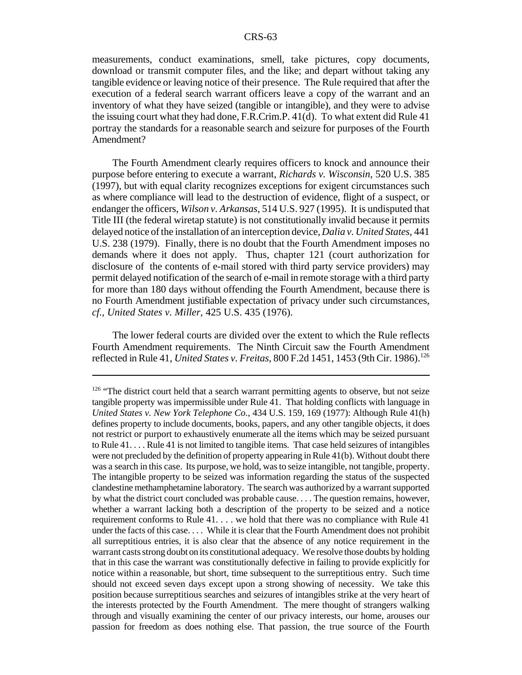measurements, conduct examinations, smell, take pictures, copy documents, download or transmit computer files, and the like; and depart without taking any tangible evidence or leaving notice of their presence. The Rule required that after the execution of a federal search warrant officers leave a copy of the warrant and an inventory of what they have seized (tangible or intangible), and they were to advise the issuing court what they had done, F.R.Crim.P. 41(d). To what extent did Rule 41 portray the standards for a reasonable search and seizure for purposes of the Fourth Amendment?

The Fourth Amendment clearly requires officers to knock and announce their purpose before entering to execute a warrant, *Richards v. Wisconsin*, 520 U.S. 385 (1997), but with equal clarity recognizes exceptions for exigent circumstances such as where compliance will lead to the destruction of evidence, flight of a suspect, or endanger the officers, *Wilson v. Arkansas*, 514 U.S. 927 (1995). It is undisputed that Title III (the federal wiretap statute) is not constitutionally invalid because it permits delayed notice ofthe installation of an interception device, *Dalia v. United States*, 441 U.S. 238 (1979). Finally, there is no doubt that the Fourth Amendment imposes no demands where it does not apply. Thus, chapter 121 (court authorization for disclosure of the contents of e-mail stored with third party service providers) may permit delayed notification of the search of e-mail in remote storage with a third party for more than 180 days without offending the Fourth Amendment, because there is no Fourth Amendment justifiable expectation of privacy under such circumstances, *cf., United States v. Miller*, 425 U.S. 435 (1976).

The lower federal courts are divided over the extent to which the Rule reflects Fourth Amendment requirements. The Ninth Circuit saw the Fourth Amendment reflected in Rule 41, *United States v. Freitas*, 800 F.2d 1451, 1453 (9th Cir. 1986).<sup>126</sup>

 $126$  "The district court held that a search warrant permitting agents to observe, but not seize tangible property was impermissible under Rule 41. That holding conflicts with language in *United States v. New York Telephone Co*., 434 U.S. 159, 169 (1977): Although Rule 41(h) defines property to include documents, books, papers, and any other tangible objects, it does not restrict or purport to exhaustively enumerate all the items which may be seized pursuant to Rule 41. . . . Rule 41 is not limited to tangible items. That case held seizures of intangibles were not precluded by the definition of property appearing in Rule 41(b). Without doubt there was a search in this case. Its purpose, we hold, was to seize intangible, not tangible, property. The intangible property to be seized was information regarding the status of the suspected clandestine methamphetamine laboratory. The search was authorized by a warrant supported by what the district court concluded was probable cause. . . . The question remains, however, whether a warrant lacking both a description of the property to be seized and a notice requirement conforms to Rule 41. . . . we hold that there was no compliance with Rule 41 under the facts of this case. . . . While it is clear that the Fourth Amendment does not prohibit all surreptitious entries, it is also clear that the absence of any notice requirement in the warrant castsstrong doubt on its constitutional adequacy. We resolve those doubts by holding that in this case the warrant was constitutionally defective in failing to provide explicitly for notice within a reasonable, but short, time subsequent to the surreptitious entry. Such time should not exceed seven days except upon a strong showing of necessity. We take this position because surreptitious searches and seizures of intangibles strike at the very heart of the interests protected by the Fourth Amendment. The mere thought of strangers walking through and visually examining the center of our privacy interests, our home, arouses our passion for freedom as does nothing else. That passion, the true source of the Fourth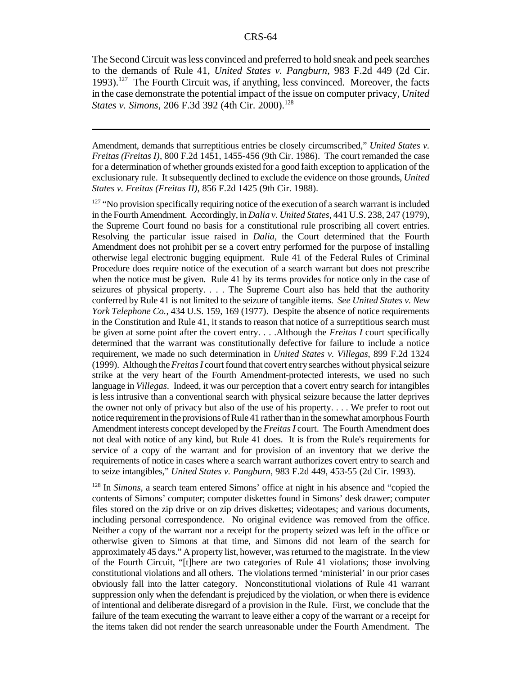The Second Circuit wasless convinced and preferred to hold sneak and peek searches to the demands of Rule 41, *United States v. Pangburn*, 983 F.2d 449 (2d Cir. 1993).<sup>127</sup> The Fourth Circuit was, if anything, less convinced. Moreover, the facts in the case demonstrate the potential impact of the issue on computer privacy, *United States v. Simons, 206 F.3d 392 (4th Cir. 2000).*<sup>128</sup>

Amendment, demands that surreptitious entries be closely circumscribed," *United States v. Freitas (Freitas I)*, 800 F.2d 1451, 1455-456 (9th Cir. 1986). The court remanded the case for a determination of whether grounds existed for a good faith exception to application of the exclusionary rule. It subsequently declined to exclude the evidence on those grounds, *United States v. Freitas (Freitas II)*, 856 F.2d 1425 (9th Cir. 1988).

 $127$  "No provision specifically requiring notice of the execution of a search warrant is included in the Fourth Amendment. Accordingly, in *Dalia v. United States*, 441 U.S. 238, 247 (1979), the Supreme Court found no basis for a constitutional rule proscribing all covert entries. Resolving the particular issue raised in *Dalia,* the Court determined that the Fourth Amendment does not prohibit per se a covert entry performed for the purpose of installing otherwise legal electronic bugging equipment. Rule 41 of the Federal Rules of Criminal Procedure does require notice of the execution of a search warrant but does not prescribe when the notice must be given. Rule 41 by its terms provides for notice only in the case of seizures of physical property. . . . The Supreme Court also has held that the authority conferred by Rule 41 is not limited to the seizure of tangible items. *See United States v. New York Telephone Co.*, 434 U.S. 159, 169 (1977). Despite the absence of notice requirements in the Constitution and Rule 41, it stands to reason that notice of a surreptitious search must be given at some point after the covert entry. . . .Although the *Freitas I* court specifically determined that the warrant was constitutionally defective for failure to include a notice requirement, we made no such determination in *United States v. Villegas*, 899 F.2d 1324 (1999). Although the *FreitasI* court found that covert entry searches without physicalseizure strike at the very heart of the Fourth Amendment-protected interests, we used no such language in *Villegas*. Indeed, it was our perception that a covert entry search for intangibles is less intrusive than a conventional search with physical seizure because the latter deprives the owner not only of privacy but also of the use of his property. . . . We prefer to root out notice requirement in the provisions of Rule 41 rather than in the somewhat amorphous Fourth Amendment interests concept developed by the *FreitasI* court. The Fourth Amendment does not deal with notice of any kind, but Rule 41 does. It is from the Rule's requirements for service of a copy of the warrant and for provision of an inventory that we derive the requirements of notice in cases where a search warrant authorizes covert entry to search and to seize intangibles," *United States v. Pangburn*, 983 F.2d 449, 453-55 (2d Cir. 1993).

<sup>128</sup> In *Simons*, a search team entered Simons' office at night in his absence and "copied the contents of Simons' computer; computer diskettes found in Simons' desk drawer; computer files stored on the zip drive or on zip drives diskettes; videotapes; and various documents, including personal correspondence. No original evidence was removed from the office. Neither a copy of the warrant nor a receipt for the property seized was left in the office or otherwise given to Simons at that time, and Simons did not learn of the search for approximately 45 days." A property list, however, wasreturned to the magistrate. In the view of the Fourth Circuit, "[t]here are two categories of Rule 41 violations; those involving constitutional violations and all others. The violations termed 'ministerial' in our prior cases obviously fall into the latter category. Nonconstitutional violations of Rule 41 warrant suppression only when the defendant is prejudiced by the violation, or when there is evidence of intentional and deliberate disregard of a provision in the Rule. First, we conclude that the failure of the team executing the warrant to leave either a copy of the warrant or a receipt for the items taken did not render the search unreasonable under the Fourth Amendment. The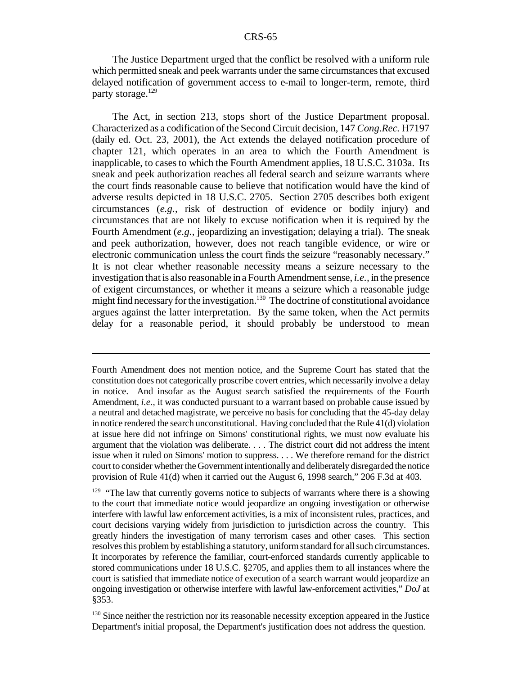The Justice Department urged that the conflict be resolved with a uniform rule which permitted sneak and peek warrants under the same circumstances that excused delayed notification of government access to e-mail to longer-term, remote, third party storage.<sup>129</sup>

The Act, in section 213, stops short of the Justice Department proposal. Characterized as a codification of the Second Circuit decision, 147 *Cong.Rec.* H7197 (daily ed. Oct. 23, 2001), the Act extends the delayed notification procedure of chapter 121, which operates in an area to which the Fourth Amendment is inapplicable, to casesto which the Fourth Amendment applies, 18 U.S.C. 3103a. Its sneak and peek authorization reaches all federal search and seizure warrants where the court finds reasonable cause to believe that notification would have the kind of adverse results depicted in 18 U.S.C. 2705. Section 2705 describes both exigent circumstances (*e.g.*, risk of destruction of evidence or bodily injury) and circumstances that are not likely to excuse notification when it is required by the Fourth Amendment (*e.g.*, jeopardizing an investigation; delaying a trial). The sneak and peek authorization, however, does not reach tangible evidence, or wire or electronic communication unless the court finds the seizure "reasonably necessary." It is not clear whether reasonable necessity means a seizure necessary to the investigation that is also reasonable in a Fourth Amendment sense, *i.e.*, in the presence of exigent circumstances, or whether it means a seizure which a reasonable judge might find necessary for the investigation.<sup>130</sup> The doctrine of constitutional avoidance argues against the latter interpretation. By the same token, when the Act permits delay for a reasonable period, it should probably be understood to mean

Fourth Amendment does not mention notice, and the Supreme Court has stated that the constitution does not categorically proscribe covert entries, which necessarily involve a delay in notice. And insofar as the August search satisfied the requirements of the Fourth Amendment, *i.e.*, it was conducted pursuant to a warrant based on probable cause issued by a neutral and detached magistrate, we perceive no basis for concluding that the 45-day delay in notice rendered the search unconstitutional. Having concluded that the Rule 41(d) violation at issue here did not infringe on Simons' constitutional rights, we must now evaluate his argument that the violation was deliberate. . . . The district court did not address the intent issue when it ruled on Simons' motion to suppress. . . . We therefore remand for the district court to consider whether the Government intentionally and deliberately disregarded the notice provision of Rule 41(d) when it carried out the August 6, 1998 search," 206 F.3d at 403.

<sup>&</sup>lt;sup>129</sup> "The law that currently governs notice to subjects of warrants where there is a showing to the court that immediate notice would jeopardize an ongoing investigation or otherwise interfere with lawful law enforcement activities, is a mix of inconsistent rules, practices, and court decisions varying widely from jurisdiction to jurisdiction across the country. This greatly hinders the investigation of many terrorism cases and other cases. This section resolvesthis problem by establishing a statutory, uniformstandard for allsuch circumstances. It incorporates by reference the familiar, court-enforced standards currently applicable to stored communications under 18 U.S.C. §2705, and applies them to all instances where the court is satisfied that immediate notice of execution of a search warrant would jeopardize an ongoing investigation or otherwise interfere with lawful law-enforcement activities," *DoJ* at §353.

<sup>&</sup>lt;sup>130</sup> Since neither the restriction nor its reasonable necessity exception appeared in the Justice Department's initial proposal, the Department's justification does not address the question.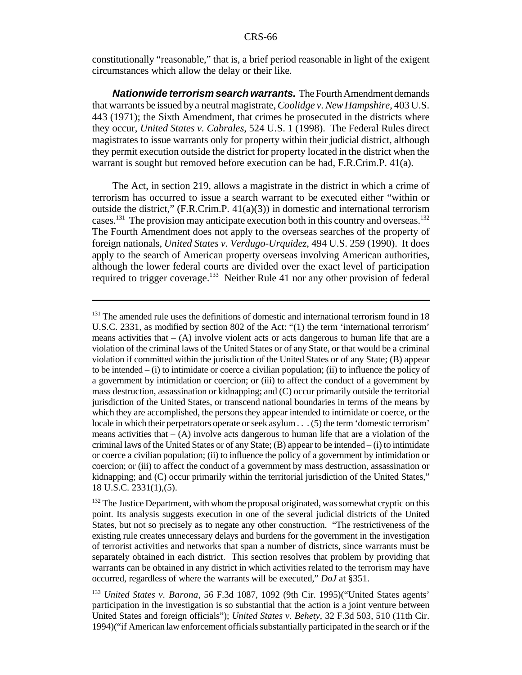constitutionally "reasonable," that is, a brief period reasonable in light of the exigent circumstances which allow the delay or their like.

*Nationwide terrorism search warrants.* The Fourth Amendment demands that warrants be issued by a neutral magistrate,*Coolidge v.NewHampshire*, 403 U.S. 443 (1971); the Sixth Amendment, that crimes be prosecuted in the districts where they occur, *United States v. Cabrales*, 524 U.S. 1 (1998). The Federal Rules direct magistrates to issue warrants only for property within their judicial district, although they permit execution outside the district for property located in the district when the warrant is sought but removed before execution can be had, F.R.Crim.P. 41(a).

The Act, in section 219, allows a magistrate in the district in which a crime of terrorism has occurred to issue a search warrant to be executed either "within or outside the district," (F.R.Crim.P.  $41(a)(3)$ ) in domestic and international terrorism cases.<sup>131</sup> The provision may anticipate execution both in this country and overseas.<sup>132</sup> The Fourth Amendment does not apply to the overseas searches of the property of foreign nationals, *United States v. Verdugo-Urquidez*, 494 U.S. 259 (1990). It does apply to the search of American property overseas involving American authorities, although the lower federal courts are divided over the exact level of participation required to trigger coverage.<sup>133</sup> Neither Rule 41 nor any other provision of federal

<sup>&</sup>lt;sup>131</sup> The amended rule uses the definitions of domestic and international terrorism found in 18 U.S.C. 2331, as modified by section 802 of the Act: "(1) the term 'international terrorism' means activities that  $- (A)$  involve violent acts or acts dangerous to human life that are a violation of the criminal laws of the United States or of any State, or that would be a criminal violation if committed within the jurisdiction of the United States or of any State; (B) appear to be intended – (i) to intimidate or coerce a civilian population; (ii) to influence the policy of a government by intimidation or coercion; or (iii) to affect the conduct of a government by mass destruction, assassination or kidnapping; and (C) occur primarily outside the territorial jurisdiction of the United States, or transcend national boundaries in terms of the means by which they are accomplished, the persons they appear intended to intimidate or coerce, or the locale in which their perpetrators operate or seek asylum . . . (5) the term 'domestic terrorism' means activities that  $-(A)$  involve acts dangerous to human life that are a violation of the criminal laws of the United States or of any State; (B) appear to be intended – (i) to intimidate or coerce a civilian population; (ii) to influence the policy of a government by intimidation or coercion; or (iii) to affect the conduct of a government by mass destruction, assassination or kidnapping; and (C) occur primarily within the territorial jurisdiction of the United States," 18 U.S.C. 2331(1),(5).

<sup>&</sup>lt;sup>132</sup> The Justice Department, with whom the proposal originated, was somewhat cryptic on this point. Its analysis suggests execution in one of the several judicial districts of the United States, but not so precisely as to negate any other construction. "The restrictiveness of the existing rule creates unnecessary delays and burdens for the government in the investigation of terrorist activities and networks that span a number of districts, since warrants must be separately obtained in each district. This section resolves that problem by providing that warrants can be obtained in any district in which activities related to the terrorism may have occurred, regardless of where the warrants will be executed," *DoJ* at §351.

<sup>133</sup> *United States v. Barona*, 56 F.3d 1087, 1092 (9th Cir. 1995)("United States agents' participation in the investigation is so substantial that the action is a joint venture between United States and foreign officials"); *United States v. Behety*, 32 F.3d 503, 510 (11th Cir. 1994)("if American law enforcement officialssubstantially participated in the search or if the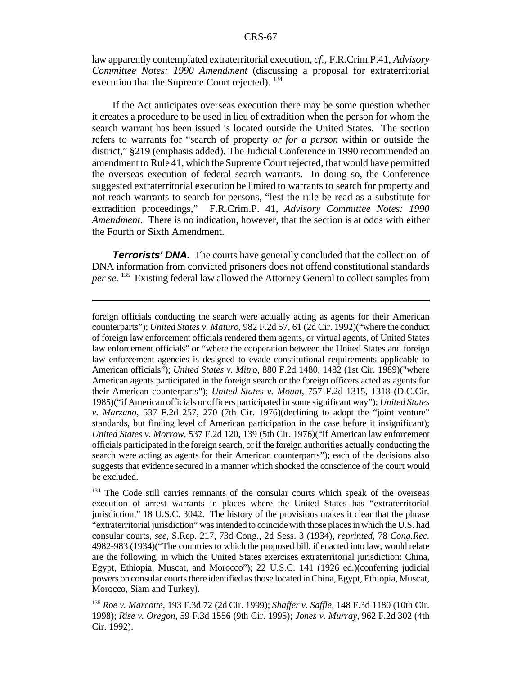law apparently contemplated extraterritorial execution, *cf.,* F.R.Crim.P.41, *Advisory Committee Notes: 1990 Amendment* (discussing a proposal for extraterritorial execution that the Supreme Court rejected). <sup>134</sup>

If the Act anticipates overseas execution there may be some question whether it creates a procedure to be used in lieu of extradition when the person for whom the search warrant has been issued is located outside the United States. The section refers to warrants for "search of property *or for a person* within or outside the district," §219 (emphasis added). The Judicial Conference in 1990 recommended an amendment to Rule 41, which the Supreme Court rejected, that would have permitted the overseas execution of federal search warrants. In doing so, the Conference suggested extraterritorial execution be limited to warrants to search for property and not reach warrants to search for persons, "lest the rule be read as a substitute for extradition proceedings," F.R.Crim.P. 41, *Advisory Committee Notes: 1990 Amendment*. There is no indication, however, that the section is at odds with either the Fourth or Sixth Amendment.

*Terrorists' DNA.* The courts have generally concluded that the collection of DNA information from convicted prisoners does not offend constitutional standards *per se.* <sup>135</sup> Existing federal law allowed the Attorney General to collect samples from

foreign officials conducting the search were actually acting as agents for their American counterparts"); *United States v. Maturo*, 982 F.2d 57, 61 (2d Cir. 1992)("where the conduct of foreign law enforcement officials rendered them agents, or virtual agents, of United States law enforcement officials" or "where the cooperation between the United States and foreign law enforcement agencies is designed to evade constitutional requirements applicable to American officials"); *United States v. Mitro*, 880 F.2d 1480, 1482 (1st Cir. 1989)("where American agents participated in the foreign search or the foreign officers acted as agents for their American counterparts"); *United States v. Mount*, 757 F.2d 1315, 1318 (D.C.Cir. 1985)("if American officials or officers participated in some significant way"); *United States v. Marzano*, 537 F.2d 257, 270 (7th Cir. 1976)(declining to adopt the "joint venture" standards, but finding level of American participation in the case before it insignificant); *United States v. Morrow*, 537 F.2d 120, 139 (5th Cir. 1976)("if American law enforcement officials participated in the foreign search, or if the foreign authorities actually conducting the search were acting as agents for their American counterparts"); each of the decisions also suggests that evidence secured in a manner which shocked the conscience of the court would be excluded.

<sup>&</sup>lt;sup>134</sup> The Code still carries remnants of the consular courts which speak of the overseas execution of arrest warrants in places where the United States has "extraterritorial jurisdiction," 18 U.S.C. 3042. The history of the provisions makes it clear that the phrase "extraterritorial jurisdiction" was intended to coincide with those places in which the U.S. had consular courts, *see*, S.Rep. 217, 73d Cong., 2d Sess. 3 (1934), *reprinted*, 78 *Cong.Rec.* 4982-983 (1934)("The countries to which the proposed bill, if enacted into law, would relate are the following, in which the United States exercises extraterritorial jurisdiction: China, Egypt, Ethiopia, Muscat, and Morocco"); 22 U.S.C. 141 (1926 ed.)(conferring judicial powers on consular courts there identified as those located in China, Egypt, Ethiopia, Muscat, Morocco, Siam and Turkey).

<sup>135</sup> *Roe v. Marcotte*, 193 F.3d 72 (2d Cir. 1999); *Shaffer v. Saffle*, 148 F.3d 1180 (10th Cir. 1998); *Rise v. Oregon*, 59 F.3d 1556 (9th Cir. 1995); *Jones v. Murray*, 962 F.2d 302 (4th Cir. 1992).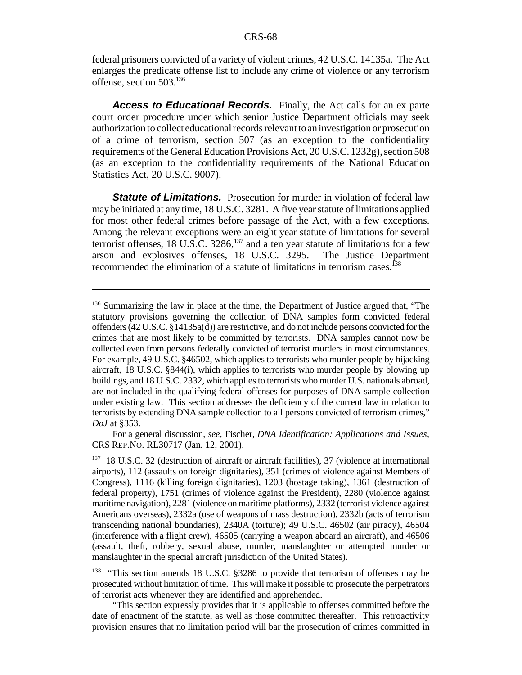federal prisoners convicted of a variety of violent crimes, 42 U.S.C. 14135a. The Act enlarges the predicate offense list to include any crime of violence or any terrorism offense, section 503.<sup>136</sup>

*Access to Educational Records.* Finally, the Act calls for an ex parte court order procedure under which senior Justice Department officials may seek authorization to collect educationalrecords relevant to an investigation or prosecution of a crime of terrorism, section 507 (as an exception to the confidentiality requirements of the General Education Provisions Act, 20 U.S.C. 1232g), section 508 (as an exception to the confidentiality requirements of the National Education Statistics Act, 20 U.S.C. 9007).

**Statute of Limitations.** Prosecution for murder in violation of federal law may be initiated at any time, 18 U.S.C. 3281. A five year statute of limitations applied for most other federal crimes before passage of the Act, with a few exceptions. Among the relevant exceptions were an eight year statute of limitations for several terrorist offenses, 18 U.S.C. 3286,<sup>137</sup> and a ten year statute of limitations for a few arson and explosives offenses, 18 U.S.C. 3295. The Justice Department recommended the elimination of a statute of limitations in terrorism cases.<sup>138</sup>

For a general discussion, *see*, Fischer, *DNA Identification: Applications and Issues*, CRS REP.NO. RL30717 (Jan. 12, 2001).

<sup>138</sup> "This section amends 18 U.S.C. §3286 to provide that terrorism of offenses may be prosecuted without limitation oftime. This will make it possible to prosecute the perpetrators of terrorist acts whenever they are identified and apprehended.

"This section expressly provides that it is applicable to offenses committed before the date of enactment of the statute, as well as those committed thereafter. This retroactivity provision ensures that no limitation period will bar the prosecution of crimes committed in

<sup>&</sup>lt;sup>136</sup> Summarizing the law in place at the time, the Department of Justice argued that, "The statutory provisions governing the collection of DNA samples form convicted federal offenders(42 U.S.C. §14135a(d)) are restrictive, and do not include persons convicted for the crimes that are most likely to be committed by terrorists. DNA samples cannot now be collected even from persons federally convicted of terrorist murders in most circumstances. For example, 49 U.S.C. §46502, which applies to terrorists who murder people by hijacking aircraft, 18 U.S.C. §844(i), which applies to terrorists who murder people by blowing up buildings, and 18 U.S.C. 2332, which applies to terrorists who murder U.S. nationals abroad, are not included in the qualifying federal offenses for purposes of DNA sample collection under existing law. This section addresses the deficiency of the current law in relation to terrorists by extending DNA sample collection to all persons convicted of terrorism crimes," *DoJ* at §353.

 $137$  18 U.S.C. 32 (destruction of aircraft or aircraft facilities), 37 (violence at international airports), 112 (assaults on foreign dignitaries), 351 (crimes of violence against Members of Congress), 1116 (killing foreign dignitaries), 1203 (hostage taking), 1361 (destruction of federal property), 1751 (crimes of violence against the President), 2280 (violence against maritime navigation), 2281 (violence on maritime platforms), 2332 (terrorist violence against Americans overseas), 2332a (use of weapons of mass destruction), 2332b (acts of terrorism transcending national boundaries), 2340A (torture); 49 U.S.C. 46502 (air piracy), 46504 (interference with a flight crew), 46505 (carrying a weapon aboard an aircraft), and 46506 (assault, theft, robbery, sexual abuse, murder, manslaughter or attempted murder or manslaughter in the special aircraft jurisdiction of the United States).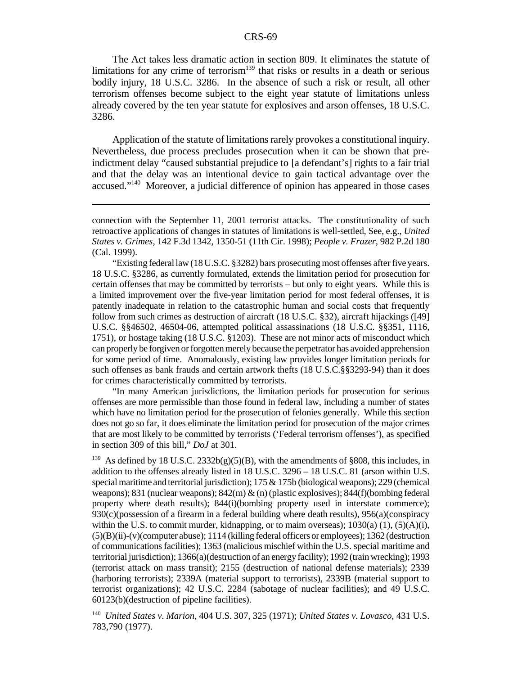The Act takes less dramatic action in section 809. It eliminates the statute of limitations for any crime of terrorism $139$  that risks or results in a death or serious bodily injury, 18 U.S.C. 3286. In the absence of such a risk or result, all other terrorism offenses become subject to the eight year statute of limitations unless already covered by the ten year statute for explosives and arson offenses, 18 U.S.C. 3286.

Application of the statute of limitations rarely provokes a constitutional inquiry. Nevertheless, due process precludes prosecution when it can be shown that preindictment delay "caused substantial prejudice to [a defendant's] rights to a fair trial and that the delay was an intentional device to gain tactical advantage over the accused."<sup>140</sup> Moreover, a judicial difference of opinion has appeared in those cases

"Existing federal law(18 U.S.C. §3282) bars prosecuting most offenses after five years. 18 U.S.C. §3286, as currently formulated, extends the limitation period for prosecution for certain offenses that may be committed by terrorists – but only to eight years. While this is a limited improvement over the five-year limitation period for most federal offenses, it is patently inadequate in relation to the catastrophic human and social costs that frequently follow from such crimes as destruction of aircraft (18 U.S.C. §32), aircraft hijackings ([49] U.S.C. §§46502, 46504-06, attempted political assassinations (18 U.S.C. §§351, 1116, 1751), or hostage taking (18 U.S.C. §1203). These are not minor acts of misconduct which can properly be forgiven orforgotten merely because the perpetrator has avoided apprehension for some period of time. Anomalously, existing law provides longer limitation periods for such offenses as bank frauds and certain artwork thefts (18 U.S.C.§§3293-94) than it does for crimes characteristically committed by terrorists.

"In many American jurisdictions, the limitation periods for prosecution for serious offenses are more permissible than those found in federal law, including a number of states which have no limitation period for the prosecution of felonies generally. While this section does not go so far, it does eliminate the limitation period for prosecution of the major crimes that are most likely to be committed by terrorists ('Federal terrorism offenses'), as specified in section 309 of this bill," *DoJ* at 301.

<sup>139</sup> As defined by 18 U.S.C. 2332b(g)(5)(B), with the amendments of §808, this includes, in addition to the offenses already listed in 18 U.S.C. 3296 – 18 U.S.C. 81 (arson within U.S. special maritime and territorial jurisdiction);  $175 \& 175b$  (biological weapons); 229 (chemical weapons); 831 (nuclear weapons); 842(m) & (n)(plastic explosives); 844(f)(bombing federal property where death results); 844(i)(bombing property used in interstate commerce); 930(c)(possession of a firearm in a federal building where death results), 956(a)(conspiracy within the U.S. to commit murder, kidnapping, or to maim overseas);  $1030(a)$  (1),  $(5)(A)(i)$ , (5)(B)(ii)-(v)(computer abuse); 1114 (killing federal officers or employees); 1362 (destruction of communicationsfacilities); 1363 (malicious mischief within the U.S. special maritime and territorial jurisdiction); 1366(a)(destruction of an energy facility); 1992 (train wrecking); 1993 (terrorist attack on mass transit); 2155 (destruction of national defense materials); 2339 (harboring terrorists); 2339A (material support to terrorists), 2339B (material support to terrorist organizations); 42 U.S.C. 2284 (sabotage of nuclear facilities); and 49 U.S.C. 60123(b)(destruction of pipeline facilities).

140 *United States v. Marion*, 404 U.S. 307, 325 (1971); *United States v. Lovasco*, 431 U.S. 783,790 (1977).

connection with the September 11, 2001 terrorist attacks. The constitutionality of such retroactive applications of changes in statutes of limitations is well-settled, See, e.g., *United States v. Grimes*, 142 F.3d 1342, 1350-51 (11th Cir. 1998); *People v. Frazer*, 982 P.2d 180 (Cal. 1999).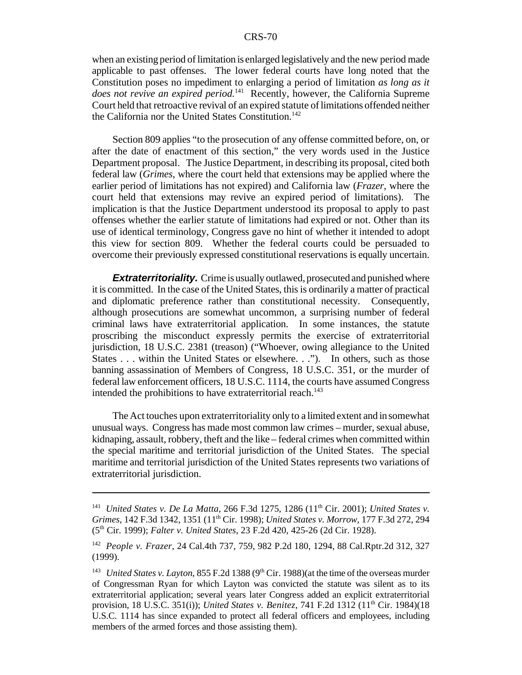when an existing period oflimitation is enlarged legislatively and the new period made applicable to past offenses. The lower federal courts have long noted that the Constitution poses no impediment to enlarging a period of limitation *as long as it does not revive an expired period.*<sup>141</sup> Recently, however, the California Supreme Court held that retroactive revival of an expired statute of limitations offended neither the California nor the United States Constitution.<sup>142</sup>

Section 809 applies "to the prosecution of any offense committed before, on, or after the date of enactment of this section," the very words used in the Justice Department proposal. The Justice Department, in describing its proposal, cited both federal law (*Grimes*, where the court held that extensions may be applied where the earlier period of limitations has not expired) and California law (*Frazer*, where the court held that extensions may revive an expired period of limitations). The implication is that the Justice Department understood its proposal to apply to past offenses whether the earlier statute of limitations had expired or not. Other than its use of identical terminology, Congress gave no hint of whether it intended to adopt this view for section 809. Whether the federal courts could be persuaded to overcome their previously expressed constitutional reservations is equally uncertain.

**Extraterritoriality.** Crime is usually outlawed, prosecuted and punished where it is committed. In the case of the United States, this is ordinarily a matter of practical and diplomatic preference rather than constitutional necessity. Consequently, although prosecutions are somewhat uncommon, a surprising number of federal criminal laws have extraterritorial application. In some instances, the statute proscribing the misconduct expressly permits the exercise of extraterritorial jurisdiction, 18 U.S.C. 2381 (treason) ("Whoever, owing allegiance to the United States . . . within the United States or elsewhere. . ."). In others, such as those banning assassination of Members of Congress, 18 U.S.C. 351, or the murder of federal law enforcement officers, 18 U.S.C. 1114, the courts have assumed Congress intended the prohibitions to have extraterritorial reach.<sup>143</sup>

The Act touches upon extraterritoriality only to a limited extent and in somewhat unusual ways. Congress has made most common law crimes – murder, sexual abuse, kidnaping, assault, robbery, theft and the like – federal crimes when committed within the special maritime and territorial jurisdiction of the United States. The special maritime and territorial jurisdiction of the United States represents two variations of extraterritorial jurisdiction.

<sup>141</sup> *United States v. De La Matta*, 266 F.3d 1275, 1286 (11th Cir. 2001); *United States v. Grimes*, 142 F.3d 1342, 1351 (11th Cir. 1998); *United States v. Morrow*, 177 F.3d 272, 294 (5th Cir. 1999); *Falter v. United States*, 23 F.2d 420, 425-26 (2d Cir. 1928).

<sup>142</sup> *People v. Frazer*, 24 Cal.4th 737, 759, 982 P.2d 180, 1294, 88 Cal.Rptr.2d 312, 327 (1999).

<sup>&</sup>lt;sup>143</sup> *United States v. Layton*, 855 F.2d 1388 (9<sup>th</sup> Cir. 1988)(at the time of the overseas murder of Congressman Ryan for which Layton was convicted the statute was silent as to its extraterritorial application; several years later Congress added an explicit extraterritorial provision, 18 U.S.C. 351(i)); *United States v. Benitez*, 741 F.2d 1312 (11th Cir. 1984)(18 U.S.C. 1114 has since expanded to protect all federal officers and employees, including members of the armed forces and those assisting them).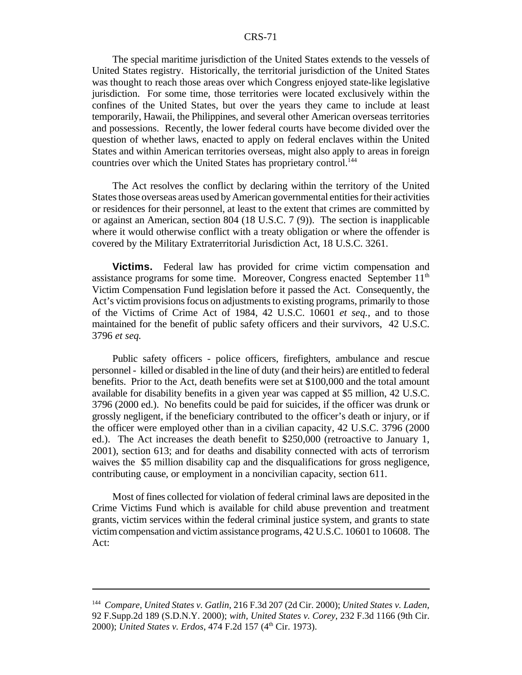The special maritime jurisdiction of the United States extends to the vessels of United States registry. Historically, the territorial jurisdiction of the United States was thought to reach those areas over which Congress enjoyed state-like legislative jurisdiction. For some time, those territories were located exclusively within the confines of the United States, but over the years they came to include at least temporarily, Hawaii, the Philippines, and several other American overseas territories and possessions. Recently, the lower federal courts have become divided over the question of whether laws, enacted to apply on federal enclaves within the United States and within American territories overseas, might also apply to areas in foreign countries over which the United States has proprietary control.<sup>144</sup>

The Act resolves the conflict by declaring within the territory of the United States those overseas areas used by American governmental entities for their activities or residences for their personnel, at least to the extent that crimes are committed by or against an American, section 804 (18 U.S.C. 7 (9)). The section is inapplicable where it would otherwise conflict with a treaty obligation or where the offender is covered by the Military Extraterritorial Jurisdiction Act, 18 U.S.C. 3261.

**Victims.** Federal law has provided for crime victim compensation and assistance programs for some time. Moreover, Congress enacted September  $11<sup>th</sup>$ Victim Compensation Fund legislation before it passed the Act. Consequently, the Act's victim provisions focus on adjustments to existing programs, primarily to those of the Victims of Crime Act of 1984, 42 U.S.C. 10601 *et seq.*, and to those maintained for the benefit of public safety officers and their survivors, 42 U.S.C. 3796 *et seq.*

Public safety officers - police officers, firefighters, ambulance and rescue personnel - killed or disabled in the line of duty (and their heirs) are entitled to federal benefits. Prior to the Act, death benefits were set at \$100,000 and the total amount available for disability benefits in a given year was capped at \$5 million, 42 U.S.C. 3796 (2000 ed.). No benefits could be paid for suicides, if the officer was drunk or grossly negligent, if the beneficiary contributed to the officer's death or injury, or if the officer were employed other than in a civilian capacity, 42 U.S.C. 3796 (2000 ed.). The Act increases the death benefit to \$250,000 (retroactive to January 1, 2001), section 613; and for deaths and disability connected with acts of terrorism waives the \$5 million disability cap and the disqualifications for gross negligence, contributing cause, or employment in a noncivilian capacity, section 611.

Most of fines collected for violation of federal criminal laws are deposited in the Crime Victims Fund which is available for child abuse prevention and treatment grants, victim services within the federal criminal justice system, and grants to state victimcompensation and victim assistance programs, 42 U.S.C. 10601 to 10608. The Act:

<sup>144</sup> *Compare, United States v. Gatlin*, 216 F.3d 207 (2d Cir. 2000); *United States v. Laden*, 92 F.Supp.2d 189 (S.D.N.Y. 2000); *with, United States v. Corey*, 232 F.3d 1166 (9th Cir. 2000); *United States v. Erdos*, 474 F.2d 157 (4<sup>th</sup> Cir. 1973).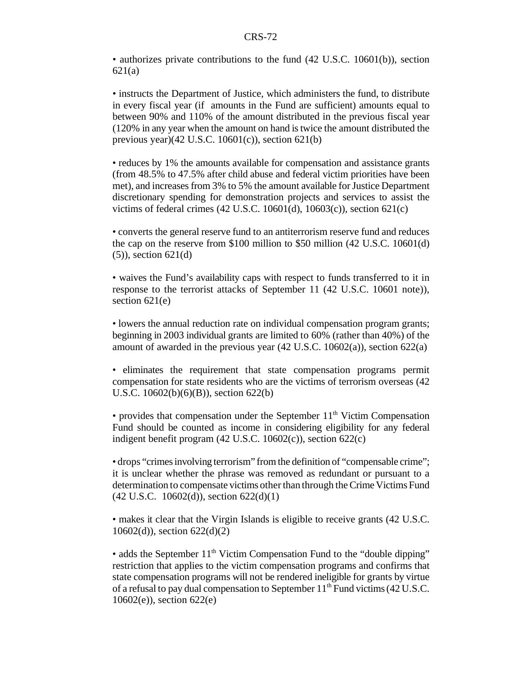• authorizes private contributions to the fund (42 U.S.C. 10601(b)), section 621(a)

• instructs the Department of Justice, which administers the fund, to distribute in every fiscal year (if amounts in the Fund are sufficient) amounts equal to between 90% and 110% of the amount distributed in the previous fiscal year (120% in any year when the amount on hand istwice the amount distributed the previous year) $(42 \text{ U.S.C. } 10601(c))$ , section  $621(b)$ 

• reduces by 1% the amounts available for compensation and assistance grants (from 48.5% to 47.5% after child abuse and federal victim priorities have been met), and increases from 3% to 5% the amount available for Justice Department discretionary spending for demonstration projects and services to assist the victims of federal crimes (42 U.S.C. 10601(d), 10603(c)), section 621(c)

• converts the general reserve fund to an antiterrorism reserve fund and reduces the cap on the reserve from \$100 million to \$50 million (42 U.S.C. 10601(d) (5)), section 621(d)

• waives the Fund's availability caps with respect to funds transferred to it in response to the terrorist attacks of September 11 (42 U.S.C. 10601 note)), section 621(e)

• lowers the annual reduction rate on individual compensation program grants; beginning in 2003 individual grants are limited to 60% (rather than 40%) of the amount of awarded in the previous year (42 U.S.C. 10602(a)), section 622(a)

• eliminates the requirement that state compensation programs permit compensation for state residents who are the victims of terrorism overseas (42 U.S.C. 10602(b)(6)(B)), section 622(b)

• provides that compensation under the September  $11<sup>th</sup>$  Victim Compensation Fund should be counted as income in considering eligibility for any federal indigent benefit program (42 U.S.C. 10602(c)), section 622(c)

• drops "crimes involving terrorism" from the definition of "compensable crime"; it is unclear whether the phrase was removed as redundant or pursuant to a determination to compensate victims other than through the Crime Victims Fund (42 U.S.C. 10602(d)), section 622(d)(1)

• makes it clear that the Virgin Islands is eligible to receive grants (42 U.S.C. 10602(d)), section 622(d)(2)

• adds the September 11<sup>th</sup> Victim Compensation Fund to the "double dipping" restriction that applies to the victim compensation programs and confirms that state compensation programs will not be rendered ineligible for grants by virtue of a refusal to pay dual compensation to September  $11<sup>th</sup>$  Fund victims (42 U.S.C. 10602(e)), section 622(e)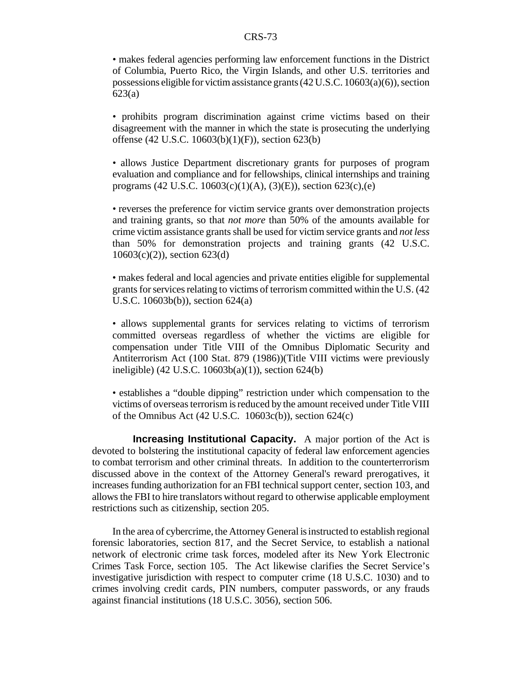• makes federal agencies performing law enforcement functions in the District of Columbia, Puerto Rico, the Virgin Islands, and other U.S. territories and possessions eligible for victim assistance grants  $(42 U.S.C. 10603(a)(6))$ , section 623(a)

• prohibits program discrimination against crime victims based on their disagreement with the manner in which the state is prosecuting the underlying offense (42 U.S.C. 10603(b)(1)(F)), section 623(b)

• allows Justice Department discretionary grants for purposes of program evaluation and compliance and for fellowships, clinical internships and training programs (42 U.S.C. 10603(c)(1)(A), (3)(E)), section 623(c),(e)

• reverses the preference for victim service grants over demonstration projects and training grants, so that *not more* than 50% of the amounts available for crime victim assistance grants shall be used for victim service grants and *not less* than 50% for demonstration projects and training grants (42 U.S.C. 10603(c)(2)), section 623(d)

• makes federal and local agencies and private entities eligible for supplemental grants for services relating to victims of terrorism committed within the U.S. (42) U.S.C. 10603b(b)), section 624(a)

• allows supplemental grants for services relating to victims of terrorism committed overseas regardless of whether the victims are eligible for compensation under Title VIII of the Omnibus Diplomatic Security and Antiterrorism Act (100 Stat. 879 (1986))(Title VIII victims were previously ineligible) (42 U.S.C. 10603b(a)(1)), section 624(b)

• establishes a "double dipping" restriction under which compensation to the victims of overseas terrorism is reduced by the amount received under Title VIII of the Omnibus Act  $(42 \text{ U.S.C. } 10603c(b))$ , section  $624(c)$ 

**Increasing Institutional Capacity.** A major portion of the Act is devoted to bolstering the institutional capacity of federal law enforcement agencies to combat terrorism and other criminal threats. In addition to the counterterrorism discussed above in the context of the Attorney General's reward prerogatives, it increases funding authorization for an FBI technical support center, section 103, and allowsthe FBI to hire translators without regard to otherwise applicable employment restrictions such as citizenship, section 205.

In the area of cybercrime, the Attorney General is instructed to establish regional forensic laboratories, section 817, and the Secret Service, to establish a national network of electronic crime task forces, modeled after its New York Electronic Crimes Task Force, section 105. The Act likewise clarifies the Secret Service's investigative jurisdiction with respect to computer crime (18 U.S.C. 1030) and to crimes involving credit cards, PIN numbers, computer passwords, or any frauds against financial institutions (18 U.S.C. 3056), section 506.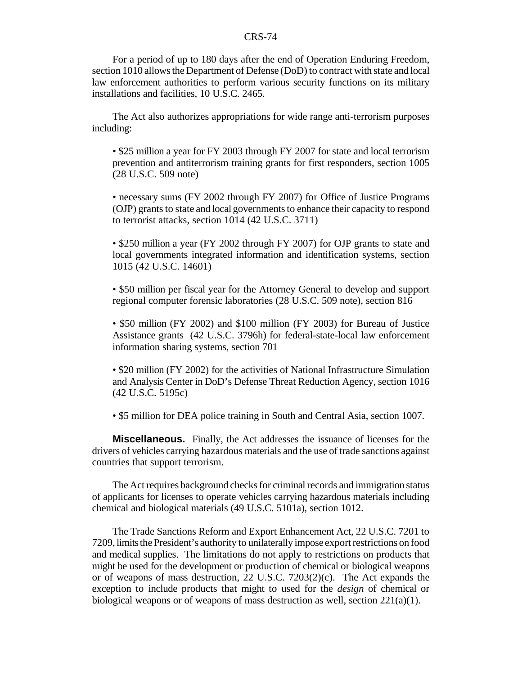For a period of up to 180 days after the end of Operation Enduring Freedom, section 1010 allows the Department of Defense (DoD) to contract with state and local law enforcement authorities to perform various security functions on its military installations and facilities, 10 U.S.C. 2465.

The Act also authorizes appropriations for wide range anti-terrorism purposes including:

• \$25 million a year for FY 2003 through FY 2007 for state and local terrorism prevention and antiterrorism training grants for first responders, section 1005 (28 U.S.C. 509 note)

• necessary sums (FY 2002 through FY 2007) for Office of Justice Programs (OJP) grants to state and local governments to enhance their capacity to respond to terrorist attacks, section 1014 (42 U.S.C. 3711)

• \$250 million a year (FY 2002 through FY 2007) for OJP grants to state and local governments integrated information and identification systems, section 1015 (42 U.S.C. 14601)

• \$50 million per fiscal year for the Attorney General to develop and support regional computer forensic laboratories (28 U.S.C. 509 note), section 816

• \$50 million (FY 2002) and \$100 million (FY 2003) for Bureau of Justice Assistance grants (42 U.S.C. 3796h) for federal-state-local law enforcement information sharing systems, section 701

• \$20 million (FY 2002) for the activities of National Infrastructure Simulation and Analysis Center in DoD's Defense Threat Reduction Agency, section 1016 (42 U.S.C. 5195c)

• \$5 million for DEA police training in South and Central Asia, section 1007.

**Miscellaneous.** Finally, the Act addresses the issuance of licenses for the drivers of vehicles carrying hazardous materials and the use of trade sanctions against countries that support terrorism.

The Act requires background checks for criminal records and immigration status of applicants for licenses to operate vehicles carrying hazardous materials including chemical and biological materials (49 U.S.C. 5101a), section 1012.

The Trade Sanctions Reform and Export Enhancement Act, 22 U.S.C. 7201 to 7209, limits the President's authority to unilaterally impose export restrictions on food and medical supplies. The limitations do not apply to restrictions on products that might be used for the development or production of chemical or biological weapons or of weapons of mass destruction, 22 U.S.C. 7203(2)(c). The Act expands the exception to include products that might to used for the *design* of chemical or biological weapons or of weapons of mass destruction as well, section 221(a)(1).